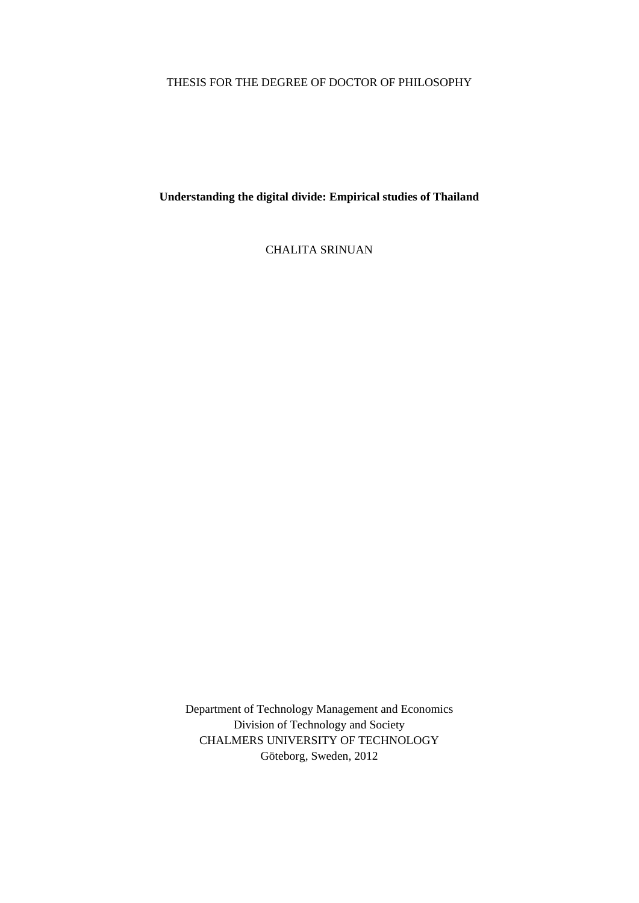# THESIS FOR THE DEGREE OF DOCTOR OF PHILOSOPHY

**Understanding the digital divide: Empirical studies of Thailand** 

CHALITA SRINUAN

Department of Technology Management and Economics Division of Technology and Society CHALMERS UNIVERSITY OF TECHNOLOGY Göteborg, Sweden, 2012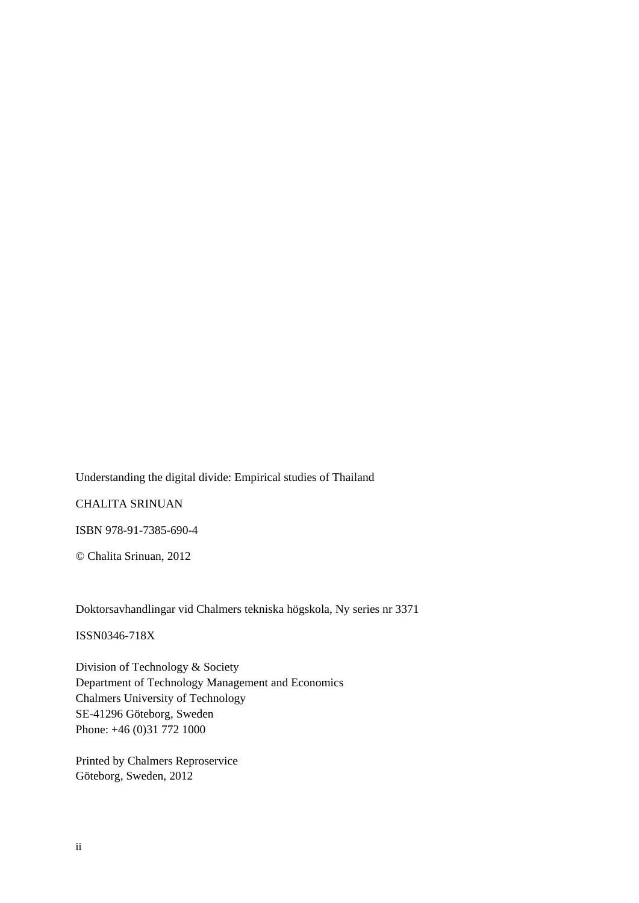Understanding the digital divide: Empirical studies of Thailand

CHALITA SRINUAN

ISBN 978-91-7385-690-4

© Chalita Srinuan, 2012

Doktorsavhandlingar vid Chalmers tekniska högskola, Ny series nr 3371

ISSN0346-718X

Division of Technology & Society Department of Technology Management and Economics Chalmers University of Technology SE-41296 Göteborg, Sweden Phone: +46 (0)31 772 1000

Printed by Chalmers Reproservice Göteborg, Sweden, 2012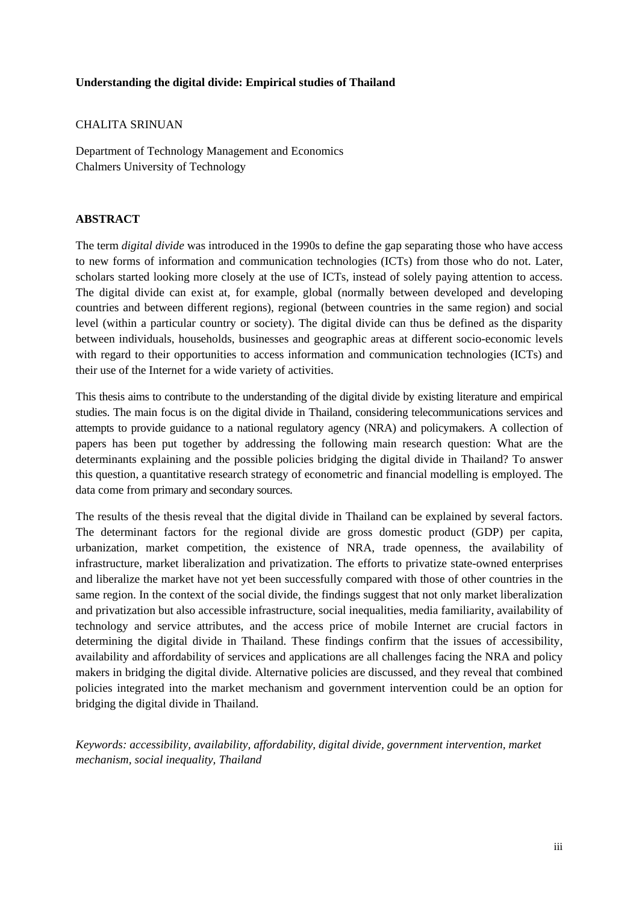### **Understanding the digital divide: Empirical studies of Thailand**

### CHALITA SRINUAN

Department of Technology Management and Economics Chalmers University of Technology

# **ABSTRACT**

The term *digital divide* was introduced in the 1990s to define the gap separating those who have access to new forms of information and communication technologies (ICTs) from those who do not. Later, scholars started looking more closely at the use of ICTs, instead of solely paying attention to access. The digital divide can exist at, for example, global (normally between developed and developing countries and between different regions), regional (between countries in the same region) and social level (within a particular country or society). The digital divide can thus be defined as the disparity between individuals, households, businesses and geographic areas at different socio-economic levels with regard to their opportunities to access information and communication technologies (ICTs) and their use of the Internet for a wide variety of activities.

This thesis aims to contribute to the understanding of the digital divide by existing literature and empirical studies. The main focus is on the digital divide in Thailand, considering telecommunications services and attempts to provide guidance to a national regulatory agency (NRA) and policymakers. A collection of papers has been put together by addressing the following main research question: What are the determinants explaining and the possible policies bridging the digital divide in Thailand? To answer this question, a quantitative research strategy of econometric and financial modelling is employed. The data come from primary and secondary sources.

The results of the thesis reveal that the digital divide in Thailand can be explained by several factors. The determinant factors for the regional divide are gross domestic product (GDP) per capita, urbanization, market competition, the existence of NRA, trade openness, the availability of infrastructure, market liberalization and privatization. The efforts to privatize state-owned enterprises and liberalize the market have not yet been successfully compared with those of other countries in the same region. In the context of the social divide, the findings suggest that not only market liberalization and privatization but also accessible infrastructure, social inequalities, media familiarity, availability of technology and service attributes, and the access price of mobile Internet are crucial factors in determining the digital divide in Thailand. These findings confirm that the issues of accessibility, availability and affordability of services and applications are all challenges facing the NRA and policy makers in bridging the digital divide. Alternative policies are discussed, and they reveal that combined policies integrated into the market mechanism and government intervention could be an option for bridging the digital divide in Thailand.

*Keywords: accessibility, availability, affordability, digital divide, government intervention, market mechanism, social inequality, Thailand*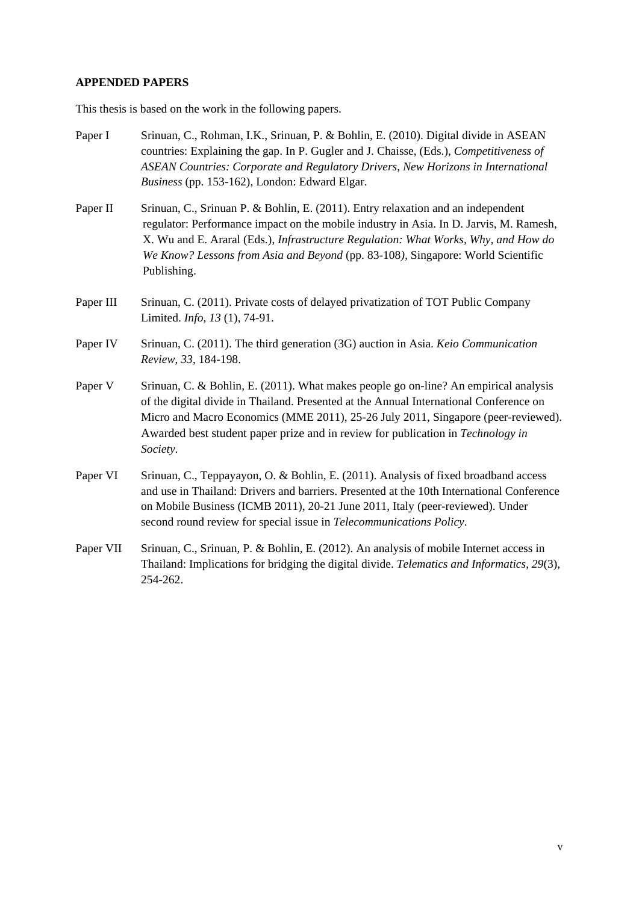# **APPENDED PAPERS**

This thesis is based on the work in the following papers.

| Paper I   | Srinuan, C., Rohman, I.K., Srinuan, P. & Bohlin, E. (2010). Digital divide in ASEAN<br>countries: Explaining the gap. In P. Gugler and J. Chaisse, (Eds.), Competitiveness of<br>ASEAN Countries: Corporate and Regulatory Drivers, New Horizons in International<br>Business (pp. 153-162), London: Edward Elgar.                                                 |  |  |
|-----------|--------------------------------------------------------------------------------------------------------------------------------------------------------------------------------------------------------------------------------------------------------------------------------------------------------------------------------------------------------------------|--|--|
| Paper II  | Srinuan, C., Srinuan P. & Bohlin, E. (2011). Entry relaxation and an independent<br>regulator: Performance impact on the mobile industry in Asia. In D. Jarvis, M. Ramesh,<br>X. Wu and E. Araral (Eds.), Infrastructure Regulation: What Works, Why, and How do<br>We Know? Lessons from Asia and Beyond (pp. 83-108), Singapore: World Scientific<br>Publishing. |  |  |
| Paper III | Srinuan, C. (2011). Private costs of delayed privatization of TOT Public Company<br>Limited. Info, 13 (1), 74-91.                                                                                                                                                                                                                                                  |  |  |
| Paper IV  | Srinuan, C. (2011). The third generation (3G) auction in Asia. <i>Keio Communication</i><br>Review, 33, 184-198.                                                                                                                                                                                                                                                   |  |  |
| Paper V   | Srinuan, C. & Bohlin, E. (2011). What makes people go on-line? An empirical analysis<br>of the digital divide in Thailand. Presented at the Annual International Conference on<br>Micro and Macro Economics (MME 2011), 25-26 July 2011, Singapore (peer-reviewed).<br>Awarded best student paper prize and in review for publication in Technology in<br>Society. |  |  |
| Paper VI  | Srinuan, C., Teppayayon, O. & Bohlin, E. (2011). Analysis of fixed broadband access<br>and use in Thailand: Drivers and barriers. Presented at the 10th International Conference<br>on Mobile Business (ICMB 2011), 20-21 June 2011, Italy (peer-reviewed). Under<br>second round review for special issue in Telecommunications Policy.                           |  |  |
| Paper VII | Srinuan, C., Srinuan, P. & Bohlin, E. (2012). An analysis of mobile Internet access in<br>Thailand: Implications for bridging the digital divide. Telematics and Informatics, 29(3),<br>254-262.                                                                                                                                                                   |  |  |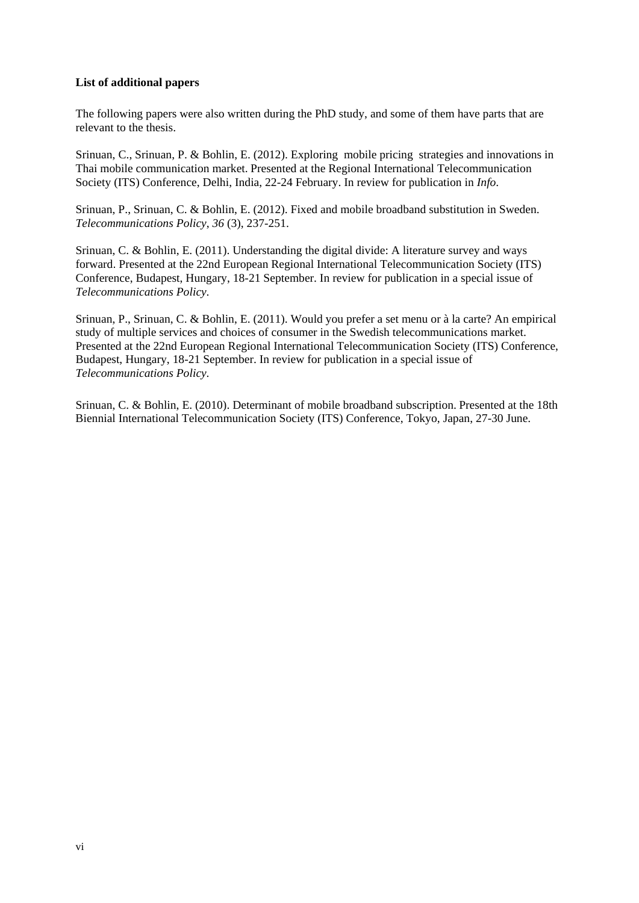### **List of additional papers**

The following papers were also written during the PhD study, and some of them have parts that are relevant to the thesis.

Srinuan, C., Srinuan, P. & Bohlin, E. (2012). Exploring mobile [pricing strategies and innovations in](http://publications.lib.chalmers.se/cpl/record/index.xsql?pubid=155665)  [Thai mobile communication market](http://publications.lib.chalmers.se/cpl/record/index.xsql?pubid=155665). Presented at the Regional International Telecommunication Society (ITS) Conference, Delhi, India, 22-24 February. In review for publication in *Info*.

Srinuan, P., Srinuan, C. & Bohlin, E. (2012). [Fixed and mobile broadband substitution in Sweden.](http://publications.lib.chalmers.se/cpl/record/index.xsql?pubid=155662) *Telecommunications Policy*, *36* (3), 237-251.

Srinuan, C. & Bohlin, E. (2011). [Understanding the digital divide: A literature survey and ways](http://publications.lib.chalmers.se/cpl/record/index.xsql?pubid=146923)  [forward](http://publications.lib.chalmers.se/cpl/record/index.xsql?pubid=146923). Presented at the 22nd European Regional International Telecommunication Society (ITS) Conference, Budapest, Hungary, 18-21 September. In review for publication in a special issue of *Telecommunications Policy*.

Srinuan, P., Srinuan, C. & Bohlin, E. (2011). [Would you prefer a set menu or à la carte? An empirical](http://publications.lib.chalmers.se/cpl/record/index.xsql?pubid=147207)  [study of multiple services and choices of consumer in the](http://publications.lib.chalmers.se/cpl/record/index.xsql?pubid=147207) Swedish telecommunications market. Presented at the 22nd European Regional International Telecommunication Society (ITS) Conference, Budapest, Hungary, 18-21 September. In review for publication in a special issue of *Telecommunications Policy*.

Srinuan, C. & Bohlin, E. (2010). Determinant of mobile broadband subscription. Presented at the 18th Biennial International Telecommunication Society (ITS) Conference, Tokyo, Japan, 27-30 June.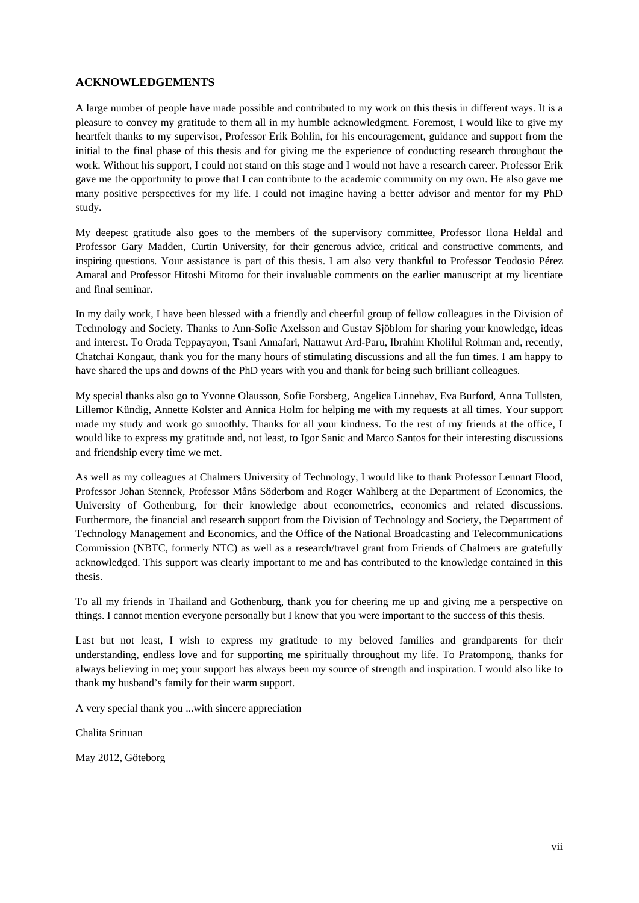#### **ACKNOWLEDGEMENTS**

A large number of people have made possible and contributed to my work on this thesis in different ways. It is a pleasure to convey my gratitude to them all in my humble acknowledgment. Foremost, I would like to give my heartfelt thanks to my supervisor, Professor Erik Bohlin, for his encouragement, guidance and support from the initial to the final phase of this thesis and for giving me the experience of conducting research throughout the work. Without his support, I could not stand on this stage and I would not have a research career. Professor Erik gave me the opportunity to prove that I can contribute to the academic community on my own. He also gave me many positive perspectives for my life. I could not imagine having a better advisor and mentor for my PhD study.

My deepest gratitude also goes to the members of the supervisory committee, Professor Ilona Heldal and Professor Gary Madden, Curtin University, for their generous advice, critical and constructive comments, and inspiring questions. Your assistance is part of this thesis. I am also very thankful to Professor Teodosio Pérez Amaral and Professor Hitoshi Mitomo for their invaluable comments on the earlier manuscript at my licentiate and final seminar.

In my daily work, I have been blessed with a friendly and cheerful group of fellow colleagues in the Division of Technology and Society. Thanks to Ann-Sofie Axelsson and Gustav Sjöblom for sharing your knowledge, ideas and interest. To Orada Teppayayon, Tsani Annafari, Nattawut Ard-Paru, Ibrahim Kholilul Rohman and, recently, Chatchai Kongaut, thank you for the many hours of stimulating discussions and all the fun times. I am happy to have shared the ups and downs of the PhD years with you and thank for being such brilliant colleagues.

My special thanks also go to Yvonne Olausson, Sofie Forsberg, Angelica Linnehav, Eva Burford, Anna Tullsten, Lillemor Kündig, Annette Kolster and Annica Holm for helping me with my requests at all times. Your support made my study and work go smoothly. Thanks for all your kindness. To the rest of my friends at the office, I would like to express my gratitude and, not least, to Igor Sanic and Marco Santos for their interesting discussions and friendship every time we met.

As well as my colleagues at Chalmers University of Technology, I would like to thank Professor Lennart Flood, Professor Johan Stennek, Professor Måns Söderbom and Roger Wahlberg at the Department of Economics, the University of Gothenburg, for their knowledge about econometrics, economics and related discussions. Furthermore, the financial and research support from the Division of Technology and Society, the Department of Technology Management and Economics, and the Office of the National Broadcasting and Telecommunications Commission (NBTC, formerly NTC) as well as a research/travel grant from Friends of Chalmers are gratefully acknowledged. This support was clearly important to me and has contributed to the knowledge contained in this thesis.

To all my friends in Thailand and Gothenburg, thank you for cheering me up and giving me a perspective on things. I cannot mention everyone personally but I know that you were important to the success of this thesis.

Last but not least, I wish to express my gratitude to my beloved families and grandparents for their understanding, endless love and for supporting me spiritually throughout my life. To Pratompong, thanks for always believing in me; your support has always been my source of strength and inspiration. I would also like to thank my husband's family for their warm support.

A very special thank you ...with sincere appreciation

Chalita Srinuan

May 2012, Göteborg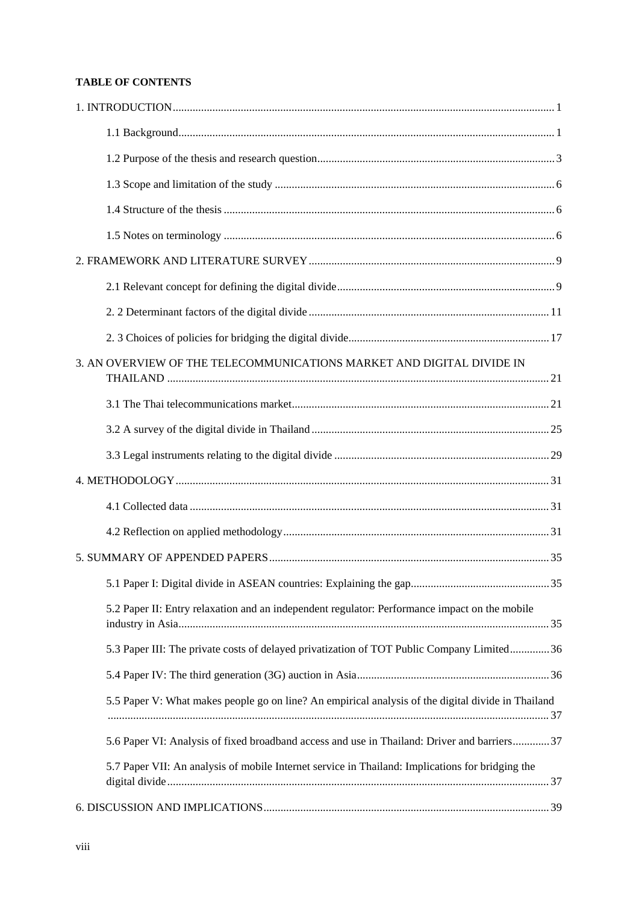## **TABLE OF CONTENTS**

| 3. AN OVERVIEW OF THE TELECOMMUNICATIONS MARKET AND DIGITAL DIVIDE IN                              |
|----------------------------------------------------------------------------------------------------|
|                                                                                                    |
|                                                                                                    |
|                                                                                                    |
|                                                                                                    |
|                                                                                                    |
|                                                                                                    |
|                                                                                                    |
|                                                                                                    |
| 5.2 Paper II: Entry relaxation and an independent regulator: Performance impact on the mobile      |
| 5.3 Paper III: The private costs of delayed privatization of TOT Public Company Limited 36         |
|                                                                                                    |
| 5.5 Paper V: What makes people go on line? An empirical analysis of the digital divide in Thailand |
| 5.6 Paper VI: Analysis of fixed broadband access and use in Thailand: Driver and barriers 37       |
| 5.7 Paper VII: An analysis of mobile Internet service in Thailand: Implications for bridging the   |
|                                                                                                    |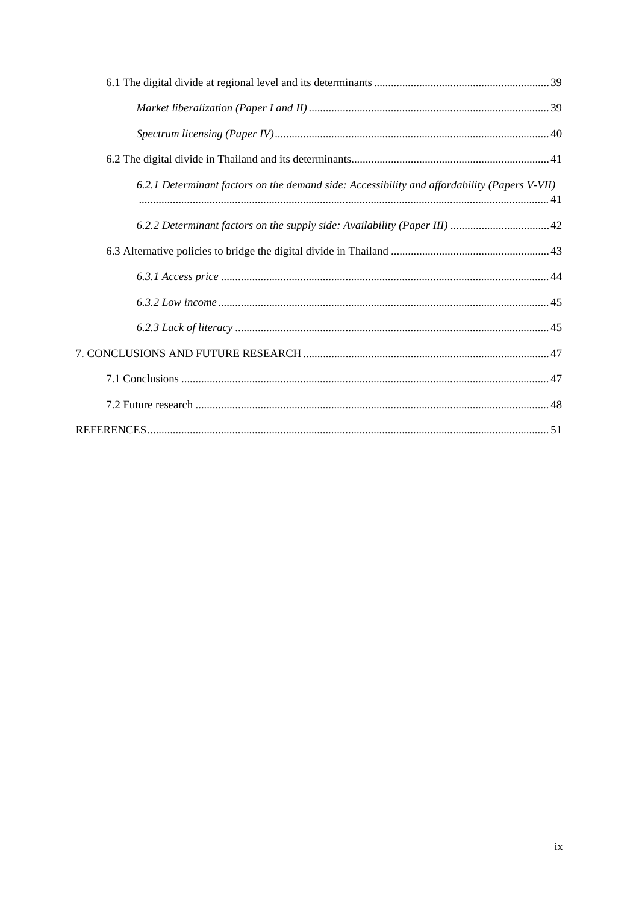| 6.2.1 Determinant factors on the demand side: Accessibility and affordability (Papers V-VII) |
|----------------------------------------------------------------------------------------------|
|                                                                                              |
|                                                                                              |
|                                                                                              |
|                                                                                              |
|                                                                                              |
|                                                                                              |
|                                                                                              |
|                                                                                              |
|                                                                                              |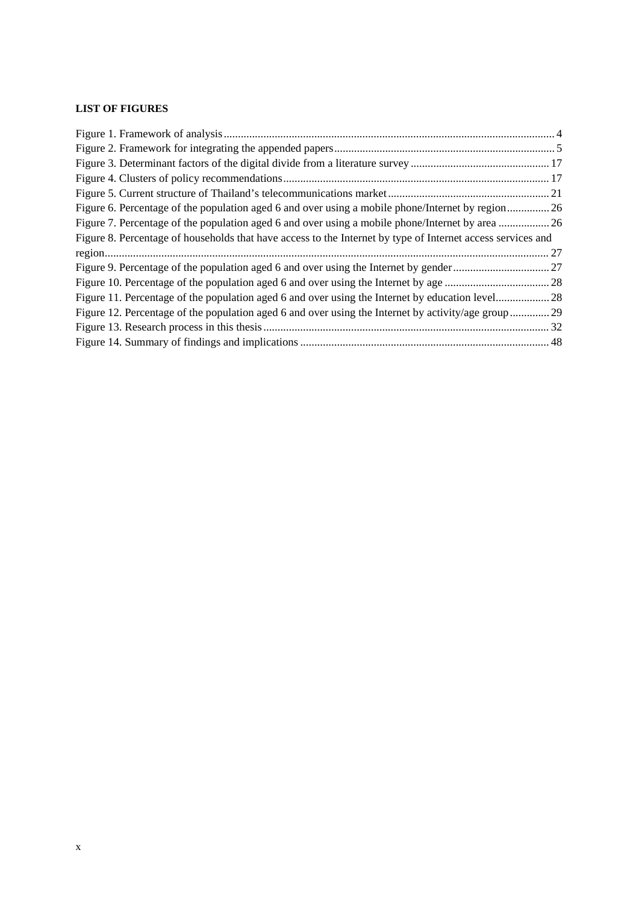# **LIST OF FIGURES**

| Figure 6. Percentage of the population aged 6 and over using a mobile phone/Internet by region26            |  |
|-------------------------------------------------------------------------------------------------------------|--|
| Figure 7. Percentage of the population aged 6 and over using a mobile phone/Internet by area  26            |  |
| Figure 8. Percentage of households that have access to the Internet by type of Internet access services and |  |
|                                                                                                             |  |
|                                                                                                             |  |
|                                                                                                             |  |
|                                                                                                             |  |
| Figure 12. Percentage of the population aged 6 and over using the Internet by activity/age group29          |  |
|                                                                                                             |  |
|                                                                                                             |  |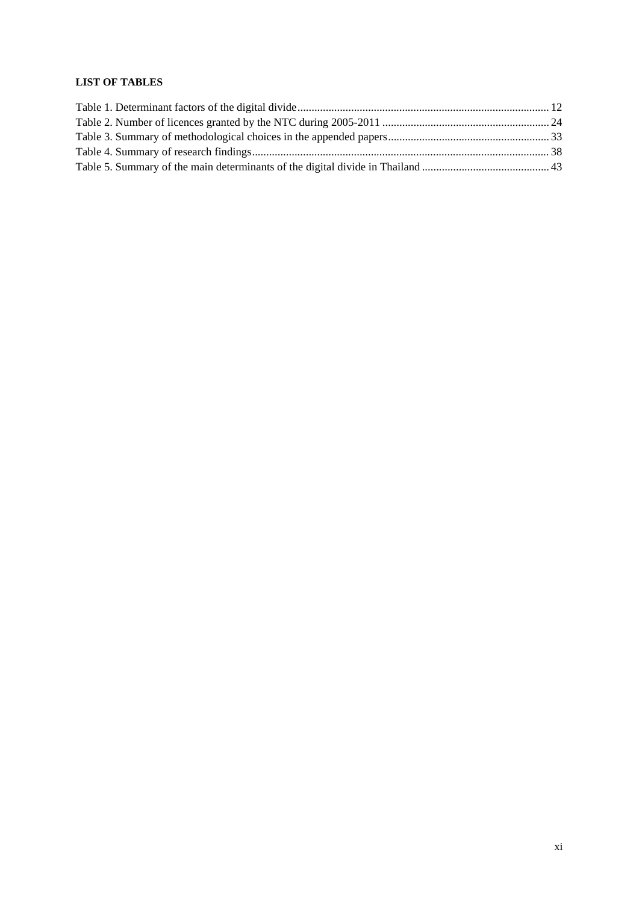## **LIST OF TABLES**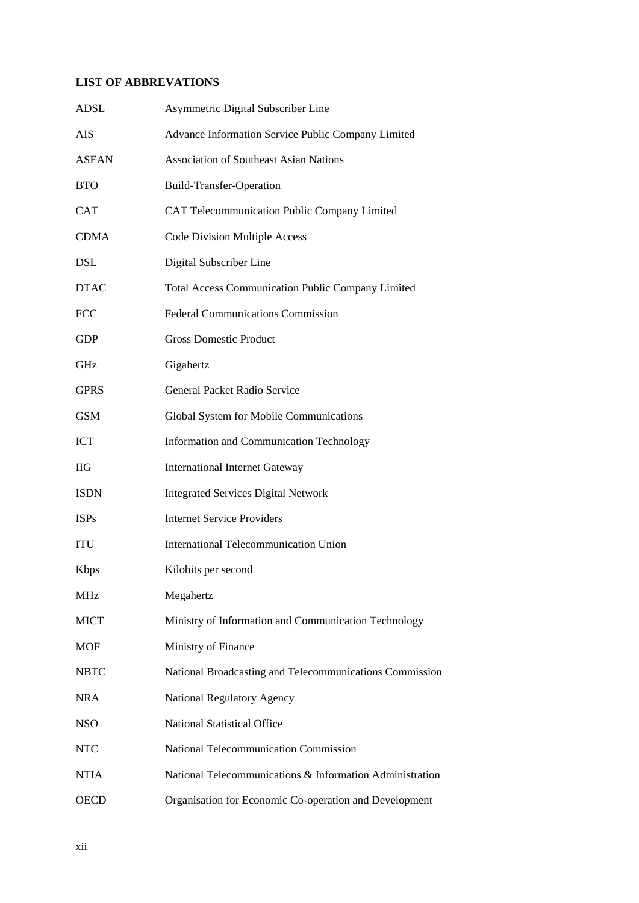# **LIST OF ABBREVATIONS**

| <b>ADSL</b>  | Asymmetric Digital Subscriber Line                       |  |
|--------------|----------------------------------------------------------|--|
| <b>AIS</b>   | Advance Information Service Public Company Limited       |  |
| <b>ASEAN</b> | <b>Association of Southeast Asian Nations</b>            |  |
| <b>BTO</b>   | <b>Build-Transfer-Operation</b>                          |  |
| <b>CAT</b>   | CAT Telecommunication Public Company Limited             |  |
| <b>CDMA</b>  | <b>Code Division Multiple Access</b>                     |  |
| <b>DSL</b>   | Digital Subscriber Line                                  |  |
| <b>DTAC</b>  | <b>Total Access Communication Public Company Limited</b> |  |
| <b>FCC</b>   | <b>Federal Communications Commission</b>                 |  |
| <b>GDP</b>   | <b>Gross Domestic Product</b>                            |  |
| <b>GHz</b>   | Gigahertz                                                |  |
| <b>GPRS</b>  | General Packet Radio Service                             |  |
| <b>GSM</b>   | Global System for Mobile Communications                  |  |
| <b>ICT</b>   | Information and Communication Technology                 |  |
| <b>IIG</b>   | <b>International Internet Gateway</b>                    |  |
| <b>ISDN</b>  | <b>Integrated Services Digital Network</b>               |  |
| <b>ISPs</b>  | <b>Internet Service Providers</b>                        |  |
| <b>ITU</b>   | <b>International Telecommunication Union</b>             |  |
| <b>K</b> bps | Kilobits per second                                      |  |
| <b>MHz</b>   | Megahertz                                                |  |
| <b>MICT</b>  | Ministry of Information and Communication Technology     |  |
| <b>MOF</b>   | Ministry of Finance                                      |  |
| <b>NBTC</b>  | National Broadcasting and Telecommunications Commission  |  |
| <b>NRA</b>   | <b>National Regulatory Agency</b>                        |  |
| <b>NSO</b>   | <b>National Statistical Office</b>                       |  |
| <b>NTC</b>   | National Telecommunication Commission                    |  |
| <b>NTIA</b>  | National Telecommunications & Information Administration |  |
| <b>OECD</b>  | Organisation for Economic Co-operation and Development   |  |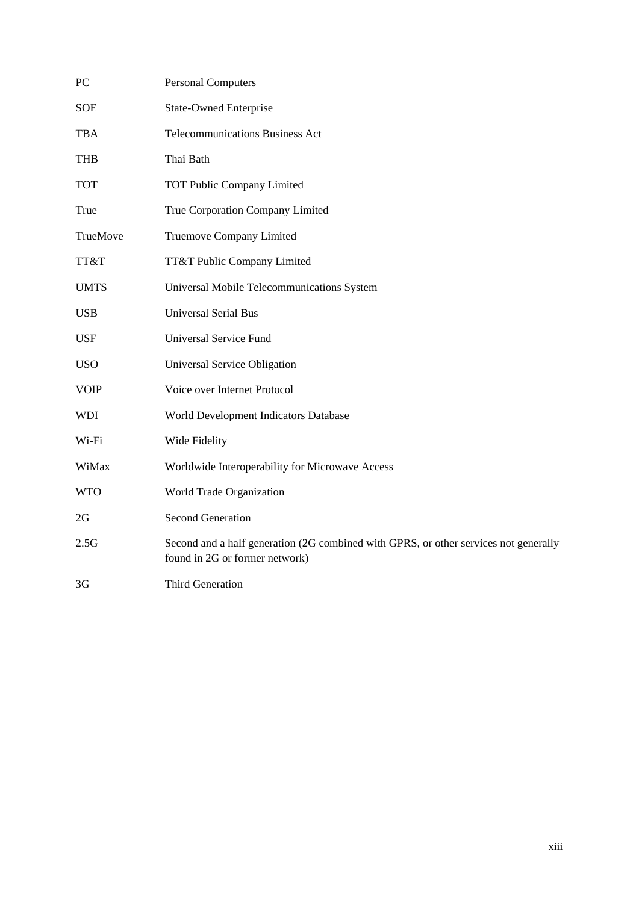| PC          | <b>Personal Computers</b>                                                                                              |  |
|-------------|------------------------------------------------------------------------------------------------------------------------|--|
| <b>SOE</b>  | <b>State-Owned Enterprise</b>                                                                                          |  |
| <b>TBA</b>  | <b>Telecommunications Business Act</b>                                                                                 |  |
| <b>THB</b>  | Thai Bath                                                                                                              |  |
| <b>TOT</b>  | <b>TOT Public Company Limited</b>                                                                                      |  |
| True        | True Corporation Company Limited                                                                                       |  |
| TrueMove    | Truemove Company Limited                                                                                               |  |
| TT&T        | TT&T Public Company Limited                                                                                            |  |
| <b>UMTS</b> | Universal Mobile Telecommunications System                                                                             |  |
| <b>USB</b>  | <b>Universal Serial Bus</b>                                                                                            |  |
| <b>USF</b>  | <b>Universal Service Fund</b>                                                                                          |  |
| <b>USO</b>  | Universal Service Obligation                                                                                           |  |
| <b>VOIP</b> | Voice over Internet Protocol                                                                                           |  |
| <b>WDI</b>  | World Development Indicators Database                                                                                  |  |
| Wi-Fi       | Wide Fidelity                                                                                                          |  |
| WiMax       | Worldwide Interoperability for Microwave Access                                                                        |  |
| <b>WTO</b>  | World Trade Organization                                                                                               |  |
| 2G          | <b>Second Generation</b>                                                                                               |  |
| 2.5G        | Second and a half generation (2G combined with GPRS, or other services not generally<br>found in 2G or former network) |  |
| 3G          | <b>Third Generation</b>                                                                                                |  |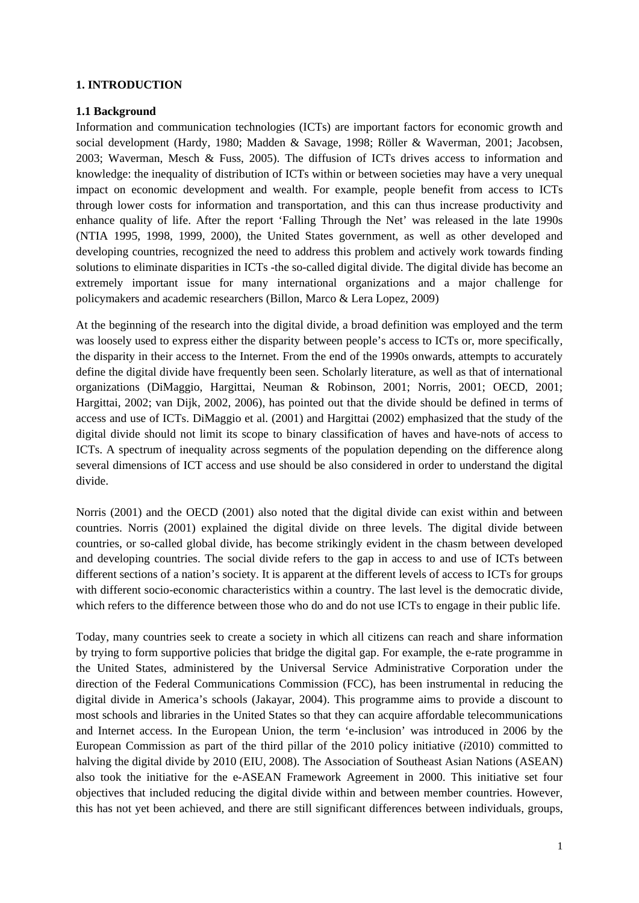### <span id="page-14-0"></span>**1. INTRODUCTION**

#### <span id="page-14-1"></span>**1.1 Background**

Information and communication technologies (ICTs) are important factors for economic growth and social development (Hardy, 1980; Madden & Savage, 1998; Röller & Waverman, 2001; Jacobsen, 2003; Waverman, Mesch & Fuss, 2005). The diffusion of ICTs drives access to information and knowledge: the inequality of distribution of ICTs within or between societies may have a very unequal impact on economic development and wealth. For example, people benefit from access to ICTs through lower costs for information and transportation, and this can thus increase productivity and enhance quality of life. After the report 'Falling Through the Net' was released in the late 1990s (NTIA 1995, 1998, 1999, 2000), the United States government, as well as other developed and developing countries, recognized the need to address this problem and actively work towards finding solutions to eliminate disparities in ICTs -the so-called digital divide. The digital divide has become an extremely important issue for many international organizations and a major challenge for policymakers and academic researchers (Billon, Marco & Lera Lopez, 2009)

At the beginning of the research into the digital divide, a broad definition was employed and the term was loosely used to express either the disparity between people's access to ICTs or, more specifically, the disparity in their access to the Internet. From the end of the 1990s onwards, attempts to accurately define the digital divide have frequently been seen. Scholarly literature, as well as that of international organizations (DiMaggio, Hargittai, Neuman & Robinson, 2001; Norris, 2001; OECD, 2001; Hargittai, 2002; van Dijk, 2002, 2006), has pointed out that the divide should be defined in terms of access and use of ICTs. DiMaggio et al. (2001) and Hargittai (2002) emphasized that the study of the digital divide should not limit its scope to binary classification of haves and have-nots of access to ICTs. A spectrum of inequality across segments of the population depending on the difference along several dimensions of ICT access and use should be also considered in order to understand the digital divide.

Norris (2001) and the OECD (2001) also noted that the digital divide can exist within and between countries. Norris (2001) explained the digital divide on three levels. The digital divide between countries, or so-called global divide, has become strikingly evident in the chasm between developed and developing countries. The social divide refers to the gap in access to and use of ICTs between different sections of a nation's society. It is apparent at the different levels of access to ICTs for groups with different socio-economic characteristics within a country. The last level is the democratic divide, which refers to the difference between those who do and do not use ICTs to engage in their public life.

Today, many countries seek to create a society in which all citizens can reach and share information by trying to form supportive policies that bridge the digital gap. For example, the e-rate programme in the United States, administered by the Universal Service Administrative Corporation under the direction of the Federal Communications Commission (FCC), has been instrumental in reducing the digital divide in America's schools (Jakayar, 2004). This programme aims to provide a discount to most schools and libraries in the United States so that they can acquire affordable telecommunications and Internet access. In the European Union, the term 'e-inclusion' was introduced in 2006 by the European Commission as part of the third pillar of the 2010 policy initiative (*i*2010) committed to halving the digital divide by 2010 (EIU, 2008). The Association of Southeast Asian Nations (ASEAN) also took the initiative for the e-ASEAN Framework Agreement in 2000. This initiative set four objectives that included reducing the digital divide within and between member countries. However, this has not yet been achieved, and there are still significant differences between individuals, groups,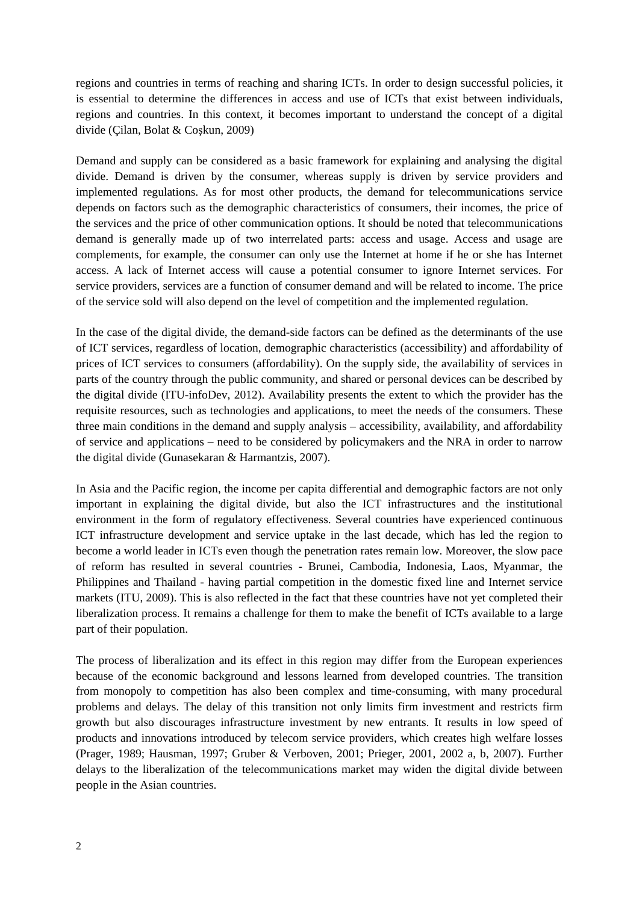regions and countries in terms of reaching and sharing ICTs. In order to design successful policies, it is essential to determine the differences in access and use of ICTs that exist between individuals, regions and countries. In this context, it becomes important to understand the concept of a digital divide (Çilan, Bolat & Coşkun, 2009)

Demand and supply can be considered as a basic framework for explaining and analysing the digital divide. Demand is driven by the consumer, whereas supply is driven by service providers and implemented regulations. As for most other products, the demand for telecommunications service depends on factors such as the demographic characteristics of consumers, their incomes, the price of the services and the price of other communication options. It should be noted that telecommunications demand is generally made up of two interrelated parts: access and usage. Access and usage are complements, for example, the consumer can only use the Internet at home if he or she has Internet access. A lack of Internet access will cause a potential consumer to ignore Internet services. For service providers, services are a function of consumer demand and will be related to income. The price of the service sold will also depend on the level of competition and the implemented regulation.

In the case of the digital divide, the demand-side factors can be defined as the determinants of the use of ICT services, regardless of location, demographic characteristics (accessibility) and affordability of prices of ICT services to consumers (affordability). On the supply side, the availability of services in parts of the country through the public community, and shared or personal devices can be described by the digital divide (ITU-infoDev, 2012). Availability presents the extent to which the provider has the requisite resources, such as technologies and applications, to meet the needs of the consumers. These three main conditions in the demand and supply analysis – accessibility, availability, and affordability of service and applications – need to be considered by policymakers and the NRA in order to narrow the digital divide (Gunasekaran & Harmantzis, 2007).

In Asia and the Pacific region, the income per capita differential and demographic factors are not only important in explaining the digital divide, but also the ICT infrastructures and the institutional environment in the form of regulatory effectiveness. Several countries have experienced continuous ICT infrastructure development and service uptake in the last decade, which has led the region to become a world leader in ICTs even though the penetration rates remain low. Moreover, the slow pace of reform has resulted in several countries - Brunei, Cambodia, Indonesia, Laos, Myanmar, the Philippines and Thailand - having partial competition in the domestic fixed line and Internet service markets (ITU, 2009). This is also reflected in the fact that these countries have not yet completed their liberalization process. It remains a challenge for them to make the benefit of ICTs available to a large part of their population.

The process of liberalization and its effect in this region may differ from the European experiences because of the economic background and lessons learned from developed countries. The transition from monopoly to competition has also been complex and time-consuming, with many procedural problems and delays. The delay of this transition not only limits firm investment and restricts firm growth but also discourages infrastructure investment by new entrants. It results in low speed of products and innovations introduced by telecom service providers, which creates high welfare losses (Prager, 1989; Hausman, 1997; Gruber & Verboven, 2001; Prieger, 2001, 2002 a, b, 2007). Further delays to the liberalization of the telecommunications market may widen the digital divide between people in the Asian countries.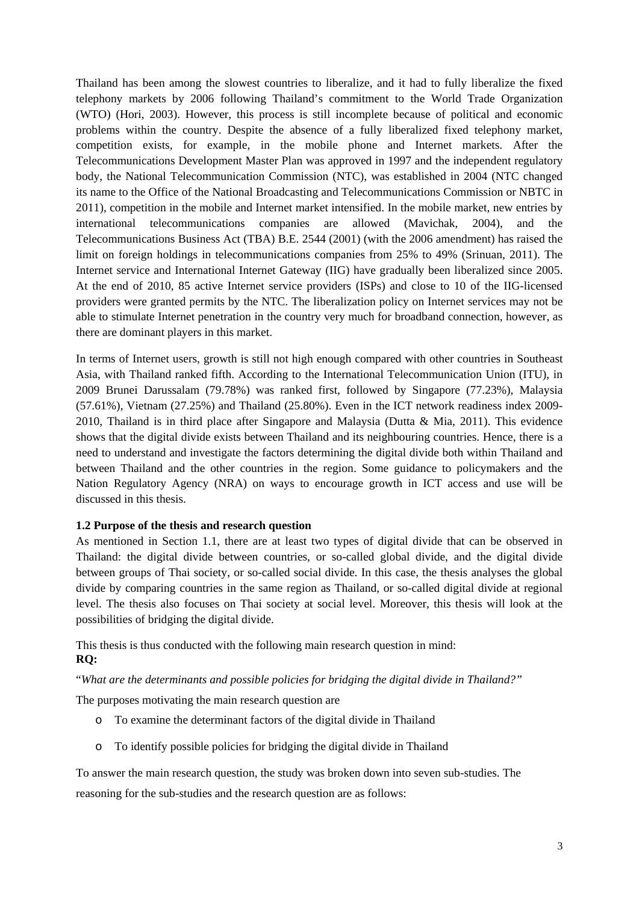Thailand has been among the slowest countries to liberalize, and it had to fully liberalize the fixed telephony markets by 2006 following Thailand's commitment to the World Trade Organization (WTO) (Hori, 2003). However, this process is still incomplete because of political and economic problems within the country. Despite the absence of a fully liberalized fixed telephony market, competition exists, for example, in the mobile phone and Internet markets. After the Telecommunications Development Master Plan was approved in 1997 and the independent regulatory body, the National Telecommunication Commission (NTC), was established in 2004 (NTC changed its name to the Office of the National Broadcasting and Telecommunications Commission or NBTC in 2011), competition in the mobile and Internet market intensified. In the mobile market, new entries by international telecommunications companies are allowed (Mavichak, 2004), and the Telecommunications Business Act (TBA) B.E. 2544 (2001) (with the 2006 amendment) has raised the limit on foreign holdings in telecommunications companies from 25% to 49% (Srinuan, 2011). The Internet service and International Internet Gateway (IIG) have gradually been liberalized since 2005. At the end of 2010, 85 active Internet service providers (ISPs) and close to 10 of the IIG-licensed providers were granted permits by the NTC. The liberalization policy on Internet services may not be able to stimulate Internet penetration in the country very much for broadband connection, however, as there are dominant players in this market.

In terms of Internet users, growth is still not high enough compared with other countries in Southeast Asia, with Thailand ranked fifth. According to the International Telecommunication Union (ITU), in 2009 Brunei Darussalam (79.78%) was ranked first, followed by Singapore (77.23%), Malaysia (57.61%), Vietnam (27.25%) and Thailand (25.80%). Even in the ICT network readiness index 2009- 2010, Thailand is in third place after Singapore and Malaysia (Dutta & Mia, 2011). This evidence shows that the digital divide exists between Thailand and its neighbouring countries. Hence, there is a need to understand and investigate the factors determining the digital divide both within Thailand and between Thailand and the other countries in the region. Some guidance to policymakers and the Nation Regulatory Agency (NRA) on ways to encourage growth in ICT access and use will be discussed in this thesis.

# <span id="page-16-0"></span>**1.2 Purpose of the thesis and research question**

As mentioned in Section 1.1, there are at least two types of digital divide that can be observed in Thailand: the digital divide between countries, or so-called global divide, and the digital divide between groups of Thai society, or so-called social divide. In this case, the thesis analyses the global divide by comparing countries in the same region as Thailand, or so-called digital divide at regional level. The thesis also focuses on Thai society at social level. Moreover, this thesis will look at the possibilities of bridging the digital divide.

This thesis is thus conducted with the following main research question in mind: **RQ:**

"*What are the determinants and possible policies for bridging the digital divide in Thailand?"*

The purposes motivating the main research question are

- o To examine the determinant factors of the digital divide in Thailand
- o To identify possible policies for bridging the digital divide in Thailand

To answer the main research question, the study was broken down into seven sub-studies. The reasoning for the sub-studies and the research question are as follows: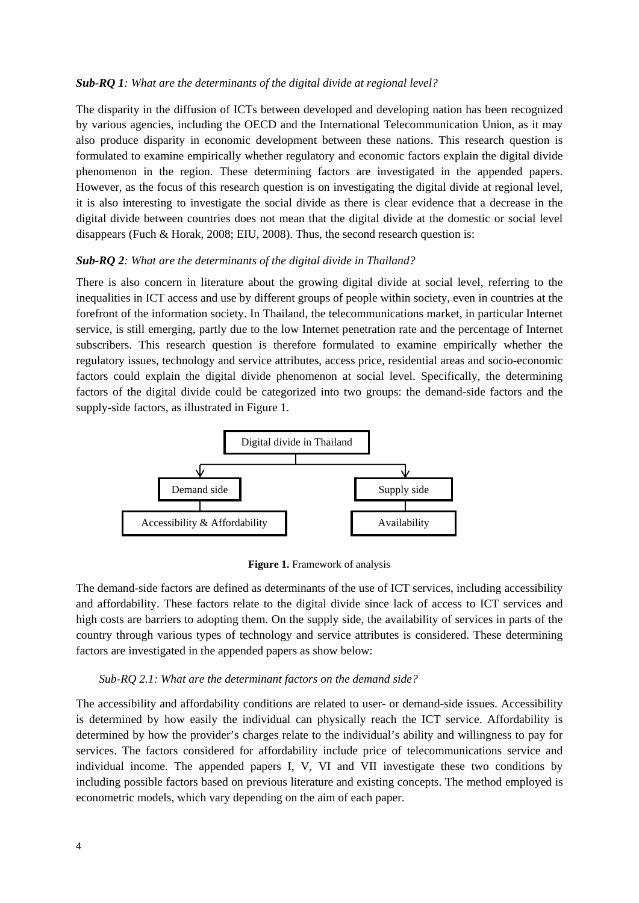### *Sub-RQ 1: What are the determinants of the digital divide at regional level?*

The disparity in the diffusion of ICTs between developed and developing nation has been recognized by various agencies, including the OECD and the International Telecommunication Union, as it may also produce disparity in economic development between these nations. This research question is formulated to examine empirically whether regulatory and economic factors explain the digital divide phenomenon in the region. These determining factors are investigated in the appended papers. However, as the focus of this research question is on investigating the digital divide at regional level, it is also interesting to investigate the social divide as there is clear evidence that a decrease in the digital divide between countries does not mean that the digital divide at the domestic or social level disappears (Fuch & Horak, 2008; EIU, 2008). Thus, the second research question is:

#### *Sub-RQ 2: What are the determinants of the digital divide in Thailand?*

There is also concern in literature about the growing digital divide at social level, referring to the inequalities in ICT access and use by different groups of people within society, even in countries at the forefront of the information society. In Thailand, the telecommunications market, in particular Internet service, is still emerging, partly due to the low Internet penetration rate and the percentage of Internet subscribers. This research question is therefore formulated to examine empirically whether the regulatory issues, technology and service attributes, access price, residential areas and socio-economic factors could explain the digital divide phenomenon at social level. Specifically, the determining factors of the digital divide could be categorized into two groups: the demand-side factors and the supply-side factors, as illustrated in Figure 1.



**Figure 1.** Framework of analysis

The demand-side factors are defined as determinants of the use of ICT services, including accessibility and affordability. These factors relate to the digital divide since lack of access to ICT services and high costs are barriers to adopting them. On the supply side, the availability of services in parts of the country through various types of technology and service attributes is considered. These determining factors are investigated in the appended papers as show below:

#### *Sub-RQ 2.1: What are the determinant factors on the demand side?*

The accessibility and affordability conditions are related to user- or demand-side issues. Accessibility is determined by how easily the individual can physically reach the ICT service. Affordability is determined by how the provider's charges relate to the individual's ability and willingness to pay for services. The factors considered for affordability include price of telecommunications service and individual income. The appended papers I, V, VI and VII investigate these two conditions by including possible factors based on previous literature and existing concepts. The method employed is econometric models, which vary depending on the aim of each paper.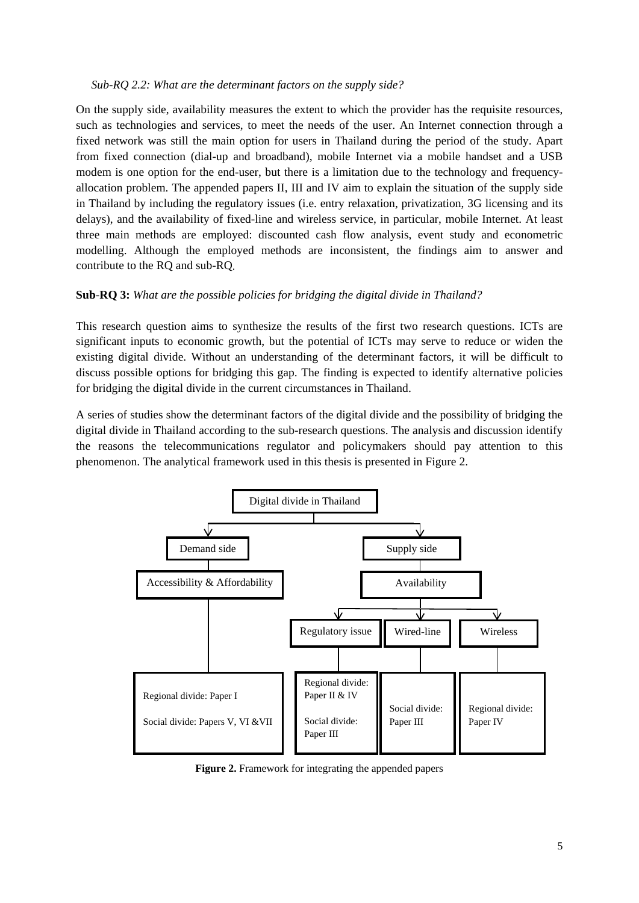#### *Sub-RQ 2.2: What are the determinant factors on the supply side?*

On the supply side, availability measures the extent to which the provider has the requisite resources, such as technologies and services, to meet the needs of the user. An Internet connection through a fixed network was still the main option for users in Thailand during the period of the study. Apart from fixed connection (dial-up and broadband), mobile Internet via a mobile handset and a USB modem is one option for the end-user, but there is a limitation due to the technology and frequencyallocation problem. The appended papers II, III and IV aim to explain the situation of the supply side in Thailand by including the regulatory issues (i.e. entry relaxation, privatization, 3G licensing and its delays), and the availability of fixed-line and wireless service, in particular, mobile Internet. At least three main methods are employed: discounted cash flow analysis, event study and econometric modelling. Although the employed methods are inconsistent, the findings aim to answer and contribute to the RQ and sub-RQ.

# **Sub***-***RQ 3:** *What are the possible policies for bridging the digital divide in Thailand?*

This research question aims to synthesize the results of the first two research questions. ICTs are significant inputs to economic growth, but the potential of ICTs may serve to reduce or widen the existing digital divide. Without an understanding of the determinant factors, it will be difficult to discuss possible options for bridging this gap. The finding is expected to identify alternative policies for bridging the digital divide in the current circumstances in Thailand.

A series of studies show the determinant factors of the digital divide and the possibility of bridging the digital divide in Thailand according to the sub-research questions. The analysis and discussion identify the reasons the telecommunications regulator and policymakers should pay attention to this phenomenon. The analytical framework used in this thesis is presented in Figure 2.



**Figure 2.** Framework for integrating the appended papers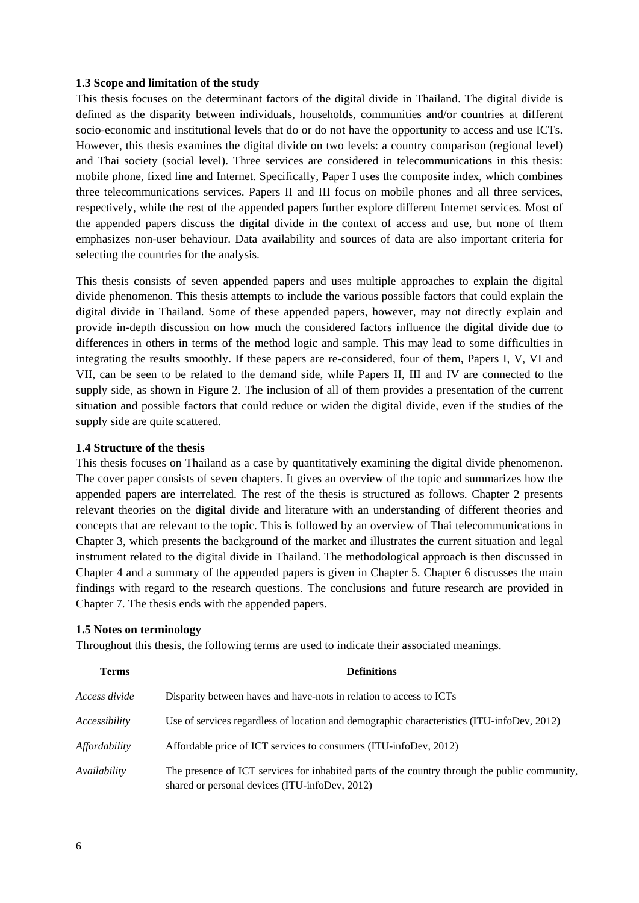#### <span id="page-19-0"></span>**1.3 Scope and limitation of the study**

This thesis focuses on the determinant factors of the digital divide in Thailand. The digital divide is defined as the disparity between individuals, households, communities and/or countries at different socio-economic and institutional levels that do or do not have the opportunity to access and use ICTs. However, this thesis examines the digital divide on two levels: a country comparison (regional level) and Thai society (social level). Three services are considered in telecommunications in this thesis: mobile phone, fixed line and Internet. Specifically, Paper I uses the composite index, which combines three telecommunications services. Papers II and III focus on mobile phones and all three services, respectively, while the rest of the appended papers further explore different Internet services. Most of the appended papers discuss the digital divide in the context of access and use, but none of them emphasizes non-user behaviour. Data availability and sources of data are also important criteria for selecting the countries for the analysis.

This thesis consists of seven appended papers and uses multiple approaches to explain the digital divide phenomenon. This thesis attempts to include the various possible factors that could explain the digital divide in Thailand. Some of these appended papers, however, may not directly explain and provide in-depth discussion on how much the considered factors influence the digital divide due to differences in others in terms of the method logic and sample. This may lead to some difficulties in integrating the results smoothly. If these papers are re-considered, four of them, Papers I, V, VI and VII, can be seen to be related to the demand side, while Papers II, III and IV are connected to the supply side, as shown in Figure 2. The inclusion of all of them provides a presentation of the current situation and possible factors that could reduce or widen the digital divide, even if the studies of the supply side are quite scattered.

#### <span id="page-19-1"></span>**1.4 Structure of the thesis**

This thesis focuses on Thailand as a case by quantitatively examining the digital divide phenomenon. The cover paper consists of seven chapters. It gives an overview of the topic and summarizes how the appended papers are interrelated. The rest of the thesis is structured as follows. Chapter 2 presents relevant theories on the digital divide and literature with an understanding of different theories and concepts that are relevant to the topic. This is followed by an overview of Thai telecommunications in Chapter 3, which presents the background of the market and illustrates the current situation and legal instrument related to the digital divide in Thailand. The methodological approach is then discussed in Chapter 4 and a summary of the appended papers is given in Chapter 5. Chapter 6 discusses the main findings with regard to the research questions. The conclusions and future research are provided in Chapter 7. The thesis ends with the appended papers.

#### <span id="page-19-2"></span>**1.5 Notes on terminology**

Throughout this thesis, the following terms are used to indicate their associated meanings.

| <b>Terms</b>  | <b>Definitions</b>                                                                                                                              |  |  |
|---------------|-------------------------------------------------------------------------------------------------------------------------------------------------|--|--|
| Access divide | Disparity between haves and have-nots in relation to access to ICTs                                                                             |  |  |
| Accessibility | Use of services regardless of location and demographic characteristics (ITU-infoDev, 2012)                                                      |  |  |
| Affordability | Affordable price of ICT services to consumers (ITU-infoDev, 2012)                                                                               |  |  |
| Availability  | The presence of ICT services for inhabited parts of the country through the public community,<br>shared or personal devices (ITU-infoDev, 2012) |  |  |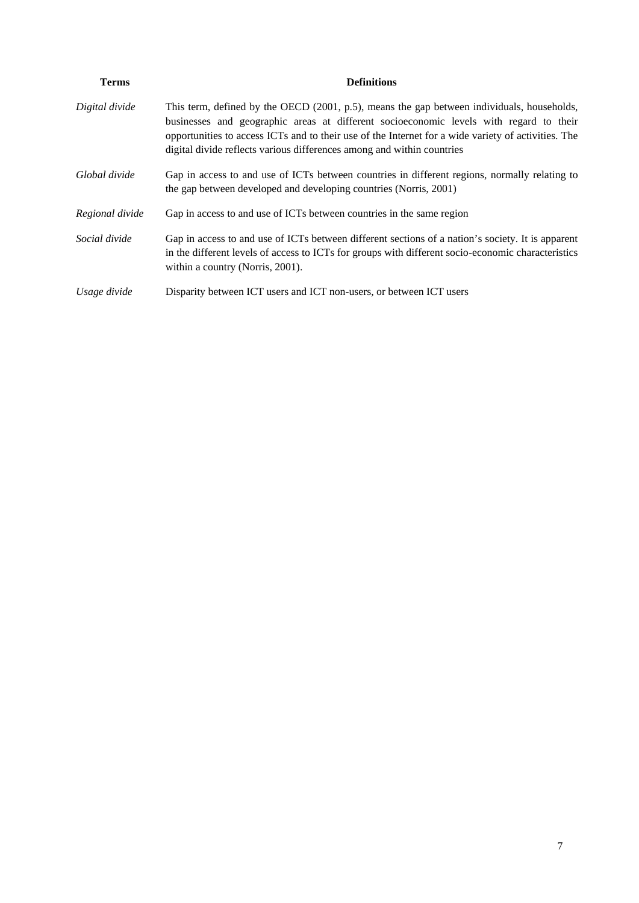| <b>Terms</b>    | <b>Definitions</b>                                                                                                                                                                                                                                                                                                                                                    |
|-----------------|-----------------------------------------------------------------------------------------------------------------------------------------------------------------------------------------------------------------------------------------------------------------------------------------------------------------------------------------------------------------------|
| Digital divide  | This term, defined by the OECD (2001, p.5), means the gap between individuals, households,<br>businesses and geographic areas at different socioeconomic levels with regard to their<br>opportunities to access ICTs and to their use of the Internet for a wide variety of activities. The<br>digital divide reflects various differences among and within countries |
| Global divide   | Gap in access to and use of ICTs between countries in different regions, normally relating to<br>the gap between developed and developing countries (Norris, 2001)                                                                                                                                                                                                    |
| Regional divide | Gap in access to and use of ICTs between countries in the same region                                                                                                                                                                                                                                                                                                 |
| Social divide   | Gap in access to and use of ICTs between different sections of a nation's society. It is apparent<br>in the different levels of access to ICTs for groups with different socio-economic characteristics<br>within a country (Norris, 2001).                                                                                                                           |
| Usage divide    | Disparity between ICT users and ICT non-users, or between ICT users                                                                                                                                                                                                                                                                                                   |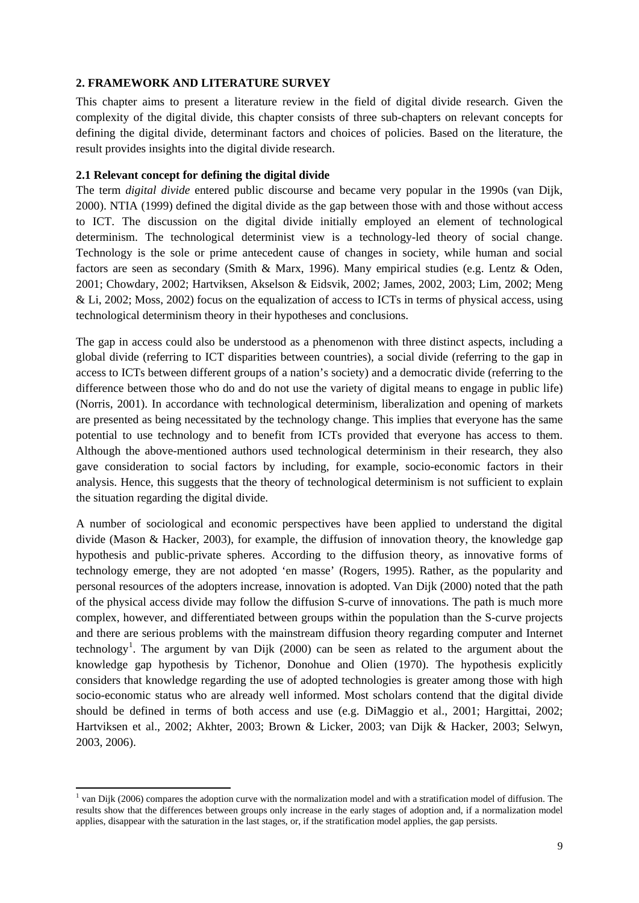### <span id="page-22-0"></span>**2. FRAMEWORK AND LITERATURE SURVEY**

This chapter aims to present a literature review in the field of digital divide research. Given the complexity of the digital divide, this chapter consists of three sub-chapters on relevant concepts for defining the digital divide, determinant factors and choices of policies. Based on the literature, the result provides insights into the digital divide research.

### <span id="page-22-1"></span>**2.1 Relevant concept for defining the digital divide**

The term *digital divide* entered public discourse and became very popular in the 1990s (van Dijk, 2000). NTIA (1999) defined the digital divide as the gap between those with and those without access to ICT. The discussion on the digital divide initially employed an element of technological determinism. The technological determinist view is a technology-led theory of social change. Technology is the sole or prime antecedent cause of changes in society, while human and social factors are seen as secondary (Smith & Marx, 1996). Many empirical studies (e.g. Lentz & Oden, 2001; Chowdary, 2002; Hartviksen, Akselson & Eidsvik, 2002; James, 2002, 2003; Lim, 2002; Meng & Li, 2002; Moss, 2002) focus on the equalization of access to ICTs in terms of physical access, using technological determinism theory in their hypotheses and conclusions.

The gap in access could also be understood as a phenomenon with three distinct aspects, including a global divide (referring to ICT disparities between countries), a social divide (referring to the gap in access to ICTs between different groups of a nation's society) and a democratic divide (referring to the difference between those who do and do not use the variety of digital means to engage in public life) (Norris, 2001). In accordance with technological determinism, liberalization and opening of markets are presented as being necessitated by the technology change. This implies that everyone has the same potential to use technology and to benefit from ICTs provided that everyone has access to them. Although the above-mentioned authors used technological determinism in their research, they also gave consideration to social factors by including, for example, socio-economic factors in their analysis. Hence, this suggests that the theory of technological determinism is not sufficient to explain the situation regarding the digital divide.

A number of sociological and economic perspectives have been applied to understand the digital divide (Mason & Hacker, 2003), for example, the diffusion of innovation theory, the knowledge gap hypothesis and public-private spheres. According to the diffusion theory, as innovative forms of technology emerge, they are not adopted 'en masse' (Rogers, 1995). Rather, as the popularity and personal resources of the adopters increase, innovation is adopted. Van Dijk (2000) noted that the path of the physical access divide may follow the diffusion S-curve of innovations. The path is much more complex, however, and differentiated between groups within the population than the S-curve projects and there are serious problems with the mainstream diffusion theory regarding computer and Internet technology<sup>[1](#page-22-2)</sup>. The argument by van Dijk (2000) can be seen as related to the argument about the knowledge gap hypothesis by Tichenor, Donohue and Olien (1970). The hypothesis explicitly considers that knowledge regarding the use of adopted technologies is greater among those with high socio-economic status who are already well informed. Most scholars contend that the digital divide should be defined in terms of both access and use (e.g. DiMaggio et al., 2001; Hargittai, 2002; Hartviksen et al., 2002; Akhter, 2003; Brown & Licker, 2003; van Dijk & Hacker, 2003; Selwyn, 2003, 2006).

<span id="page-22-2"></span> $<sup>1</sup>$  van Dijk (2006) compares the adoption curve with the normalization model and with a stratification model of diffusion. The</sup> results show that the differences between groups only increase in the early stages of adoption and, if a normalization model applies, disappear with the saturation in the last stages, or, if the stratification model applies, the gap persists.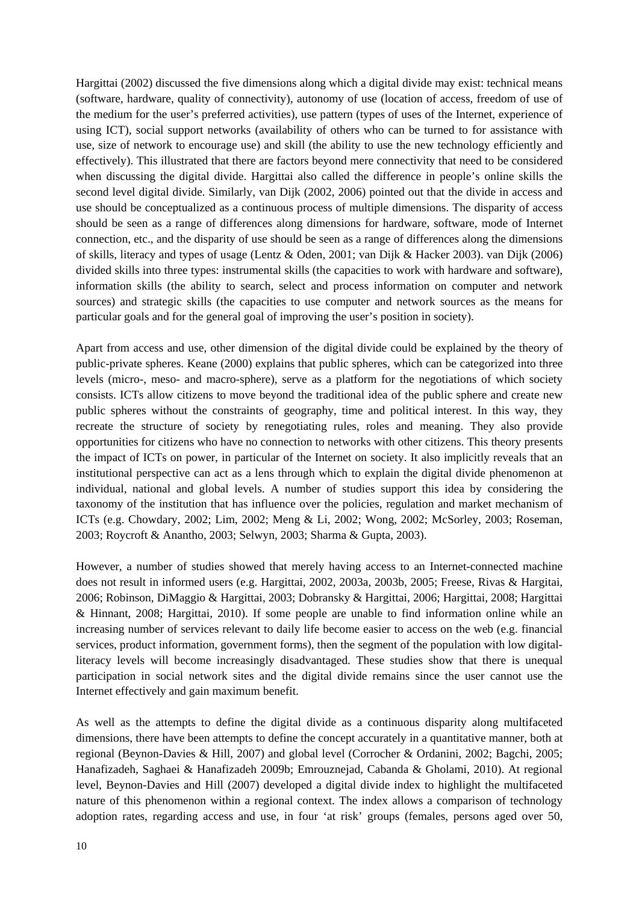Hargittai (2002) discussed the five dimensions along which a digital divide may exist: technical means (software, hardware, quality of connectivity), autonomy of use (location of access, freedom of use of the medium for the user's preferred activities), use pattern (types of uses of the Internet, experience of using ICT), social support networks (availability of others who can be turned to for assistance with use, size of network to encourage use) and skill (the ability to use the new technology efficiently and effectively). This illustrated that there are factors beyond mere connectivity that need to be considered when discussing the digital divide. Hargittai also called the difference in people's online skills the second level digital divide. Similarly, van Dijk (2002, 2006) pointed out that the divide in access and use should be conceptualized as a continuous process of multiple dimensions. The disparity of access should be seen as a range of differences along dimensions for hardware, software, mode of Internet connection, etc., and the disparity of use should be seen as a range of differences along the dimensions of skills, literacy and types of usage (Lentz & Oden, 2001; van Dijk & Hacker 2003). van Dijk (2006) divided skills into three types: instrumental skills (the capacities to work with hardware and software), information skills (the ability to search, select and process information on computer and network sources) and strategic skills (the capacities to use computer and network sources as the means for particular goals and for the general goal of improving the user's position in society).

Apart from access and use, other dimension of the digital divide could be explained by the theory of public-private spheres. Keane (2000) explains that public spheres, which can be categorized into three levels (micro-, meso- and macro-sphere), serve as a platform for the negotiations of which society consists. ICTs allow citizens to move beyond the traditional idea of the public sphere and create new public spheres without the constraints of geography, time and political interest. In this way, they recreate the structure of society by renegotiating rules, roles and meaning. They also provide opportunities for citizens who have no connection to networks with other citizens. This theory presents the impact of ICTs on power, in particular of the Internet on society. It also implicitly reveals that an institutional perspective can act as a lens through which to explain the digital divide phenomenon at individual, national and global levels. A number of studies support this idea by considering the taxonomy of the institution that has influence over the policies, regulation and market mechanism of ICTs (e.g. Chowdary, 2002; Lim, 2002; Meng & Li, 2002; Wong, 2002; McSorley, 2003; Roseman, 2003; Roycroft & Anantho, 2003; Selwyn, 2003; Sharma & Gupta, 2003).

However, a number of studies showed that merely having access to an Internet-connected machine does not result in informed users (e.g. Hargittai, 2002, 2003a, 2003b, 2005; Freese, Rivas & Hargitai, 2006; Robinson, DiMaggio & Hargittai, 2003; Dobransky & Hargittai, 2006; Hargittai, 2008; Hargittai & Hinnant, 2008; Hargittai, 2010). If some people are unable to find information online while an increasing number of services relevant to daily life become easier to access on the web (e.g. financial services, product information, government forms), then the segment of the population with low digitalliteracy levels will become increasingly disadvantaged. These studies show that there is unequal participation in social network sites and the digital divide remains since the user cannot use the Internet effectively and gain maximum benefit.

As well as the attempts to define the digital divide as a continuous disparity along multifaceted dimensions, there have been attempts to define the concept accurately in a quantitative manner, both at regional (Beynon-Davies & Hill, 2007) and global level (Corrocher & Ordanini, 2002; Bagchi, 2005; Hanafizadeh, Saghaei & Hanafizadeh 2009b; Emrouznejad, Cabanda & Gholami, 2010). At regional level, Beynon-Davies and Hill (2007) developed a digital divide index to highlight the multifaceted nature of this phenomenon within a regional context. The index allows a comparison of technology adoption rates, regarding access and use, in four 'at risk' groups (females, persons aged over 50,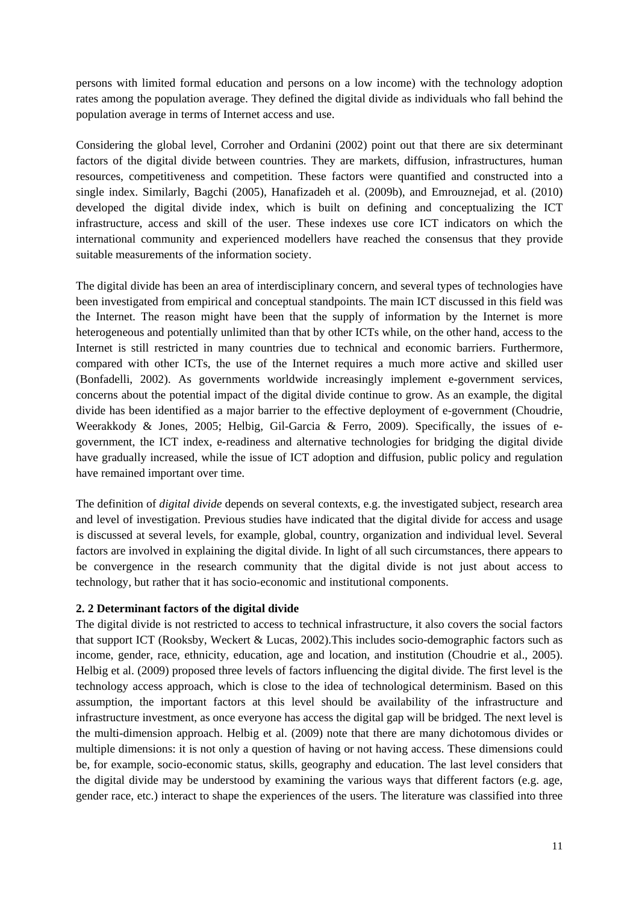persons with limited formal education and persons on a low income) with the technology adoption rates among the population average. They defined the digital divide as individuals who fall behind the population average in terms of Internet access and use.

Considering the global level, Corroher and Ordanini (2002) point out that there are six determinant factors of the digital divide between countries. They are markets, diffusion, infrastructures, human resources, competitiveness and competition. These factors were quantified and constructed into a single index. Similarly, Bagchi (2005), Hanafizadeh et al. (2009b), and Emrouznejad, et al. (2010) developed the digital divide index, which is built on defining and conceptualizing the ICT infrastructure, access and skill of the user. These indexes use core ICT indicators on which the international community and experienced modellers have reached the consensus that they provide suitable measurements of the information society.

The digital divide has been an area of interdisciplinary concern, and several types of technologies have been investigated from empirical and conceptual standpoints. The main ICT discussed in this field was the Internet. The reason might have been that the supply of information by the Internet is more heterogeneous and potentially unlimited than that by other ICTs while, on the other hand, access to the Internet is still restricted in many countries due to technical and economic barriers. Furthermore, compared with other ICTs, the use of the Internet requires a much more active and skilled user (Bonfadelli, 2002). As governments worldwide increasingly implement e-government services, concerns about the potential impact of the digital divide continue to grow. As an example, the digital divide has been identified as a major barrier to the effective deployment of e-government (Choudrie, Weerakkody & Jones, 2005; Helbig, Gil-Garcia & Ferro, 2009). Specifically, the issues of egovernment, the ICT index, e-readiness and alternative technologies for bridging the digital divide have gradually increased, while the issue of ICT adoption and diffusion, public policy and regulation have remained important over time.

The definition of *digital divide* depends on several contexts, e.g. the investigated subject, research area and level of investigation. Previous studies have indicated that the digital divide for access and usage is discussed at several levels, for example, global, country, organization and individual level. Several factors are involved in explaining the digital divide. In light of all such circumstances, there appears to be convergence in the research community that the digital divide is not just about access to technology, but rather that it has socio-economic and institutional components.

# **2. 2 Determinant factors of the digital divide**

The digital divide is not restricted to access to technical infrastructure, it also covers the social factors that support ICT (Rooksby, Weckert & Lucas, 2002).This includes socio-demographic factors such as income, gender, race, ethnicity, education, age and location, and institution (Choudrie et al., 2005). Helbig et al. (2009) proposed three levels of factors influencing the digital divide. The first level is the technology access approach, which is close to the idea of technological determinism. Based on this assumption, the important factors at this level should be availability of the infrastructure and infrastructure investment, as once everyone has access the digital gap will be bridged. The next level is the multi-dimension approach. Helbig et al. (2009) note that there are many dichotomous divides or multiple dimensions: it is not only a question of having or not having access. These dimensions could be, for example, socio-economic status, skills, geography and education. The last level considers that the digital divide may be understood by examining the various ways that different factors (e.g. age, gender race, etc.) interact to shape the experiences of the users. The literature was classified into three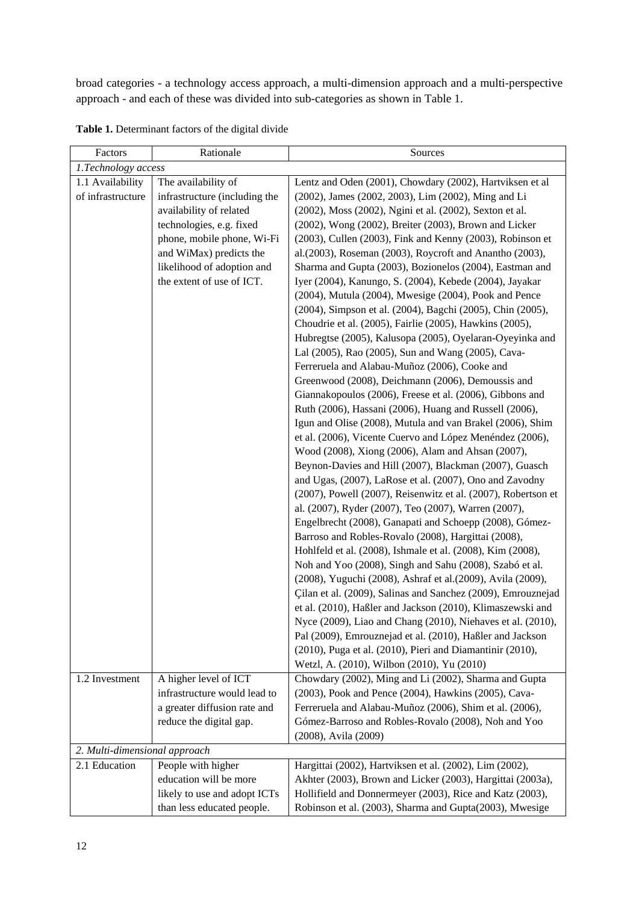broad categories - a technology access approach, a multi-dimension approach and a multi-perspective approach - and each of these was divided into sub-categories as shown in Table 1.

| Factors                       | Rationale                                               | Sources                                                                                                        |  |
|-------------------------------|---------------------------------------------------------|----------------------------------------------------------------------------------------------------------------|--|
| 1.Technology access           |                                                         |                                                                                                                |  |
| 1.1 Availability              | The availability of                                     | Lentz and Oden (2001), Chowdary (2002), Hartviksen et al                                                       |  |
| of infrastructure             | infrastructure (including the                           | (2002), James (2002, 2003), Lim (2002), Ming and Li                                                            |  |
|                               | availability of related                                 | (2002), Moss (2002), Ngini et al. (2002), Sexton et al.                                                        |  |
|                               | technologies, e.g. fixed                                | (2002), Wong (2002), Breiter (2003), Brown and Licker                                                          |  |
|                               | phone, mobile phone, Wi-Fi                              | (2003), Cullen (2003), Fink and Kenny (2003), Robinson et                                                      |  |
|                               | and WiMax) predicts the                                 | al.(2003), Roseman (2003), Roycroft and Anantho (2003),                                                        |  |
|                               | likelihood of adoption and                              | Sharma and Gupta (2003), Bozionelos (2004), Eastman and                                                        |  |
|                               | the extent of use of ICT.                               | Iyer (2004), Kanungo, S. (2004), Kebede (2004), Jayakar                                                        |  |
|                               |                                                         | (2004), Mutula (2004), Mwesige (2004), Pook and Pence                                                          |  |
|                               |                                                         | (2004), Simpson et al. (2004), Bagchi (2005), Chin (2005),                                                     |  |
|                               |                                                         | Choudrie et al. (2005), Fairlie (2005), Hawkins (2005),                                                        |  |
|                               |                                                         | Hubregtse (2005), Kalusopa (2005), Oyelaran-Oyeyinka and                                                       |  |
|                               |                                                         | Lal (2005), Rao (2005), Sun and Wang (2005), Cava-                                                             |  |
|                               |                                                         | Ferreruela and Alabau-Muñoz (2006), Cooke and                                                                  |  |
|                               |                                                         | Greenwood (2008), Deichmann (2006), Demoussis and                                                              |  |
|                               |                                                         | Giannakopoulos (2006), Freese et al. (2006), Gibbons and                                                       |  |
|                               |                                                         | Ruth (2006), Hassani (2006), Huang and Russell (2006),                                                         |  |
|                               |                                                         | Igun and Olise (2008), Mutula and van Brakel (2006), Shim                                                      |  |
|                               |                                                         | et al. (2006), Vicente Cuervo and López Menéndez (2006),                                                       |  |
|                               |                                                         | Wood (2008), Xiong (2006), Alam and Ahsan (2007),                                                              |  |
|                               |                                                         | Beynon-Davies and Hill (2007), Blackman (2007), Guasch                                                         |  |
|                               |                                                         | and Ugas, (2007), LaRose et al. (2007), Ono and Zavodny                                                        |  |
|                               |                                                         | (2007), Powell (2007), Reisenwitz et al. (2007), Robertson et                                                  |  |
|                               |                                                         | al. (2007), Ryder (2007), Teo (2007), Warren (2007),                                                           |  |
|                               |                                                         | Engelbrecht (2008), Ganapati and Schoepp (2008), Gómez-                                                        |  |
|                               |                                                         | Barroso and Robles-Rovalo (2008), Hargittai (2008),                                                            |  |
|                               |                                                         | Hohlfeld et al. (2008), Ishmale et al. (2008), Kim (2008),                                                     |  |
|                               |                                                         | Noh and Yoo (2008), Singh and Sahu (2008), Szabó et al.                                                        |  |
|                               |                                                         | (2008), Yuguchi (2008), Ashraf et al.(2009), Avila (2009),                                                     |  |
|                               |                                                         | Çilan et al. (2009), Salinas and Sanchez (2009), Emrouznejad                                                   |  |
|                               |                                                         | et al. (2010), Haßler and Jackson (2010), Klimaszewski and                                                     |  |
|                               |                                                         | Nyce (2009), Liao and Chang (2010), Niehaves et al. (2010),                                                    |  |
|                               |                                                         | Pal (2009), Emrouznejad et al. (2010), Haßler and Jackson                                                      |  |
|                               |                                                         | (2010), Puga et al. (2010), Pieri and Diamantinir (2010),                                                      |  |
|                               |                                                         | Wetzl, A. (2010), Wilbon (2010), Yu (2010)                                                                     |  |
| 1.2 Investment                | A higher level of ICT<br>infrastructure would lead to   | Chowdary (2002), Ming and Li (2002), Sharma and Gupta<br>(2003), Pook and Pence (2004), Hawkins (2005), Cava-  |  |
|                               |                                                         |                                                                                                                |  |
|                               | a greater diffusion rate and<br>reduce the digital gap. | Ferreruela and Alabau-Muñoz (2006), Shim et al. (2006),<br>Gómez-Barroso and Robles-Rovalo (2008), Noh and Yoo |  |
|                               |                                                         | (2008), Avila (2009)                                                                                           |  |
| 2. Multi-dimensional approach |                                                         |                                                                                                                |  |
| 2.1 Education                 | People with higher                                      | Hargittai (2002), Hartviksen et al. (2002), Lim (2002),                                                        |  |
|                               | education will be more                                  | Akhter (2003), Brown and Licker (2003), Hargittai (2003a),                                                     |  |
|                               | likely to use and adopt ICTs                            | Hollifield and Donnermeyer (2003), Rice and Katz (2003),                                                       |  |
|                               | than less educated people.                              | Robinson et al. (2003), Sharma and Gupta(2003), Mwesige                                                        |  |

<span id="page-25-0"></span>**Table 1.** Determinant factors of the digital divide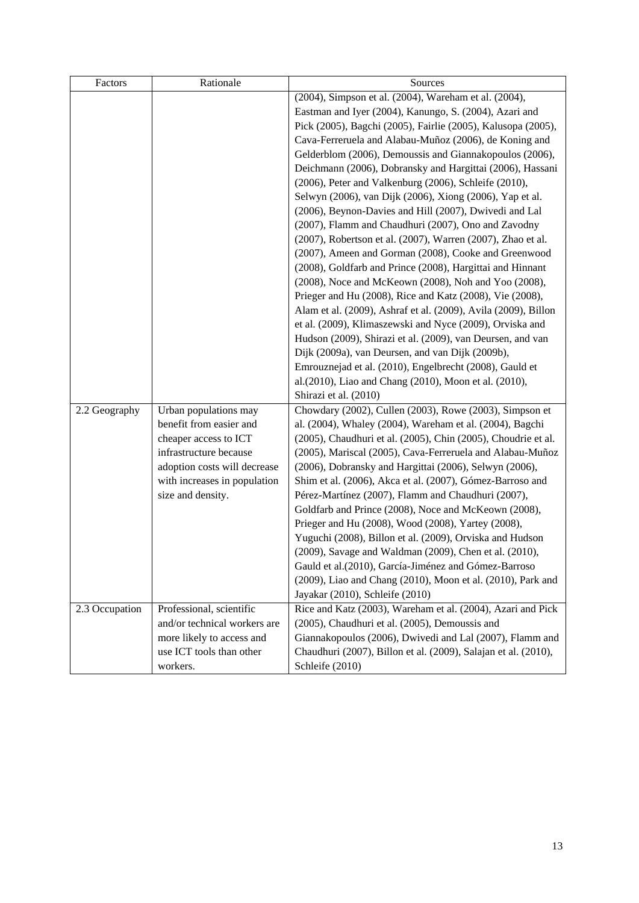| Factors        | Rationale                    | Sources                                                                                                         |
|----------------|------------------------------|-----------------------------------------------------------------------------------------------------------------|
|                |                              | (2004), Simpson et al. (2004), Wareham et al. (2004),                                                           |
|                |                              | Eastman and Iyer (2004), Kanungo, S. (2004), Azari and                                                          |
|                |                              | Pick (2005), Bagchi (2005), Fairlie (2005), Kalusopa (2005),                                                    |
|                |                              | Cava-Ferreruela and Alabau-Muñoz (2006), de Koning and                                                          |
|                |                              | Gelderblom (2006), Demoussis and Giannakopoulos (2006),                                                         |
|                |                              | Deichmann (2006), Dobransky and Hargittai (2006), Hassani                                                       |
|                |                              | (2006), Peter and Valkenburg (2006), Schleife (2010),                                                           |
|                |                              | Selwyn (2006), van Dijk (2006), Xiong (2006), Yap et al.                                                        |
|                |                              | (2006), Beynon-Davies and Hill (2007), Dwivedi and Lal                                                          |
|                |                              | (2007), Flamm and Chaudhuri (2007), Ono and Zavodny                                                             |
|                |                              | (2007), Robertson et al. (2007), Warren (2007), Zhao et al.                                                     |
|                |                              | (2007), Ameen and Gorman (2008), Cooke and Greenwood                                                            |
|                |                              | (2008), Goldfarb and Prince (2008), Hargittai and Hinnant                                                       |
|                |                              | (2008), Noce and McKeown (2008), Noh and Yoo (2008),                                                            |
|                |                              | Prieger and Hu (2008), Rice and Katz (2008), Vie (2008),                                                        |
|                |                              | Alam et al. (2009), Ashraf et al. (2009), Avila (2009), Billon                                                  |
|                |                              | et al. (2009), Klimaszewski and Nyce (2009), Orviska and                                                        |
|                |                              | Hudson (2009), Shirazi et al. (2009), van Deursen, and van                                                      |
|                |                              | Dijk (2009a), van Deursen, and van Dijk (2009b),                                                                |
|                |                              | Emrouznejad et al. (2010), Engelbrecht (2008), Gauld et                                                         |
|                |                              | al.(2010), Liao and Chang (2010), Moon et al. (2010),                                                           |
|                |                              | Shirazi et al. (2010)                                                                                           |
| 2.2 Geography  | Urban populations may        | Chowdary (2002), Cullen (2003), Rowe (2003), Simpson et                                                         |
|                | benefit from easier and      | al. (2004), Whaley (2004), Wareham et al. (2004), Bagchi                                                        |
|                | cheaper access to ICT        | (2005), Chaudhuri et al. (2005), Chin (2005), Choudrie et al.                                                   |
|                | infrastructure because       | (2005), Mariscal (2005), Cava-Ferreruela and Alabau-Muñoz                                                       |
|                | adoption costs will decrease | (2006), Dobransky and Hargittai (2006), Selwyn (2006),                                                          |
|                | with increases in population | Shim et al. (2006), Akca et al. (2007), Gómez-Barroso and<br>Pérez-Martínez (2007), Flamm and Chaudhuri (2007), |
|                | size and density.            |                                                                                                                 |
|                |                              | Goldfarb and Prince (2008), Noce and McKeown (2008),<br>Prieger and Hu (2008), Wood (2008), Yartey (2008),      |
|                |                              | Yuguchi (2008), Billon et al. (2009), Orviska and Hudson                                                        |
|                |                              | (2009), Savage and Waldman (2009), Chen et al. (2010),                                                          |
|                |                              | Gauld et al.(2010), García-Jiménez and Gómez-Barroso                                                            |
|                |                              | (2009), Liao and Chang (2010), Moon et al. (2010), Park and                                                     |
|                |                              | Jayakar (2010), Schleife (2010)                                                                                 |
| 2.3 Occupation | Professional, scientific     | Rice and Katz (2003), Wareham et al. (2004), Azari and Pick                                                     |
|                | and/or technical workers are | (2005), Chaudhuri et al. (2005), Demoussis and                                                                  |
|                | more likely to access and    | Giannakopoulos (2006), Dwivedi and Lal (2007), Flamm and                                                        |
|                | use ICT tools than other     | Chaudhuri (2007), Billon et al. (2009), Salajan et al. (2010),                                                  |
|                | workers.                     | Schleife (2010)                                                                                                 |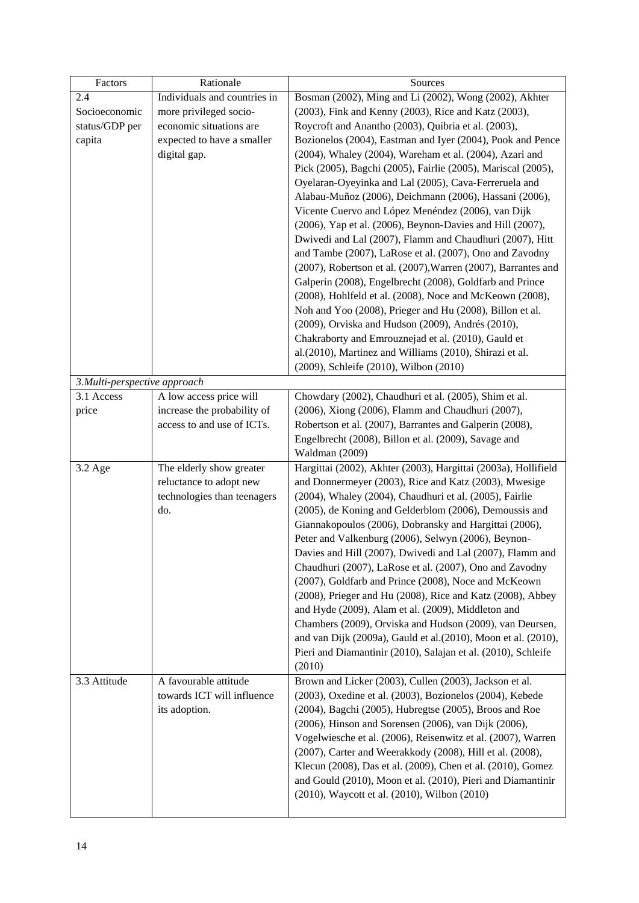| Factors                      | Rationale                    | Sources                                                        |
|------------------------------|------------------------------|----------------------------------------------------------------|
| 2.4                          | Individuals and countries in | Bosman (2002), Ming and Li (2002), Wong (2002), Akhter         |
| Socioeconomic                | more privileged socio-       | (2003), Fink and Kenny (2003), Rice and Katz (2003),           |
| status/GDP per               | economic situations are      | Roycroft and Anantho (2003), Quibria et al. (2003),            |
| capita                       | expected to have a smaller   | Bozionelos (2004), Eastman and Iyer (2004), Pook and Pence     |
|                              | digital gap.                 | (2004), Whaley (2004), Wareham et al. (2004), Azari and        |
|                              |                              | Pick (2005), Bagchi (2005), Fairlie (2005), Mariscal (2005),   |
|                              |                              | Oyelaran-Oyeyinka and Lal (2005), Cava-Ferreruela and          |
|                              |                              | Alabau-Muñoz (2006), Deichmann (2006), Hassani (2006),         |
|                              |                              | Vicente Cuervo and López Menéndez (2006), van Dijk             |
|                              |                              | (2006), Yap et al. (2006), Beynon-Davies and Hill (2007),      |
|                              |                              | Dwivedi and Lal (2007), Flamm and Chaudhuri (2007), Hitt       |
|                              |                              | and Tambe (2007), LaRose et al. (2007), Ono and Zavodny        |
|                              |                              | (2007), Robertson et al. (2007), Warren (2007), Barrantes and  |
|                              |                              | Galperin (2008), Engelbrecht (2008), Goldfarb and Prince       |
|                              |                              | (2008), Hohlfeld et al. (2008), Noce and McKeown (2008),       |
|                              |                              | Noh and Yoo (2008), Prieger and Hu (2008), Billon et al.       |
|                              |                              | (2009), Orviska and Hudson (2009), Andrés (2010),              |
|                              |                              | Chakraborty and Emrouznejad et al. (2010), Gauld et            |
|                              |                              | al.(2010), Martinez and Williams (2010), Shirazi et al.        |
|                              |                              | (2009), Schleife (2010), Wilbon (2010)                         |
| 3.Multi-perspective approach |                              |                                                                |
| 3.1 Access                   | A low access price will      | Chowdary (2002), Chaudhuri et al. (2005), Shim et al.          |
| price                        | increase the probability of  | (2006), Xiong (2006), Flamm and Chaudhuri (2007),              |
|                              | access to and use of ICTs.   | Robertson et al. (2007), Barrantes and Galperin (2008),        |
|                              |                              | Engelbrecht (2008), Billon et al. (2009), Savage and           |
|                              |                              | Waldman (2009)                                                 |
| 3.2 Age                      | The elderly show greater     | Hargittai (2002), Akhter (2003), Hargittai (2003a), Hollifield |
|                              | reluctance to adopt new      | and Donnermeyer (2003), Rice and Katz (2003), Mwesige          |
|                              | technologies than teenagers  | (2004), Whaley (2004), Chaudhuri et al. (2005), Fairlie        |
|                              | do.                          | (2005), de Koning and Gelderblom (2006), Demoussis and         |
|                              |                              | Giannakopoulos (2006), Dobransky and Hargittai (2006),         |
|                              |                              | Peter and Valkenburg (2006), Selwyn (2006), Beynon-            |
|                              |                              | Davies and Hill (2007), Dwivedi and Lal (2007), Flamm and      |
|                              |                              | Chaudhuri (2007), LaRose et al. (2007), Ono and Zavodny        |
|                              |                              | (2007), Goldfarb and Prince (2008), Noce and McKeown           |
|                              |                              | (2008), Prieger and Hu (2008), Rice and Katz (2008), Abbey     |
|                              |                              | and Hyde (2009), Alam et al. (2009), Middleton and             |
|                              |                              | Chambers (2009), Orviska and Hudson (2009), van Deursen,       |
|                              |                              | and van Dijk (2009a), Gauld et al. (2010), Moon et al. (2010), |
|                              |                              | Pieri and Diamantinir (2010), Salajan et al. (2010), Schleife  |
|                              |                              | (2010)                                                         |
| 3.3 Attitude                 | A favourable attitude        | Brown and Licker (2003), Cullen (2003), Jackson et al.         |
|                              | towards ICT will influence   | (2003), Oxedine et al. (2003), Bozionelos (2004), Kebede       |
|                              | its adoption.                | (2004), Bagchi (2005), Hubregtse (2005), Broos and Roe         |
|                              |                              | (2006), Hinson and Sorensen (2006), van Dijk (2006),           |
|                              |                              | Vogelwiesche et al. (2006), Reisenwitz et al. (2007), Warren   |
|                              |                              | (2007), Carter and Weerakkody (2008), Hill et al. (2008),      |
|                              |                              | Klecun (2008), Das et al. (2009), Chen et al. (2010), Gomez    |
|                              |                              | and Gould (2010), Moon et al. (2010), Pieri and Diamantinir    |
|                              |                              | (2010), Waycott et al. (2010), Wilbon (2010)                   |
|                              |                              |                                                                |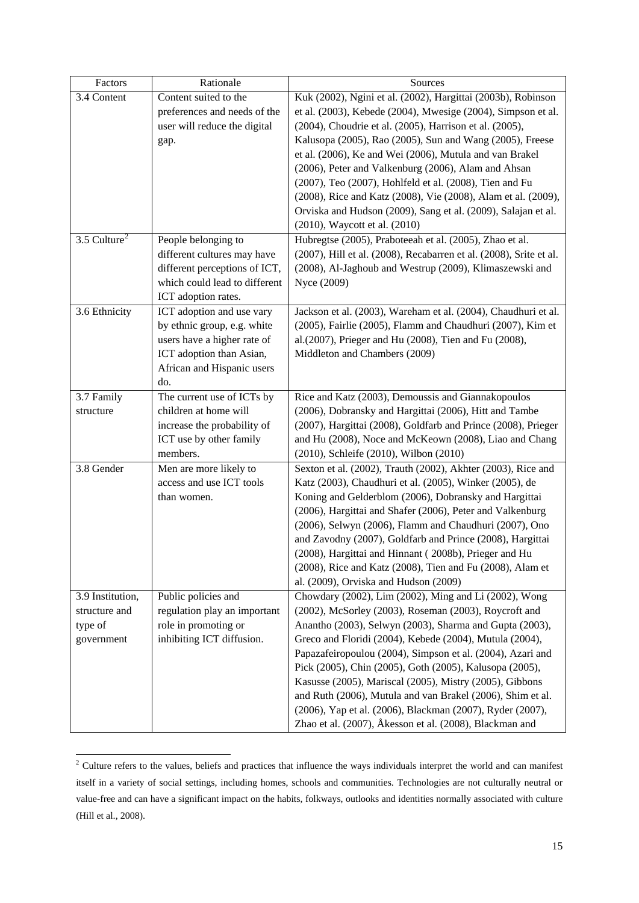| Factors          | Rationale                     | Sources                                                                                                            |
|------------------|-------------------------------|--------------------------------------------------------------------------------------------------------------------|
| 3.4 Content      | Content suited to the         | Kuk (2002), Ngini et al. (2002), Hargittai (2003b), Robinson                                                       |
|                  | preferences and needs of the  | et al. (2003), Kebede (2004), Mwesige (2004), Simpson et al.                                                       |
|                  | user will reduce the digital  | (2004), Choudrie et al. (2005), Harrison et al. (2005),                                                            |
|                  | gap.                          | Kalusopa (2005), Rao (2005), Sun and Wang (2005), Freese                                                           |
|                  |                               | et al. (2006), Ke and Wei (2006), Mutula and van Brakel                                                            |
|                  |                               | (2006), Peter and Valkenburg (2006), Alam and Ahsan                                                                |
|                  |                               | (2007), Teo (2007), Hohlfeld et al. (2008), Tien and Fu                                                            |
|                  |                               | (2008), Rice and Katz (2008), Vie (2008), Alam et al. (2009),                                                      |
|                  |                               | Orviska and Hudson (2009), Sang et al. (2009), Salajan et al.                                                      |
|                  |                               | (2010), Waycott et al. (2010)                                                                                      |
| 3.5 Culture $2$  | People belonging to           | Hubregtse (2005), Praboteeah et al. (2005), Zhao et al.                                                            |
|                  | different cultures may have   | (2007), Hill et al. (2008), Recabarren et al. (2008), Srite et al.                                                 |
|                  | different perceptions of ICT, | (2008), Al-Jaghoub and Westrup (2009), Klimaszewski and                                                            |
|                  | which could lead to different | Nyce (2009)                                                                                                        |
|                  | ICT adoption rates.           |                                                                                                                    |
| 3.6 Ethnicity    | ICT adoption and use vary     | Jackson et al. (2003), Wareham et al. (2004), Chaudhuri et al.                                                     |
|                  | by ethnic group, e.g. white   | (2005), Fairlie (2005), Flamm and Chaudhuri (2007), Kim et                                                         |
|                  | users have a higher rate of   | al.(2007), Prieger and Hu (2008), Tien and Fu (2008),                                                              |
|                  | ICT adoption than Asian,      | Middleton and Chambers (2009)                                                                                      |
|                  | African and Hispanic users    |                                                                                                                    |
|                  | do.                           |                                                                                                                    |
| 3.7 Family       | The current use of ICTs by    | Rice and Katz (2003), Demoussis and Giannakopoulos                                                                 |
| structure        | children at home will         | (2006), Dobransky and Hargittai (2006), Hitt and Tambe                                                             |
|                  | increase the probability of   | (2007), Hargittai (2008), Goldfarb and Prince (2008), Prieger                                                      |
|                  | ICT use by other family       | and Hu (2008), Noce and McKeown (2008), Liao and Chang                                                             |
|                  | members.                      | (2010), Schleife (2010), Wilbon (2010)                                                                             |
| 3.8 Gender       | Men are more likely to        | Sexton et al. (2002), Trauth (2002), Akhter (2003), Rice and                                                       |
|                  | access and use ICT tools      | Katz (2003), Chaudhuri et al. (2005), Winker (2005), de                                                            |
|                  | than women.                   | Koning and Gelderblom (2006), Dobransky and Hargittai                                                              |
|                  |                               | (2006), Hargittai and Shafer (2006), Peter and Valkenburg                                                          |
|                  |                               | (2006), Selwyn (2006), Flamm and Chaudhuri (2007), Ono                                                             |
|                  |                               | and Zavodny (2007), Goldfarb and Prince (2008), Hargittai<br>(2008), Hargittai and Hinnant (2008b), Prieger and Hu |
|                  |                               | (2008), Rice and Katz (2008), Tien and Fu (2008), Alam et                                                          |
|                  |                               | al. (2009), Orviska and Hudson (2009)                                                                              |
| 3.9 Institution, | Public policies and           | Chowdary (2002), Lim (2002), Ming and Li (2002), Wong                                                              |
| structure and    | regulation play an important  | (2002), McSorley (2003), Roseman (2003), Roycroft and                                                              |
| type of          | role in promoting or          | Anantho (2003), Selwyn (2003), Sharma and Gupta (2003),                                                            |
| government       | inhibiting ICT diffusion.     | Greco and Floridi (2004), Kebede (2004), Mutula (2004),                                                            |
|                  |                               | Papazafeiropoulou (2004), Simpson et al. (2004), Azari and                                                         |
|                  |                               | Pick (2005), Chin (2005), Goth (2005), Kalusopa (2005),                                                            |
|                  |                               | Kasusse (2005), Mariscal (2005), Mistry (2005), Gibbons                                                            |
|                  |                               | and Ruth (2006), Mutula and van Brakel (2006), Shim et al.                                                         |
|                  |                               | (2006), Yap et al. (2006), Blackman (2007), Ryder (2007),                                                          |
|                  |                               | Zhao et al. (2007), Åkesson et al. (2008), Blackman and                                                            |

<span id="page-28-0"></span> $\frac{1}{2}$  Culture refers to the values, beliefs and practices that influence the ways individuals interpret the world and can manifest itself in a variety of social settings, including homes, schools and communities. Technologies are not culturally neutral or value-free and can have a significant impact on the habits, folkways, outlooks and identities normally associated with culture (Hill et al., 2008).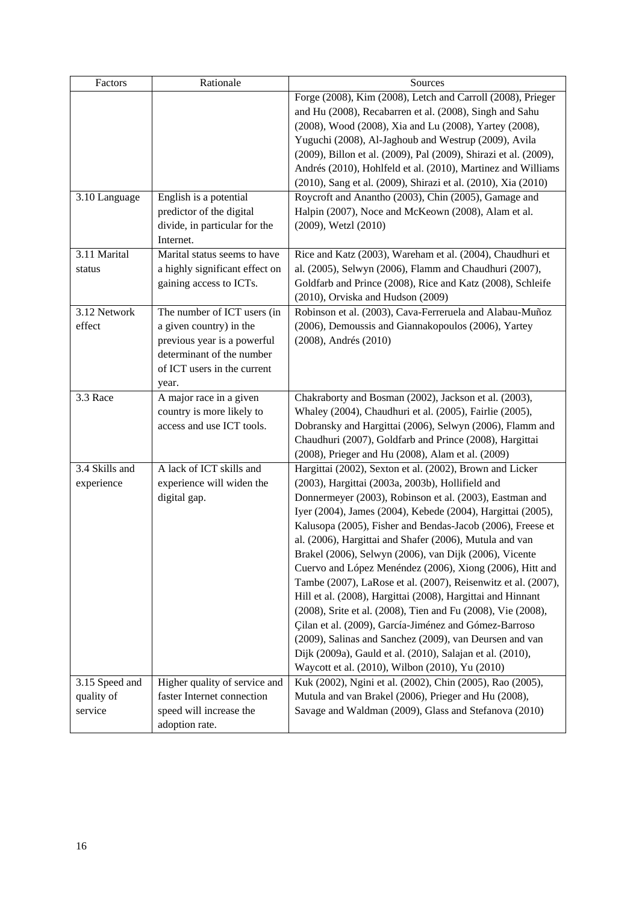| Factors        | Rationale                      | Sources                                                          |
|----------------|--------------------------------|------------------------------------------------------------------|
|                |                                | Forge (2008), Kim (2008), Letch and Carroll (2008), Prieger      |
|                |                                | and Hu (2008), Recabarren et al. (2008), Singh and Sahu          |
|                |                                | (2008), Wood (2008), Xia and Lu (2008), Yartey (2008),           |
|                |                                | Yuguchi (2008), Al-Jaghoub and Westrup (2009), Avila             |
|                |                                | (2009), Billon et al. (2009), Pal (2009), Shirazi et al. (2009), |
|                |                                | Andrés (2010), Hohlfeld et al. (2010), Martinez and Williams     |
|                |                                | (2010), Sang et al. (2009), Shirazi et al. (2010), Xia (2010)    |
| 3.10 Language  | English is a potential         | Roycroft and Anantho (2003), Chin (2005), Gamage and             |
|                | predictor of the digital       | Halpin (2007), Noce and McKeown (2008), Alam et al.              |
|                | divide, in particular for the  | (2009), Wetzl (2010)                                             |
|                | Internet.                      |                                                                  |
| 3.11 Marital   | Marital status seems to have   | Rice and Katz (2003), Wareham et al. (2004), Chaudhuri et        |
| status         | a highly significant effect on | al. (2005), Selwyn (2006), Flamm and Chaudhuri (2007),           |
|                | gaining access to ICTs.        | Goldfarb and Prince (2008), Rice and Katz (2008), Schleife       |
|                |                                | (2010), Orviska and Hudson (2009)                                |
| 3.12 Network   | The number of ICT users (in    | Robinson et al. (2003), Cava-Ferreruela and Alabau-Muñoz         |
| effect         | a given country) in the        | (2006), Demoussis and Giannakopoulos (2006), Yartey              |
|                | previous year is a powerful    | (2008), Andrés (2010)                                            |
|                | determinant of the number      |                                                                  |
|                | of ICT users in the current    |                                                                  |
|                | year.                          |                                                                  |
| 3.3 Race       | A major race in a given        | Chakraborty and Bosman (2002), Jackson et al. (2003),            |
|                | country is more likely to      | Whaley (2004), Chaudhuri et al. (2005), Fairlie (2005),          |
|                | access and use ICT tools.      | Dobransky and Hargittai (2006), Selwyn (2006), Flamm and         |
|                |                                | Chaudhuri (2007), Goldfarb and Prince (2008), Hargittai          |
|                |                                | (2008), Prieger and Hu (2008), Alam et al. (2009)                |
| 3.4 Skills and | A lack of ICT skills and       | Hargittai (2002), Sexton et al. (2002), Brown and Licker         |
| experience     | experience will widen the      | (2003), Hargittai (2003a, 2003b), Hollifield and                 |
|                | digital gap.                   | Donnermeyer (2003), Robinson et al. (2003), Eastman and          |
|                |                                | Iyer (2004), James (2004), Kebede (2004), Hargittai (2005),      |
|                |                                | Kalusopa (2005), Fisher and Bendas-Jacob (2006), Freese et       |
|                |                                | al. (2006), Hargittai and Shafer (2006), Mutula and van          |
|                |                                | Brakel (2006), Selwyn (2006), van Dijk (2006), Vicente           |
|                |                                | Cuervo and López Menéndez (2006), Xiong (2006), Hitt and         |
|                |                                | Tambe (2007), LaRose et al. (2007), Reisenwitz et al. (2007),    |
|                |                                | Hill et al. (2008), Hargittai (2008), Hargittai and Hinnant      |
|                |                                | (2008), Srite et al. (2008), Tien and Fu (2008), Vie (2008),     |
|                |                                | Çilan et al. (2009), García-Jiménez and Gómez-Barroso            |
|                |                                | (2009), Salinas and Sanchez (2009), van Deursen and van          |
|                |                                | Dijk (2009a), Gauld et al. (2010), Salajan et al. (2010),        |
|                |                                | Waycott et al. (2010), Wilbon (2010), Yu (2010)                  |
| 3.15 Speed and | Higher quality of service and  | Kuk (2002), Ngini et al. (2002), Chin (2005), Rao (2005),        |
| quality of     | faster Internet connection     | Mutula and van Brakel (2006), Prieger and Hu (2008),             |
| service        | speed will increase the        | Savage and Waldman (2009), Glass and Stefanova (2010)            |
|                | adoption rate.                 |                                                                  |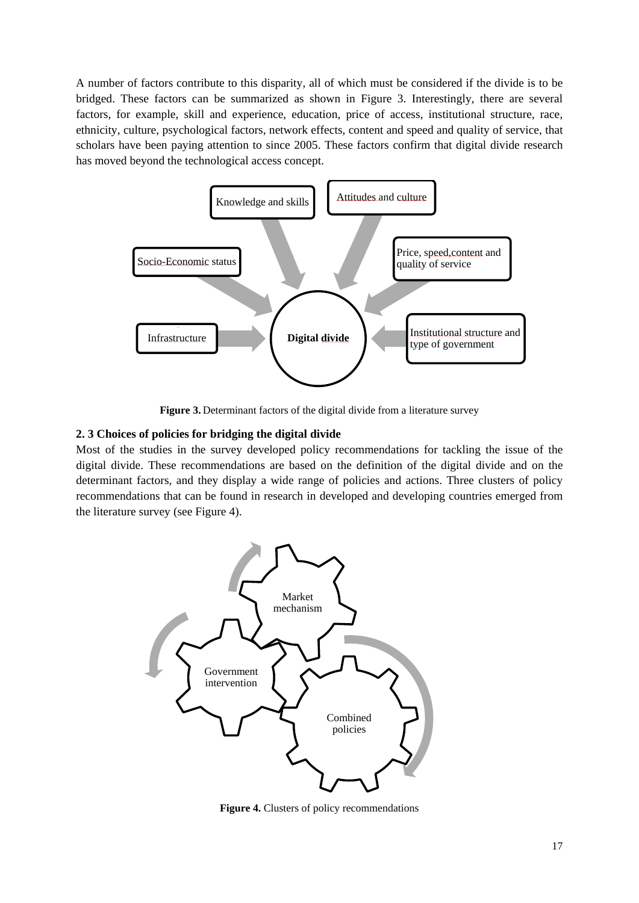A number of factors contribute to this disparity, all of which must be considered if the divide is to be bridged. These factors can be summarized as shown in Figure 3. Interestingly, there are several factors, for example, skill and experience, education, price of access, institutional structure, race, ethnicity, culture, psychological factors, network effects, content and speed and quality of service, that scholars have been paying attention to since 2005. These factors confirm that digital divide research has moved beyond the technological access concept.



**Figure 3.** Determinant factors of the digital divide from a literature survey

# <span id="page-30-0"></span>**2. 3 Choices of policies for bridging the digital divide**

Most of the studies in the survey developed policy recommendations for tackling the issue of the digital divide. These recommendations are based on the definition of the digital divide and on the determinant factors, and they display a wide range of policies and actions. Three clusters of policy recommendations that can be found in research in developed and developing countries emerged from the literature survey (see Figure 4).



**Figure 4.** Clusters of policy recommendations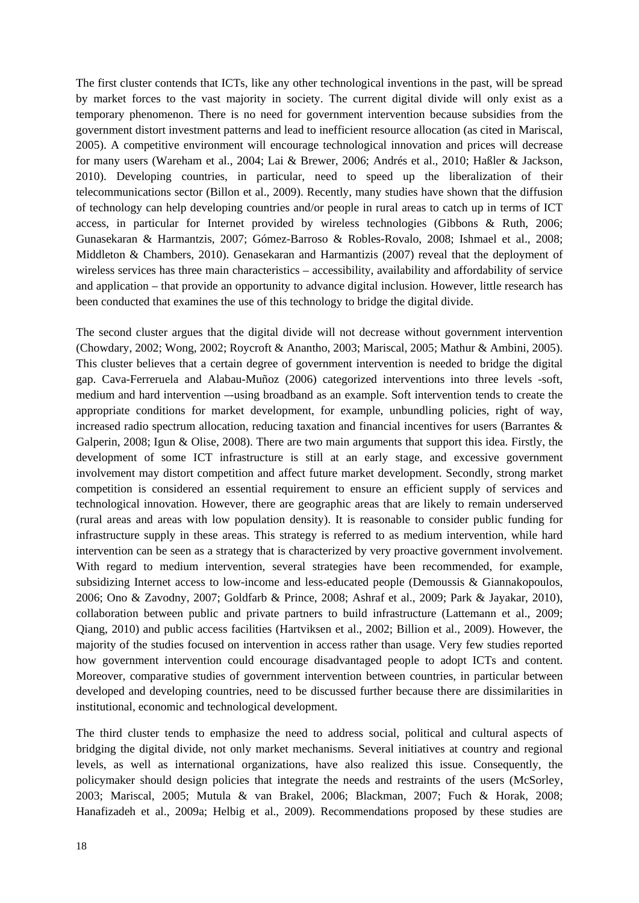The first cluster contends that ICTs, like any other technological inventions in the past, will be spread by market forces to the vast majority in society. The current digital divide will only exist as a temporary phenomenon. There is no need for government intervention because subsidies from the government distort investment patterns and lead to inefficient resource allocation (as cited in Mariscal, 2005). A competitive environment will encourage technological innovation and prices will decrease for many users (Wareham et al., 2004; Lai & Brewer, 2006; Andrés et al., 2010; Haßler & Jackson, 2010). Developing countries, in particular, need to speed up the liberalization of their telecommunications sector (Billon et al., 2009). Recently, many studies have shown that the diffusion of technology can help developing countries and/or people in rural areas to catch up in terms of ICT access, in particular for Internet provided by wireless technologies (Gibbons & Ruth, 2006; Gunasekaran & Harmantzis, 2007; Gómez-Barroso & Robles-Rovalo, 2008; Ishmael et al., 2008; Middleton & Chambers, 2010). Genasekaran and Harmantizis (2007) reveal that the deployment of wireless services has three main characteristics – accessibility, availability and affordability of service and application – that provide an opportunity to advance digital inclusion. However, little research has been conducted that examines the use of this technology to bridge the digital divide.

The second cluster argues that the digital divide will not decrease without government intervention (Chowdary, 2002; Wong, 2002; Roycroft & Anantho, 2003; Mariscal, 2005; Mathur & Ambini, 2005). This cluster believes that a certain degree of government intervention is needed to bridge the digital gap. Cava-Ferreruela and Alabau-Muñoz (2006) categorized interventions into three levels -soft, medium and hard intervention –-using broadband as an example. Soft intervention tends to create the appropriate conditions for market development, for example, unbundling policies, right of way, increased radio spectrum allocation, reducing taxation and financial incentives for users (Barrantes & Galperin, 2008; Igun & Olise, 2008). There are two main arguments that support this idea. Firstly, the development of some ICT infrastructure is still at an early stage, and excessive government involvement may distort competition and affect future market development. Secondly, strong market competition is considered an essential requirement to ensure an efficient supply of services and technological innovation. However, there are geographic areas that are likely to remain underserved (rural areas and areas with low population density). It is reasonable to consider public funding for infrastructure supply in these areas. This strategy is referred to as medium intervention, while hard intervention can be seen as a strategy that is characterized by very proactive government involvement. With regard to medium intervention, several strategies have been recommended, for example, subsidizing Internet access to low-income and less-educated people (Demoussis & Giannakopoulos, 2006; Ono & Zavodny, 2007; Goldfarb & Prince, 2008; Ashraf et al., 2009; Park & Jayakar, 2010), collaboration between public and private partners to build infrastructure (Lattemann et al., 2009; Qiang, 2010) and public access facilities (Hartviksen et al., 2002; Billion et al., 2009). However, the majority of the studies focused on intervention in access rather than usage. Very few studies reported how government intervention could encourage disadvantaged people to adopt ICTs and content. Moreover, comparative studies of government intervention between countries, in particular between developed and developing countries, need to be discussed further because there are dissimilarities in institutional, economic and technological development.

The third cluster tends to emphasize the need to address social, political and cultural aspects of bridging the digital divide, not only market mechanisms. Several initiatives at country and regional levels, as well as international organizations, have also realized this issue. Consequently, the policymaker should design policies that integrate the needs and restraints of the users (McSorley, 2003; Mariscal, 2005; Mutula & van Brakel, 2006; Blackman, 2007; Fuch & Horak, 2008; Hanafizadeh et al., 2009a; Helbig et al., 2009). Recommendations proposed by these studies are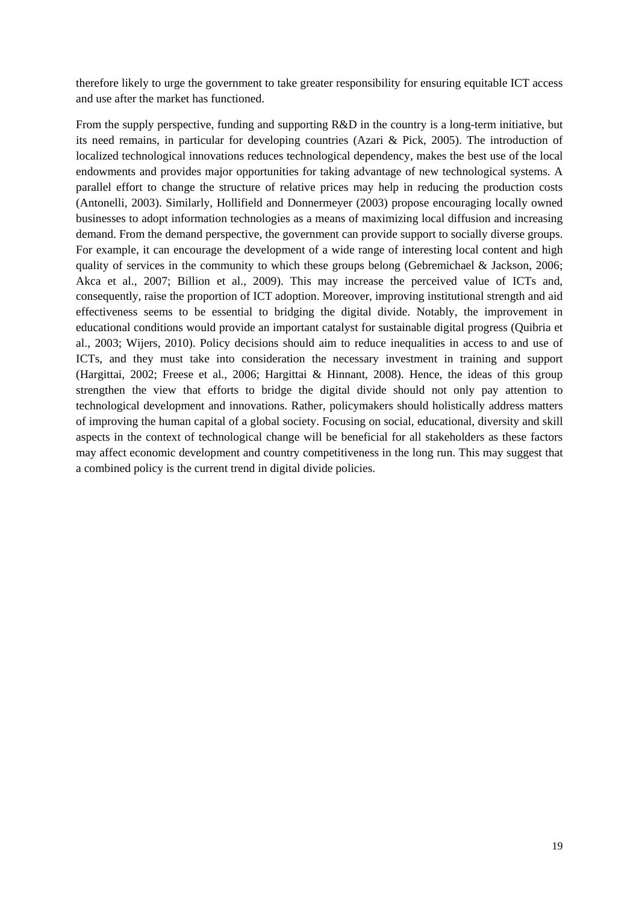therefore likely to urge the government to take greater responsibility for ensuring equitable ICT access and use after the market has functioned.

From the supply perspective, funding and supporting R&D in the country is a long-term initiative, but its need remains, in particular for developing countries (Azari & Pick, 2005). The introduction of localized technological innovations reduces technological dependency, makes the best use of the local endowments and provides major opportunities for taking advantage of new technological systems. A parallel effort to change the structure of relative prices may help in reducing the production costs (Antonelli, 2003). Similarly, Hollifield and Donnermeyer (2003) propose encouraging locally owned businesses to adopt information technologies as a means of maximizing local diffusion and increasing demand. From the demand perspective, the government can provide support to socially diverse groups. For example, it can encourage the development of a wide range of interesting local content and high quality of services in the community to which these groups belong (Gebremichael & Jackson, 2006; Akca et al., 2007; Billion et al., 2009). This may increase the perceived value of ICTs and, consequently, raise the proportion of ICT adoption. Moreover, improving institutional strength and aid effectiveness seems to be essential to bridging the digital divide. Notably, the improvement in educational conditions would provide an important catalyst for sustainable digital progress (Quibria et al., 2003; Wijers, 2010). Policy decisions should aim to reduce inequalities in access to and use of ICTs, and they must take into consideration the necessary investment in training and support (Hargittai, 2002; Freese et al., 2006; Hargittai & Hinnant, 2008). Hence, the ideas of this group strengthen the view that efforts to bridge the digital divide should not only pay attention to technological development and innovations. Rather, policymakers should holistically address matters of improving the human capital of a global society. Focusing on social, educational, diversity and skill aspects in the context of technological change will be beneficial for all stakeholders as these factors may affect economic development and country competitiveness in the long run. This may suggest that a combined policy is the current trend in digital divide policies.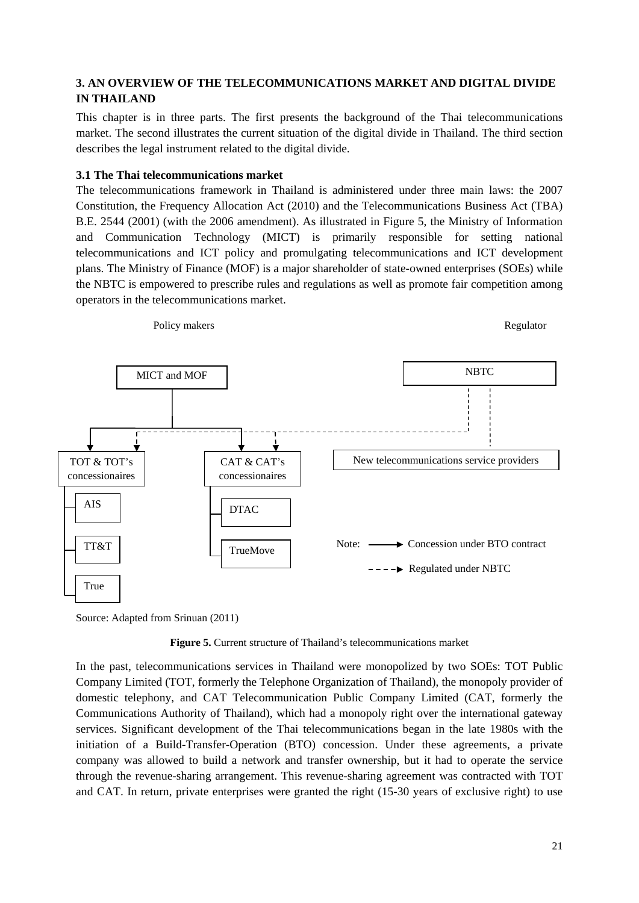# <span id="page-34-0"></span>**3. AN OVERVIEW OF THE TELECOMMUNICATIONS MARKET AND DIGITAL DIVIDE IN THAILAND**

This chapter is in three parts. The first presents the background of the Thai telecommunications market. The second illustrates the current situation of the digital divide in Thailand. The third section describes the legal instrument related to the digital divide.

### <span id="page-34-1"></span>**3.1 The Thai telecommunications market**

The telecommunications framework in Thailand is administered under three main laws: the 2007 Constitution, the Frequency Allocation Act (2010) and the Telecommunications Business Act (TBA) B.E. 2544 (2001) (with the 2006 amendment). As illustrated in Figure 5, the Ministry of Information and Communication Technology (MICT) is primarily responsible for setting national telecommunications and ICT policy and promulgating telecommunications and ICT development plans. The Ministry of Finance (MOF) is a major shareholder of state-owned enterprises (SOEs) while the NBTC is empowered to prescribe rules and regulations as well as promote fair competition among operators in the telecommunications market.



Source: Adapted from Srinuan (2011)

**Figure 5.** Current structure of Thailand's telecommunications market

In the past, telecommunications services in Thailand were monopolized by two SOEs: TOT Public Company Limited (TOT, formerly the Telephone Organization of Thailand), the monopoly provider of domestic telephony, and CAT Telecommunication Public Company Limited (CAT, formerly the Communications Authority of Thailand), which had a monopoly right over the international gateway services. Significant development of the Thai telecommunications began in the late 1980s with the initiation of a Build-Transfer-Operation (BTO) concession. Under these agreements, a private company was allowed to build a network and transfer ownership, but it had to operate the service through the revenue-sharing arrangement. This revenue-sharing agreement was contracted with TOT and CAT. In return, private enterprises were granted the right (15-30 years of exclusive right) to use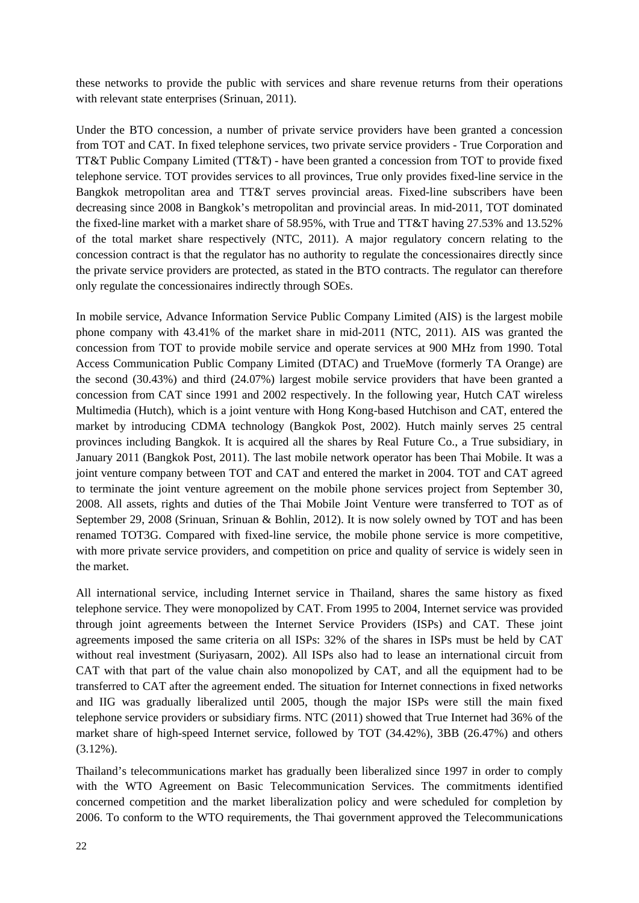these networks to provide the public with services and share revenue returns from their operations with relevant state enterprises (Srinuan, 2011).

Under the BTO concession, a number of private service providers have been granted a concession from TOT and CAT. In fixed telephone services, two private service providers - True Corporation and TT&T Public Company Limited (TT&T) - have been granted a concession from TOT to provide fixed telephone service. TOT provides services to all provinces, True only provides fixed-line service in the Bangkok metropolitan area and TT&T serves provincial areas. Fixed-line subscribers have been decreasing since 2008 in Bangkok's metropolitan and provincial areas. In mid-2011, TOT dominated the fixed-line market with a market share of 58.95%, with True and TT&T having 27.53% and 13.52% of the total market share respectively (NTC, 2011). A major regulatory concern relating to the concession contract is that the regulator has no authority to regulate the concessionaires directly since the private service providers are protected, as stated in the BTO contracts. The regulator can therefore only regulate the concessionaires indirectly through SOEs.

In mobile service, Advance Information Service Public Company Limited (AIS) is the largest mobile phone company with 43.41% of the market share in mid-2011 (NTC, 2011). AIS was granted the concession from TOT to provide mobile service and operate services at 900 MHz from 1990. Total Access Communication Public Company Limited (DTAC) and TrueMove (formerly TA Orange) are the second (30.43%) and third (24.07%) largest mobile service providers that have been granted a concession from CAT since 1991 and 2002 respectively. In the following year, Hutch CAT wireless Multimedia (Hutch), which is a joint venture with Hong Kong-based Hutchison and CAT, entered the market by introducing CDMA technology (Bangkok Post, 2002). Hutch mainly serves 25 central provinces including Bangkok. It is acquired all the shares by Real Future Co., a True subsidiary, in January 2011 (Bangkok Post, 2011). The last mobile network operator has been Thai Mobile. It was a joint venture company between TOT and CAT and entered the market in 2004. TOT and CAT agreed to terminate the joint venture agreement on the mobile phone services project from September 30, 2008. All assets, rights and duties of the Thai Mobile Joint Venture were transferred to TOT as of September 29, 2008 (Srinuan, Srinuan & Bohlin, 2012). It is now solely owned by TOT and has been renamed TOT3G. Compared with fixed-line service, the mobile phone service is more competitive, with more private service providers, and competition on price and quality of service is widely seen in the market.

All international service, including Internet service in Thailand, shares the same history as fixed telephone service. They were monopolized by CAT. From 1995 to 2004, Internet service was provided through joint agreements between the Internet Service Providers (ISPs) and CAT. These joint agreements imposed the same criteria on all ISPs: 32% of the shares in ISPs must be held by CAT without real investment (Suriyasarn, 2002). All ISPs also had to lease an international circuit from CAT with that part of the value chain also monopolized by CAT, and all the equipment had to be transferred to CAT after the agreement ended. The situation for Internet connections in fixed networks and IIG was gradually liberalized until 2005, though the major ISPs were still the main fixed telephone service providers or subsidiary firms. NTC (2011) showed that True Internet had 36% of the market share of high-speed Internet service, followed by TOT (34.42%), 3BB (26.47%) and others (3.12%).

Thailand's telecommunications market has gradually been liberalized since 1997 in order to comply with the WTO Agreement on Basic Telecommunication Services. The commitments identified concerned competition and the market liberalization policy and were scheduled for completion by 2006. To conform to the WTO requirements, the Thai government approved the Telecommunications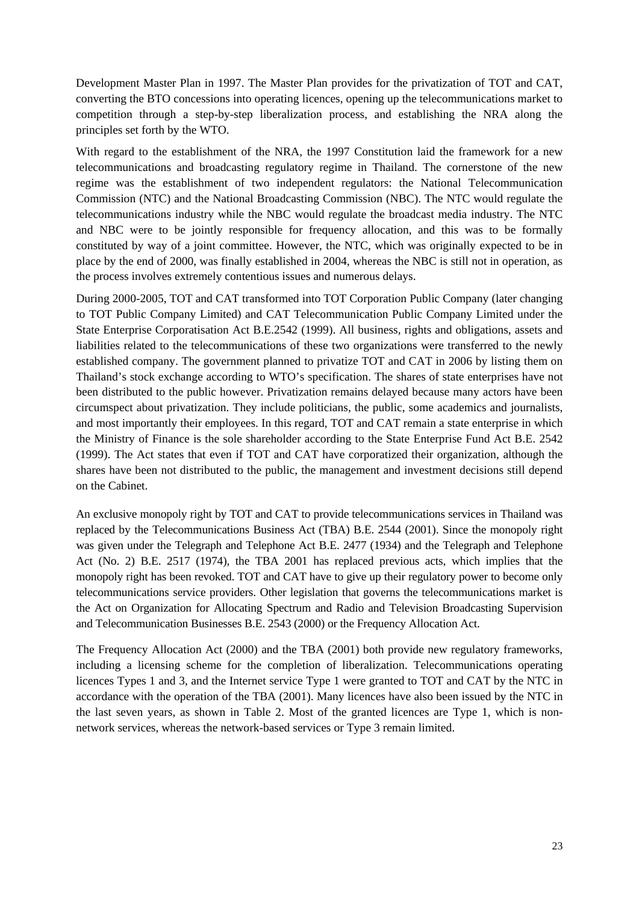Development Master Plan in 1997. The Master Plan provides for the privatization of TOT and CAT, converting the BTO concessions into operating licences, opening up the telecommunications market to competition through a step-by-step liberalization process, and establishing the NRA along the principles set forth by the WTO.

With regard to the establishment of the NRA, the 1997 Constitution laid the framework for a new telecommunications and broadcasting regulatory regime in Thailand. The cornerstone of the new regime was the establishment of two independent regulators: the National Telecommunication Commission (NTC) and the National Broadcasting Commission (NBC). The NTC would regulate the telecommunications industry while the NBC would regulate the broadcast media industry. The NTC and NBC were to be jointly responsible for frequency allocation, and this was to be formally constituted by way of a joint committee. However, the NTC, which was originally expected to be in place by the end of 2000, was finally established in 2004, whereas the NBC is still not in operation, as the process involves extremely contentious issues and numerous delays.

During 2000-2005, TOT and CAT transformed into TOT Corporation Public Company (later changing to TOT Public Company Limited) and CAT Telecommunication Public Company Limited under the State Enterprise Corporatisation Act B.E.2542 (1999). All business, rights and obligations, assets and liabilities related to the telecommunications of these two organizations were transferred to the newly established company. The government planned to privatize TOT and CAT in 2006 by listing them on Thailand's stock exchange according to WTO's specification. The shares of state enterprises have not been distributed to the public however. Privatization remains delayed because many actors have been circumspect about privatization. They include politicians, the public, some academics and journalists, and most importantly their employees. In this regard, TOT and CAT remain a state enterprise in which the Ministry of Finance is the sole shareholder according to the State Enterprise Fund Act B.E. 2542 (1999). The Act states that even if TOT and CAT have corporatized their organization, although the shares have been not distributed to the public, the management and investment decisions still depend on the Cabinet.

An exclusive monopoly right by TOT and CAT to provide telecommunications services in Thailand was replaced by the Telecommunications Business Act (TBA) B.E. 2544 (2001). Since the monopoly right was given under the Telegraph and Telephone Act B.E. 2477 (1934) and the Telegraph and Telephone Act (No. 2) B.E. 2517 (1974), the TBA 2001 has replaced previous acts, which implies that the monopoly right has been revoked. TOT and CAT have to give up their regulatory power to become only telecommunications service providers. Other legislation that governs the telecommunications market is the Act on Organization for Allocating Spectrum and Radio and Television Broadcasting Supervision and Telecommunication Businesses B.E. 2543 (2000) or the Frequency Allocation Act.

The Frequency Allocation Act (2000) and the TBA (2001) both provide new regulatory frameworks, including a licensing scheme for the completion of liberalization. Telecommunications operating licences Types 1 and 3, and the Internet service Type 1 were granted to TOT and CAT by the NTC in accordance with the operation of the TBA (2001). Many licences have also been issued by the NTC in the last seven years, as shown in Table 2. Most of the granted licences are Type 1, which is nonnetwork services, whereas the network-based services or Type 3 remain limited.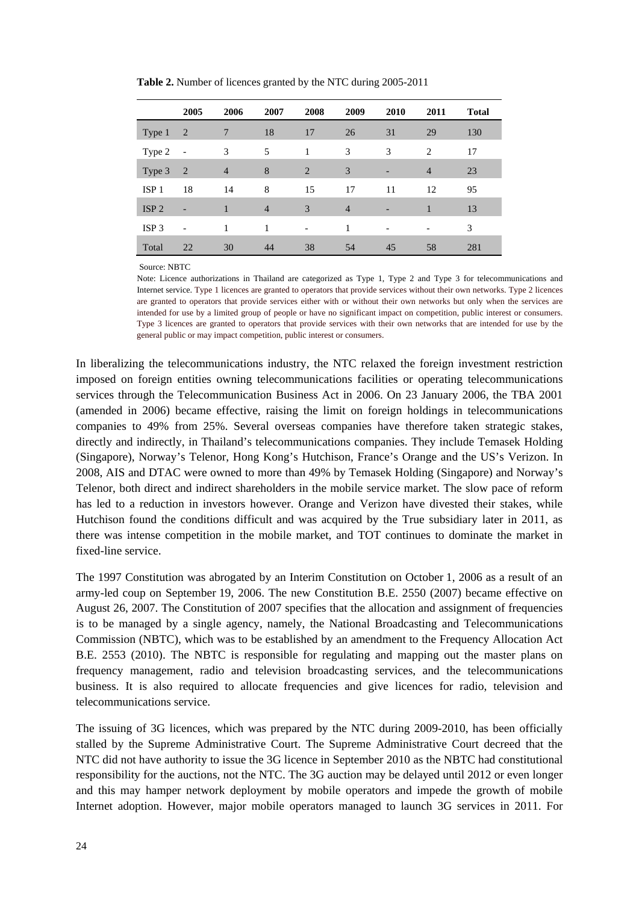|                  | 2005                     | 2006           | 2007           | 2008                     | 2009           | 2010 | 2011           | <b>Total</b> |
|------------------|--------------------------|----------------|----------------|--------------------------|----------------|------|----------------|--------------|
| Type 1           | 2                        | 7              | 18             | 17                       | 26             | 31   | 29             | 130          |
| Type 2           | $\overline{\phantom{a}}$ | 3              | 5              | 1                        | 3              | 3    | 2              | 17           |
| Type 3           | 2                        | $\overline{4}$ | 8              | 2                        | 3              |      | $\overline{4}$ | 23           |
| ISP <sub>1</sub> | 18                       | 14             | 8              | 15                       | 17             | 11   | 12             | 95           |
| ISP <sub>2</sub> |                          | 1              | $\overline{4}$ | 3                        | $\overline{4}$ |      |                | 13           |
| ISP <sub>3</sub> |                          | 1              | 1              | $\overline{\phantom{a}}$ | 1              |      | $\overline{a}$ | 3            |
| Total            | 22                       | 30             | 44             | 38                       | 54             | 45   | 58             | 281          |

**Table 2.** Number of licences granted by the NTC during 2005-2011

Source: NBTC

Note: Licence authorizations in Thailand are categorized as Type 1, Type 2 and Type 3 for telecommunications and Internet service. Type 1 licences are granted to operators that provide services without their own networks. Type 2 licences are granted to operators that provide services either with or without their own networks but only when the services are intended for use by a limited group of people or have no significant impact on competition, public interest or consumers. Type 3 licences are granted to operators that provide services with their own networks that are intended for use by the general public or may impact competition, public interest or consumers.

In liberalizing the telecommunications industry, the NTC relaxed the foreign investment restriction imposed on foreign entities owning telecommunications facilities or operating telecommunications services through the [Telecommunication Business Act in 2006.](http://en.wikipedia.org/w/index.php?title=Thai_Telecommunication_Act_(2006)&action=edit&redlink=1) On [23 January](http://en.wikipedia.org/wiki/January_23) [2006,](http://en.wikipedia.org/wiki/2006) the TBA 2001 (amended in 2006) became effective, raising the limit on foreign holdings in telecommunications companies to 49% from 25%. Several overseas companies have therefore taken strategic stakes, directly and indirectly, in Thailand's telecommunications companies. They include Temasek Holding (Singapore), Norway's Telenor, Hong Kong's Hutchison, France's Orange and the US's Verizon. In 2008, AIS and DTAC were owned to more than 49% by Temasek Holding (Singapore) and Norway's Telenor, both direct and indirect shareholders in the mobile service market. The slow pace of reform has led to a reduction in investors however. Orange and Verizon have divested their stakes, while Hutchison found the conditions difficult and was acquired by the True subsidiary later in 2011, as there was intense competition in the mobile market, and TOT continues to dominate the market in fixed-line service.

The 1997 Constitution was abrogated by an Interim Constitution on October 1, 2006 as a result of an army-led coup on September 19, 2006. The new Constitution B.E. 2550 (2007) became effective on August 26, 2007. The Constitution of 2007 specifies that the allocation and assignment of frequencies is to be managed by a single agency, namely, the National Broadcasting and Telecommunications Commission (NBTC), which was to be established by an amendment to the Frequency Allocation Act B.E. 2553 (2010). The NBTC is responsible for regulating and mapping out the master plans on frequency management, radio and television broadcasting services, and the telecommunications business. It is also required to allocate frequencies and give licences for radio, television and telecommunications service.

The issuing of 3G licences, which was prepared by the NTC during 2009-2010, has been officially stalled by the Supreme Administrative Court. The Supreme Administrative Court decreed that the NTC did not have authority to issue the 3G licence in September 2010 as the NBTC had constitutional responsibility for the auctions, not the NTC. The 3G auction may be delayed until 2012 or even longer and this may hamper network deployment by mobile operators and impede the growth of mobile Internet adoption. However, major mobile operators managed to launch 3G services in 2011. For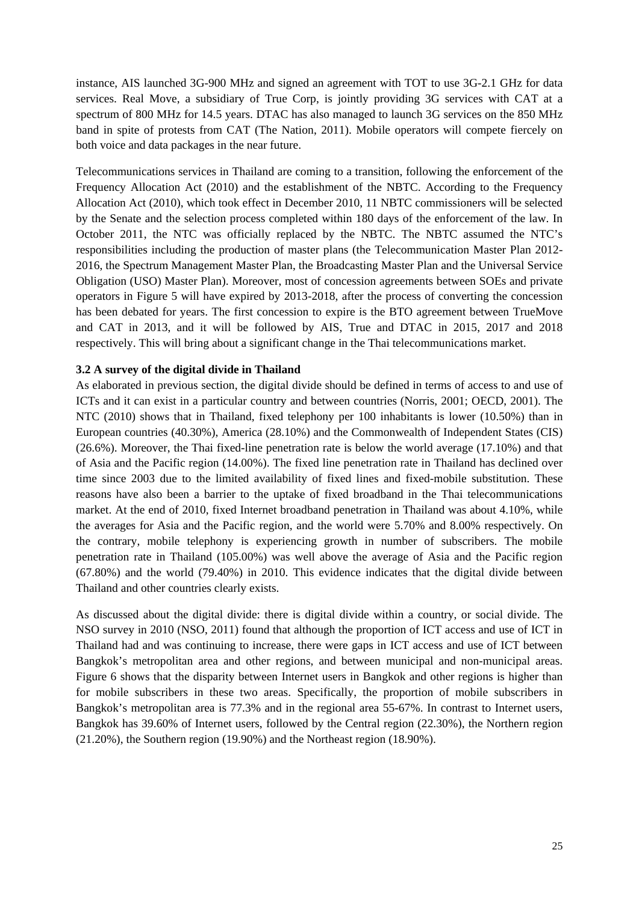instance, AIS launched 3G-900 MHz and signed an agreement with TOT to use 3G-2.1 GHz for data services. Real Move, a subsidiary of True Corp, is jointly providing 3G services with CAT at a spectrum of 800 MHz for 14.5 years. DTAC has also managed to launch 3G services on the 850 MHz band in spite of protests from CAT (The Nation, 2011). Mobile operators will compete fiercely on both voice and data packages in the near future.

Telecommunications services in Thailand are coming to a transition, following the enforcement of the Frequency Allocation Act (2010) and the establishment of the NBTC. According to the Frequency Allocation Act (2010), which took effect in December 2010, 11 NBTC commissioners will be selected by the Senate and the selection process completed within 180 days of the enforcement of the law. In October 2011, the NTC was officially replaced by the NBTC. The NBTC assumed the NTC's responsibilities including the production of master plans (the Telecommunication Master Plan 2012- 2016, the Spectrum Management Master Plan, the Broadcasting Master Plan and the Universal Service Obligation (USO) Master Plan). Moreover, most of concession agreements between SOEs and private operators in Figure 5 will have expired by 2013-2018, after the process of converting the concession has been debated for years. The first concession to expire is the BTO agreement between TrueMove and CAT in 2013, and it will be followed by AIS, True and DTAC in 2015, 2017 and 2018 respectively. This will bring about a significant change in the Thai telecommunications market.

### **3.2 A survey of the digital divide in Thailand**

As elaborated in previous section, the digital divide should be defined in terms of access to and use of ICTs and it can exist in a particular country and between countries (Norris, 2001; OECD, 2001). The NTC (2010) shows that in Thailand, fixed telephony per 100 inhabitants is lower (10.50%) than in European countries (40.30%), America (28.10%) and the Commonwealth of Independent States (CIS) (26.6%). Moreover, the Thai fixed-line penetration rate is below the world average (17.10%) and that of Asia and the Pacific region (14.00%). The fixed line penetration rate in Thailand has declined over time since 2003 due to the limited availability of fixed lines and fixed-mobile substitution. These reasons have also been a barrier to the uptake of fixed broadband in the Thai telecommunications market. At the end of 2010, fixed Internet broadband penetration in Thailand was about 4.10%, while the averages for Asia and the Pacific region, and the world were 5.70% and 8.00% respectively. On the contrary, mobile telephony is experiencing growth in number of subscribers. The mobile penetration rate in Thailand (105.00%) was well above the average of Asia and the Pacific region (67.80%) and the world (79.40%) in 2010. This evidence indicates that the digital divide between Thailand and other countries clearly exists.

As discussed about the digital divide: there is digital divide within a country, or social divide. The NSO survey in 2010 (NSO, 2011) found that although the proportion of ICT access and use of ICT in Thailand had and was continuing to increase, there were gaps in ICT access and use of ICT between Bangkok's metropolitan area and other regions, and between municipal and non-municipal areas. Figure 6 shows that the disparity between Internet users in Bangkok and other regions is higher than for mobile subscribers in these two areas. Specifically, the proportion of mobile subscribers in Bangkok's metropolitan area is 77.3% and in the regional area 55-67%. In contrast to Internet users, Bangkok has 39.60% of Internet users, followed by the Central region (22.30%), the Northern region (21.20%), the Southern region (19.90%) and the Northeast region (18.90%).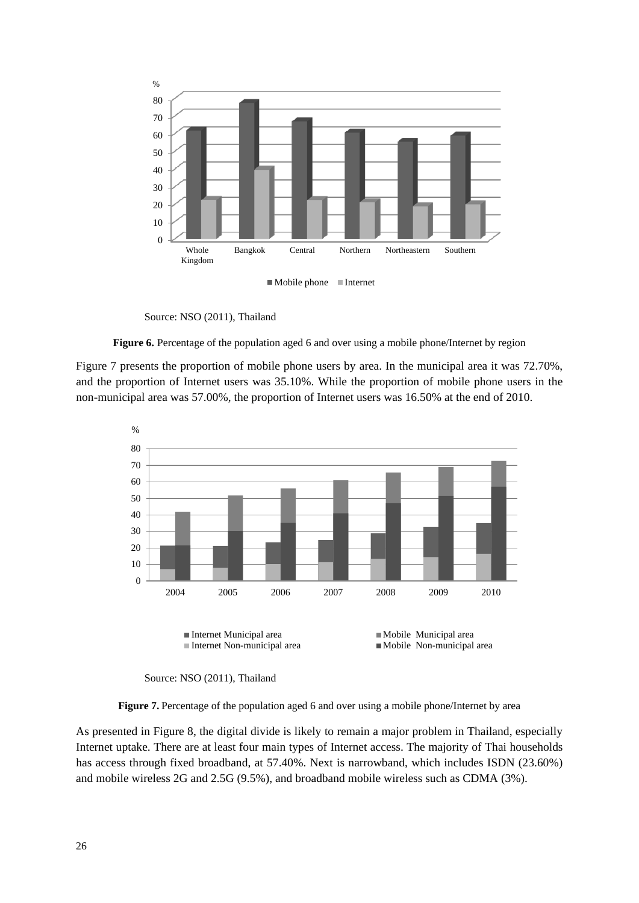

 $\blacksquare$  Mobile phone  $\blacksquare$  Internet

Source: NSO (2011), Thailand

**Figure 6.** Percentage of the population aged 6 and over using a mobile phone/Internet by region

Figure 7 presents the proportion of mobile phone users by area. In the municipal area it was 72.70%, and the proportion of Internet users was 35.10%. While the proportion of mobile phone users in the non-municipal area was 57.00%, the proportion of Internet users was 16.50% at the end of 2010.



Source: NSO (2011), Thailand

**Figure 7.** Percentage of the population aged 6 and over using a mobile phone/Internet by area

As presented in Figure 8, the digital divide is likely to remain a major problem in Thailand, especially Internet uptake. There are at least four main types of Internet access. The majority of Thai households has access through fixed broadband, at 57.40%. Next is narrowband, which includes ISDN (23.60%) and mobile wireless 2G and 2.5G (9.5%), and broadband mobile wireless such as CDMA (3%).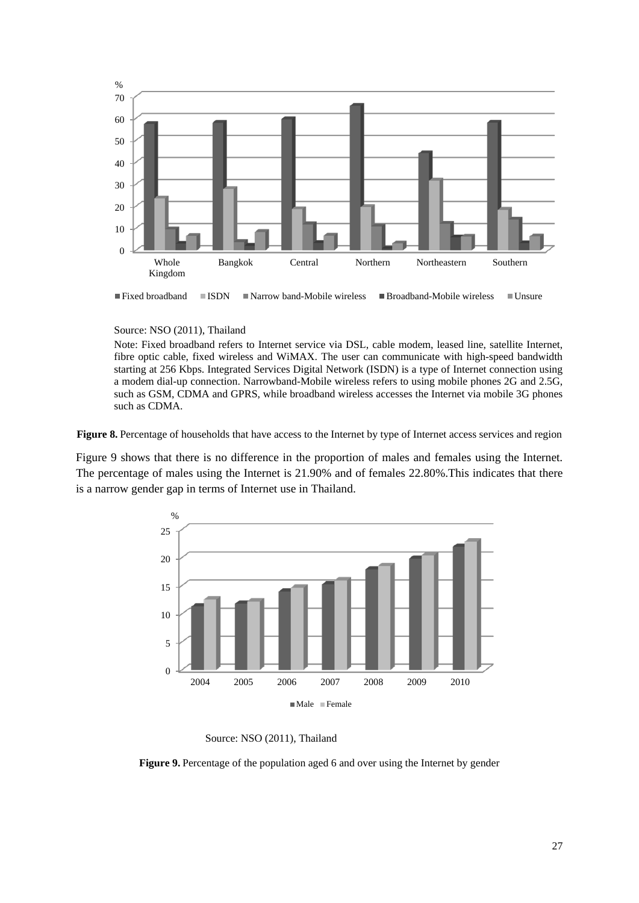

Fixed broadband  $\Box$  ISDN  $\Box$  Narrow band-Mobile wireless  $\Box$  Broadband-Mobile wireless  $\Box$  Unsure

#### Source: NSO (2011), Thailand

Note: Fixed broadband refers to Internet service via DSL, cable modem, leased line, satellite Internet, fibre optic cable, fixed wireless and WiMAX. The user can communicate with high-speed bandwidth starting at 256 Kbps. Integrated Services Digital Network (ISDN) is a type of Internet connection using a modem dial-up connection. Narrowband-Mobile wireless refers to using mobile phones 2G and 2.5G, such as GSM, CDMA and GPRS, while broadband wireless accesses the Internet via mobile 3G phones such as CDMA.

**Figure 8.** Percentage of households that have access to the Internet by type of Internet access services and region

Figure 9 shows that there is no difference in the proportion of males and females using the Internet. The percentage of males using the Internet is 21.90% and of females 22.80%.This indicates that there is a narrow gender gap in terms of Internet use in Thailand.



Source: NSO (2011), Thailand

**Figure 9.** Percentage of the population aged 6 and over using the Internet by gender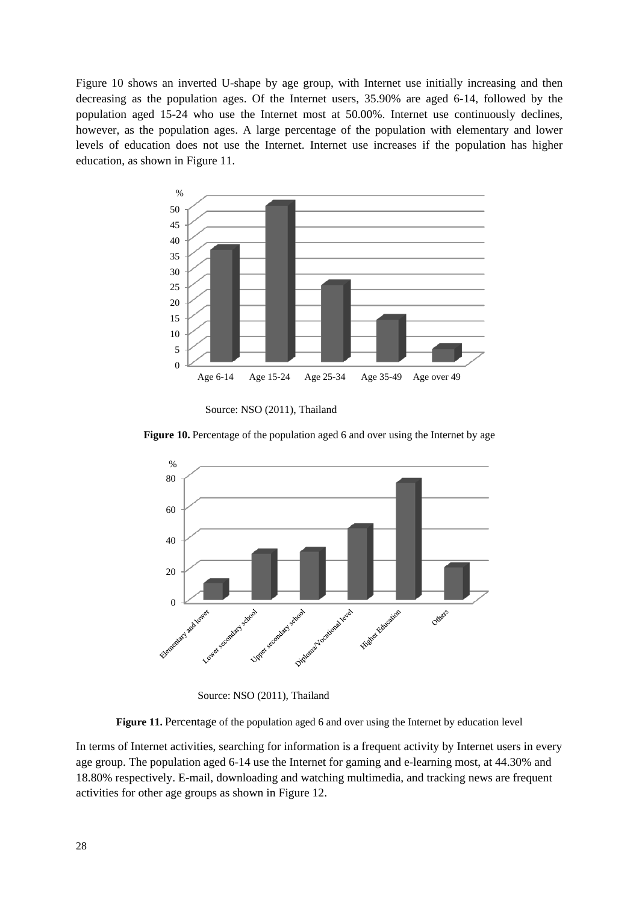Figure 10 shows an inverted U-shape by age group, with Internet use initially increasing and then decreasing as the population ages. Of the Internet users, 35.90% are aged 6-14, followed by the population aged 15-24 who use the Internet most at 50.00%. Internet use continuously declines, however, as the population ages. A large percentage of the population with elementary and lower levels of education does not use the Internet. Internet use increases if the population has higher education, as shown in Figure 11.



Source: NSO (2011), Thailand



**Figure 10.** Percentage of the population aged 6 and over using the Internet by age

Source: NSO (2011), Thailand

**Figure 11.** Percentage of the population aged 6 and over using the Internet by education level

In terms of Internet activities, searching for information is a frequent activity by Internet users in every age group. The population aged 6-14 use the Internet for gaming and e-learning most, at 44.30% and 18.80% respectively. E-mail, downloading and watching multimedia, and tracking news are frequent activities for other age groups as shown in Figure 12.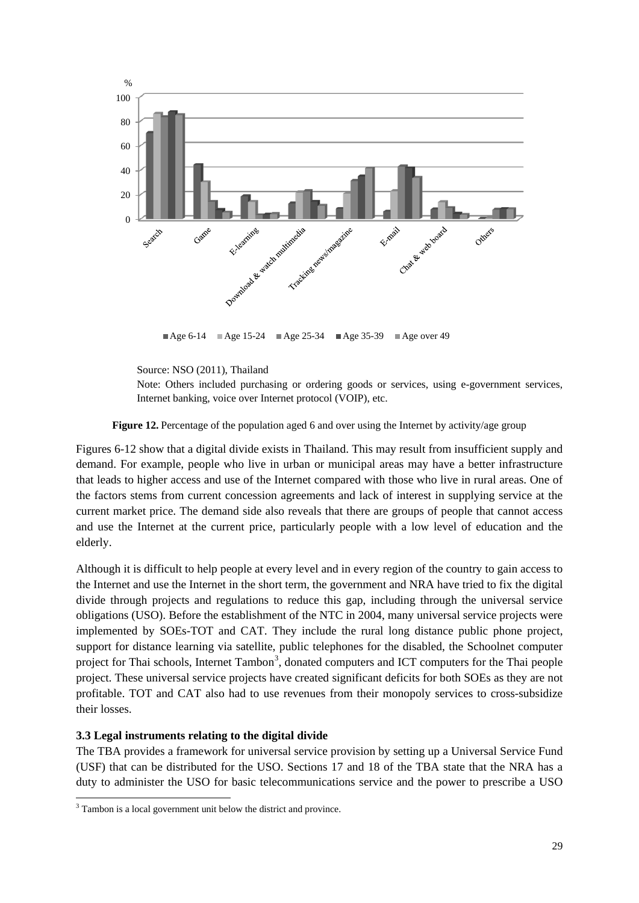

Age 6-14 Age 15-24 Age 25-34 Age 35-39 Age over 49

Note: Others included purchasing or ordering goods or services, using e-government services, Internet banking, voice over Internet protocol (VOIP), etc.

### **Figure 12.** Percentage of the population aged 6 and over using the Internet by activity/age group

Figures 6-12 show that a digital divide exists in Thailand. This may result from insufficient supply and demand. For example, people who live in urban or municipal areas may have a better infrastructure that leads to higher access and use of the Internet compared with those who live in rural areas. One of the factors stems from current concession agreements and lack of interest in supplying service at the current market price. The demand side also reveals that there are groups of people that cannot access and use the Internet at the current price, particularly people with a low level of education and the elderly.

Although it is difficult to help people at every level and in every region of the country to gain access to the Internet and use the Internet in the short term, the government and NRA have tried to fix the digital divide through projects and regulations to reduce this gap, including through the universal service obligations (USO). Before the establishment of the NTC in 2004, many universal service projects were implemented by SOEs-TOT and CAT. They include the rural long distance public phone project, support for distance learning via satellite, public telephones for the disabled, the Schoolnet computer project for Thai schools, Internet Tambon<sup>[3](#page-42-0)</sup>, donated computers and ICT computers for the Thai people project. These universal service projects have created significant deficits for both SOEs as they are not profitable. TOT and CAT also had to use revenues from their monopoly services to cross-subsidize their losses.

# **3.3 Legal instruments relating to the digital divide**

The TBA provides a framework for universal service provision by setting up a Universal Service Fund (USF) that can be distributed for the USO. Sections 17 and 18 of the TBA state that the NRA has a duty to administer the USO for basic telecommunications service and the power to prescribe a USO

Source: NSO (2011), Thailand

<span id="page-42-0"></span><sup>&</sup>lt;sup>3</sup> Tambon is a local government unit below the district and province.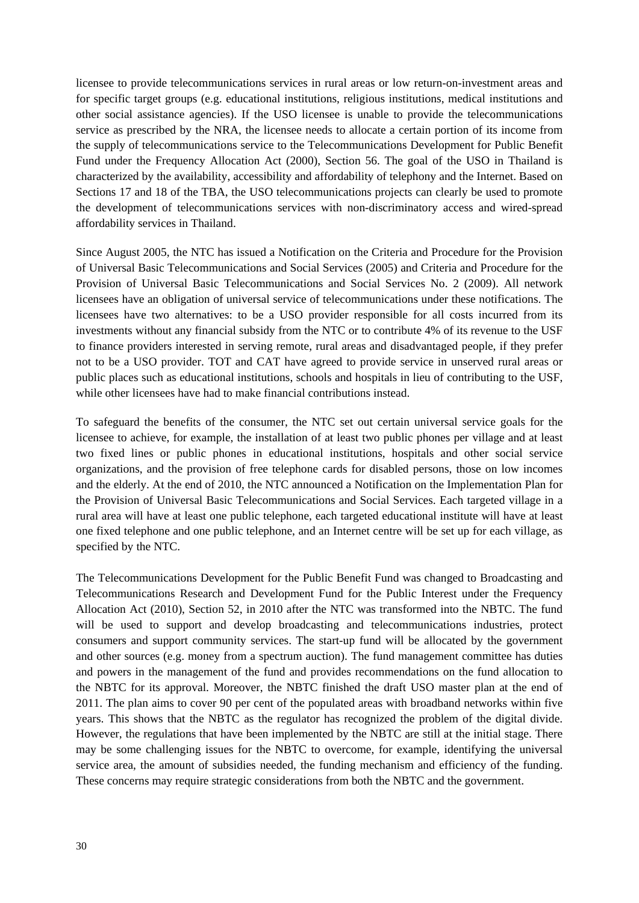licensee to provide telecommunications services in rural areas or low return-on-investment areas and for specific target groups (e.g. educational institutions, religious institutions, medical institutions and other social assistance agencies). If the USO licensee is unable to provide the telecommunications service as prescribed by the NRA, the licensee needs to allocate a certain portion of its income from the supply of telecommunications service to the Telecommunications Development for Public Benefit Fund under the Frequency Allocation Act (2000), Section 56. The goal of the USO in Thailand is characterized by the availability, accessibility and affordability of telephony and the Internet. Based on Sections 17 and 18 of the TBA, the USO telecommunications projects can clearly be used to promote the development of telecommunications services with non-discriminatory access and wired-spread affordability services in Thailand.

Since August 2005, the NTC has issued a Notification on the Criteria and Procedure for the Provision of Universal Basic Telecommunications and Social Services (2005) and Criteria and Procedure for the Provision of Universal Basic Telecommunications and Social Services No. 2 (2009). All network licensees have an obligation of universal service of telecommunications under these notifications. The licensees have two alternatives: to be a USO provider responsible for all costs incurred from its investments without any financial subsidy from the NTC or to contribute 4% of its revenue to the USF to finance providers interested in serving remote, rural areas and disadvantaged people, if they prefer not to be a USO provider. TOT and CAT have agreed to provide service in unserved rural areas or public places such as educational institutions, schools and hospitals in lieu of contributing to the USF, while other licensees have had to make financial contributions instead.

To safeguard the benefits of the consumer, the NTC set out certain universal service goals for the licensee to achieve, for example, the installation of at least two public phones per village and at least two fixed lines or public phones in educational institutions, hospitals and other social service organizations, and the provision of free telephone cards for disabled persons, those on low incomes and the elderly. At the end of 2010, the NTC announced a Notification on the Implementation Plan for the Provision of Universal Basic Telecommunications and Social Services. Each targeted village in a rural area will have at least one public telephone, each targeted educational institute will have at least one fixed telephone and one public telephone, and an Internet centre will be set up for each village, as specified by the NTC.

The Telecommunications Development for the Public Benefit Fund was changed to Broadcasting and Telecommunications Research and Development Fund for the Public Interest under the Frequency Allocation Act (2010), Section 52, in 2010 after the NTC was transformed into the NBTC. The fund will be used to support and develop broadcasting and telecommunications industries, protect consumers and support community services. The start-up fund will be allocated by the government and other sources (e.g. money from a spectrum auction). The fund management committee has duties and powers in the management of the fund and provides recommendations on the fund allocation to the NBTC for its approval. Moreover, the NBTC finished the draft USO master plan at the end of 2011. The plan aims to cover 90 per cent of the populated areas with broadband networks within five years. This shows that the NBTC as the regulator has recognized the problem of the digital divide. However, the regulations that have been implemented by the NBTC are still at the initial stage. There may be some challenging issues for the NBTC to overcome, for example, identifying the universal service area, the amount of subsidies needed, the funding mechanism and efficiency of the funding. These concerns may require strategic considerations from both the NBTC and the government.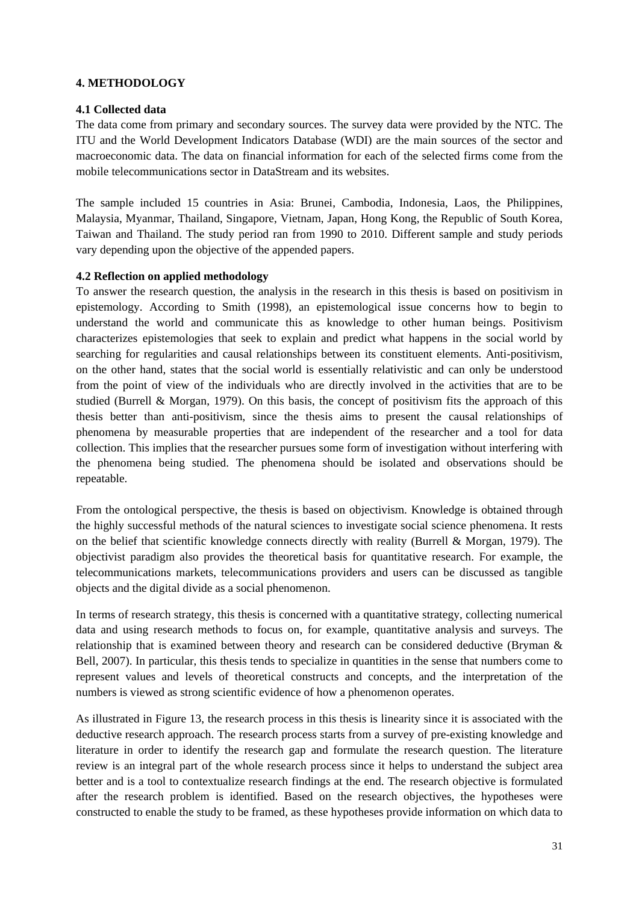# **4. METHODOLOGY**

# **4.1 Collected data**

The data come from primary and secondary sources. The survey data were provided by the NTC. The ITU and the World Development Indicators Database (WDI) are the main sources of the sector and macroeconomic data. The data on financial information for each of the selected firms come from the mobile telecommunications sector in DataStream and its websites.

The sample included 15 countries in Asia: Brunei, Cambodia, Indonesia, Laos, the Philippines, Malaysia, Myanmar, Thailand, Singapore, Vietnam, Japan, Hong Kong, the Republic of South Korea, Taiwan and Thailand. The study period ran from 1990 to 2010. Different sample and study periods vary depending upon the objective of the appended papers.

### **4.2 Reflection on applied methodology**

To answer the research question, the analysis in the research in this thesis is based on positivism in epistemology. According to Smith (1998), an epistemological issue concerns how to begin to understand the world and communicate this as knowledge to other human beings. Positivism characterizes epistemologies that seek to explain and predict what happens in the social world by searching for regularities and causal relationships between its constituent elements. Anti-positivism, on the other hand, states that the social world is essentially relativistic and can only be understood from the point of view of the individuals who are directly involved in the activities that are to be studied (Burrell & Morgan, 1979). On this basis, the concept of positivism fits the approach of this thesis better than anti-positivism, since the thesis aims to present the causal relationships of phenomena by measurable properties that are independent of the researcher and a tool for data collection. This implies that the researcher pursues some form of investigation without interfering with the phenomena being studied. The phenomena should be isolated and observations should be repeatable.

From the ontological perspective, the thesis is based on objectivism. Knowledge is obtained through the highly successful methods of the natural sciences to investigate social science phenomena. It rests on the belief that scientific knowledge connects directly with reality (Burrell & Morgan, 1979). The objectivist paradigm also provides the theoretical basis for quantitative research. For example, the telecommunications markets, telecommunications providers and users can be discussed as tangible objects and the digital divide as a social phenomenon.

In terms of research strategy, this thesis is concerned with a quantitative strategy, collecting numerical data and using research methods to focus on, for example, quantitative analysis and surveys. The relationship that is examined between theory and research can be considered deductive (Bryman & Bell, 2007). In particular, this thesis tends to specialize in quantities in the sense that numbers come to represent values and levels of theoretical constructs and concepts, and the interpretation of the numbers is viewed as strong scientific evidence of how a phenomenon operates.

As illustrated in Figure 13, the research process in this thesis is linearity since it is associated with the deductive research approach. The research process starts from a survey of pre-existing knowledge and literature in order to identify the research gap and formulate the research question. The literature review is an integral part of the whole research process since it helps to understand the subject area better and is a tool to contextualize research findings at the end. The research objective is formulated after the research problem is identified. Based on the research objectives, the hypotheses were constructed to enable the study to be framed, as these hypotheses provide information on which data to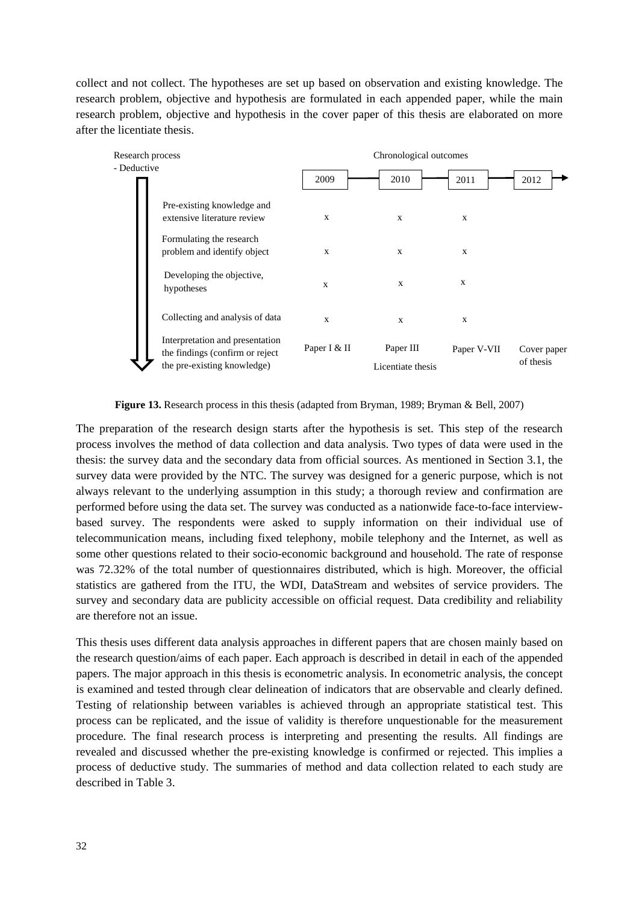collect and not collect. The hypotheses are set up based on observation and existing knowledge. The research problem, objective and hypothesis are formulated in each appended paper, while the main research problem, objective and hypothesis in the cover paper of this thesis are elaborated on more after the licentiate thesis.



**Figure 13.** Research process in this thesis (adapted from Bryman, 1989; Bryman & Bell, 2007)

The preparation of the research design starts after the hypothesis is set. This step of the research process involves the method of data collection and data analysis. Two types of data were used in the thesis: the survey data and the secondary data from official sources. As mentioned in Section 3.1, the survey data were provided by the NTC. The survey was designed for a generic purpose, which is not always relevant to the underlying assumption in this study; a thorough review and confirmation are performed before using the data set. The survey was conducted as a nationwide face-to-face interviewbased survey. The respondents were asked to supply information on their individual use of telecommunication means, including fixed telephony, mobile telephony and the Internet, as well as some other questions related to their socio-economic background and household. The rate of response was 72.32% of the total number of questionnaires distributed, which is high. Moreover, the official statistics are gathered from the ITU, the WDI, DataStream and websites of service providers. The survey and secondary data are publicity accessible on official request. Data credibility and reliability are therefore not an issue.

This thesis uses different data analysis approaches in different papers that are chosen mainly based on the research question/aims of each paper. Each approach is described in detail in each of the appended papers. The major approach in this thesis is econometric analysis. In econometric analysis, the concept is examined and tested through clear delineation of indicators that are observable and clearly defined. Testing of relationship between variables is achieved through an appropriate statistical test. This process can be replicated, and the issue of validity is therefore unquestionable for the measurement procedure. The final research process is interpreting and presenting the results. All findings are revealed and discussed whether the pre-existing knowledge is confirmed or rejected. This implies a process of deductive study. The summaries of method and data collection related to each study are described in Table 3.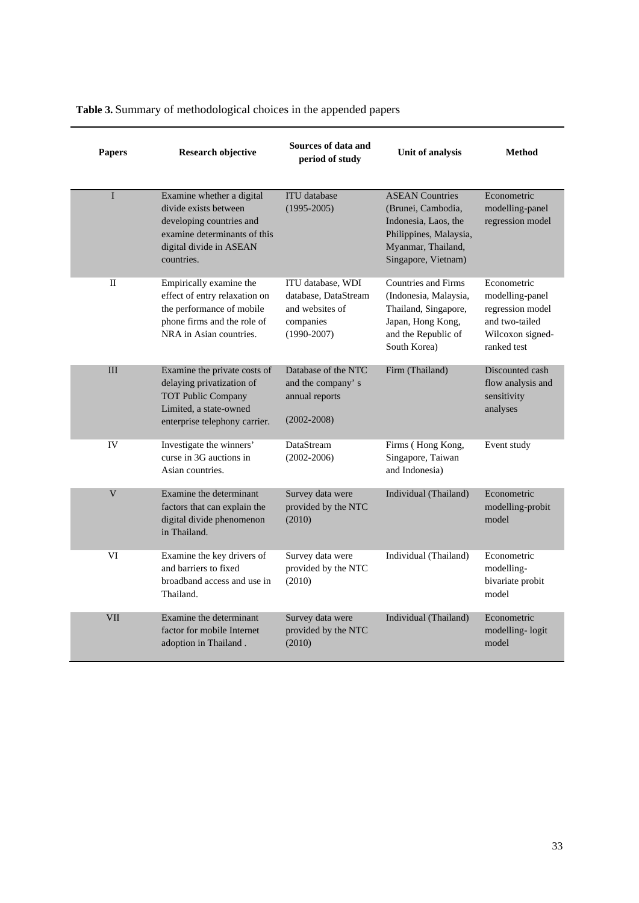| <b>Papers</b>           | <b>Research objective</b>                                                                                                                               | Sources of data and<br>period of study                                                       | Unit of analysis                                                                                                                            | <b>Method</b>                                                                                           |
|-------------------------|---------------------------------------------------------------------------------------------------------------------------------------------------------|----------------------------------------------------------------------------------------------|---------------------------------------------------------------------------------------------------------------------------------------------|---------------------------------------------------------------------------------------------------------|
| $\mathbf I$             | Examine whether a digital<br>divide exists between<br>developing countries and<br>examine determinants of this<br>digital divide in ASEAN<br>countries. | <b>ITU</b> database<br>$(1995 - 2005)$                                                       | <b>ASEAN Countries</b><br>(Brunei, Cambodia,<br>Indonesia, Laos, the<br>Philippines, Malaysia,<br>Myanmar, Thailand,<br>Singapore, Vietnam) | Econometric<br>modelling-panel<br>regression model                                                      |
| П                       | Empirically examine the<br>effect of entry relaxation on<br>the performance of mobile<br>phone firms and the role of<br>NRA in Asian countries.         | ITU database, WDI<br>database, DataStream<br>and websites of<br>companies<br>$(1990 - 2007)$ | <b>Countries and Firms</b><br>(Indonesia, Malaysia,<br>Thailand, Singapore,<br>Japan, Hong Kong,<br>and the Republic of<br>South Korea)     | Econometric<br>modelling-panel<br>regression model<br>and two-tailed<br>Wilcoxon signed-<br>ranked test |
| III                     | Examine the private costs of<br>delaying privatization of<br><b>TOT Public Company</b><br>Limited, a state-owned<br>enterprise telephony carrier.       | Database of the NTC<br>and the company's<br>annual reports<br>$(2002 - 2008)$                | Firm (Thailand)                                                                                                                             | Discounted cash<br>flow analysis and<br>sensitivity<br>analyses                                         |
| IV                      | Investigate the winners'<br>curse in 3G auctions in<br>Asian countries.                                                                                 | DataStream<br>$(2002 - 2006)$                                                                | Firms (Hong Kong,<br>Singapore, Taiwan<br>and Indonesia)                                                                                    | Event study                                                                                             |
| $\overline{\mathsf{V}}$ | Examine the determinant<br>factors that can explain the<br>digital divide phenomenon<br>in Thailand.                                                    | Survey data were<br>provided by the NTC<br>(2010)                                            | Individual (Thailand)                                                                                                                       | Econometric<br>modelling-probit<br>model                                                                |
| VI                      | Examine the key drivers of<br>and barriers to fixed<br>broadband access and use in<br>Thailand.                                                         | Survey data were<br>provided by the NTC<br>(2010)                                            | Individual (Thailand)                                                                                                                       | Econometric<br>modelling-<br>bivariate probit<br>model                                                  |
| <b>VII</b>              | Examine the determinant<br>factor for mobile Internet<br>adoption in Thailand.                                                                          | Survey data were<br>provided by the NTC<br>(2010)                                            | Individual (Thailand)                                                                                                                       | Econometric<br>modelling-logit<br>model                                                                 |

**Table 3.** Summary of methodological choices in the appended papers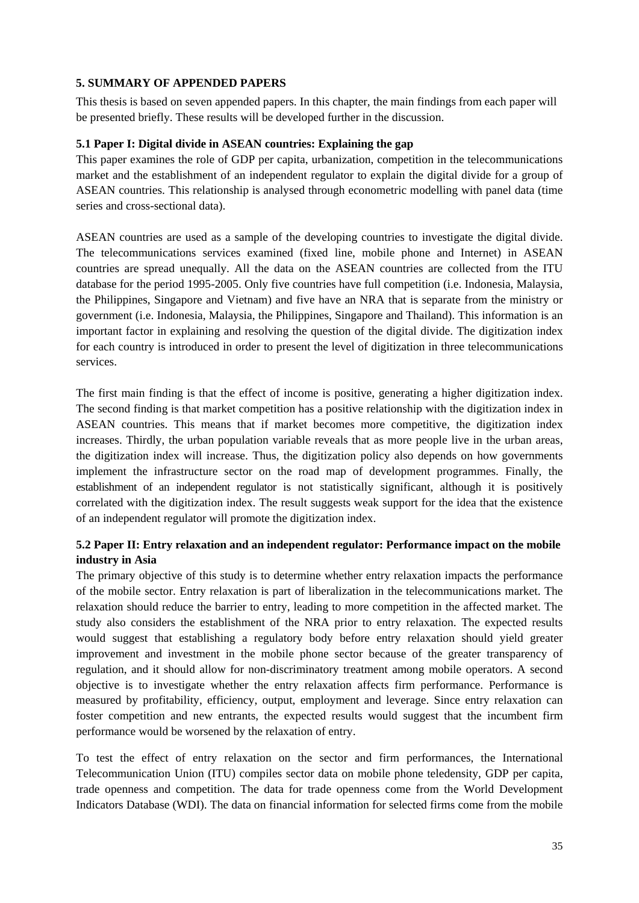# **5. SUMMARY OF APPENDED PAPERS**

This thesis is based on seven appended papers. In this chapter, the main findings from each paper will be presented briefly. These results will be developed further in the discussion.

# **5.1 Paper I: Digital divide in ASEAN countries: Explaining the gap**

This paper examines the role of GDP per capita, urbanization, competition in the telecommunications market and the establishment of an independent regulator to explain the digital divide for a group of ASEAN countries. This relationship is analysed through econometric modelling with panel data (time series and cross-sectional data).

ASEAN countries are used as a sample of the developing countries to investigate the digital divide. The telecommunications services examined (fixed line, mobile phone and Internet) in ASEAN countries are spread unequally. All the data on the ASEAN countries are collected from the ITU database for the period 1995-2005. Only five countries have full competition (i.e. Indonesia, Malaysia, the Philippines, Singapore and Vietnam) and five have an NRA that is separate from the ministry or government (i.e. Indonesia, Malaysia, the Philippines, Singapore and Thailand). This information is an important factor in explaining and resolving the question of the digital divide. The digitization index for each country is introduced in order to present the level of digitization in three telecommunications services.

The first main finding is that the effect of income is positive, generating a higher digitization index. The second finding is that market competition has a positive relationship with the digitization index in ASEAN countries. This means that if market becomes more competitive, the digitization index increases. Thirdly, the urban population variable reveals that as more people live in the urban areas, the digitization index will increase. Thus, the digitization policy also depends on how governments implement the infrastructure sector on the road map of development programmes. Finally, the establishment of an independent regulator is not statistically significant, although it is positively correlated with the digitization index. The result suggests weak support for the idea that the existence of an independent regulator will promote the digitization index.

# **5.2 Paper II: Entry relaxation and an independent regulator: Performance impact on the mobile industry in Asia**

The primary objective of this study is to determine whether entry relaxation impacts the performance of the mobile sector. Entry relaxation is part of liberalization in the telecommunications market. The relaxation should reduce the barrier to entry, leading to more competition in the affected market. The study also considers the establishment of the NRA prior to entry relaxation. The expected results would suggest that establishing a regulatory body before entry relaxation should yield greater improvement and investment in the mobile phone sector because of the greater transparency of regulation, and it should allow for non-discriminatory treatment among mobile operators. A second objective is to investigate whether the entry relaxation affects firm performance. Performance is measured by profitability, efficiency, output, employment and leverage. Since entry relaxation can foster competition and new entrants, the expected results would suggest that the incumbent firm performance would be worsened by the relaxation of entry.

To test the effect of entry relaxation on the sector and firm performances, the International Telecommunication Union (ITU) compiles sector data on mobile phone teledensity, GDP per capita, trade openness and competition. The data for trade openness come from the World Development Indicators Database (WDI). The data on financial information for selected firms come from the mobile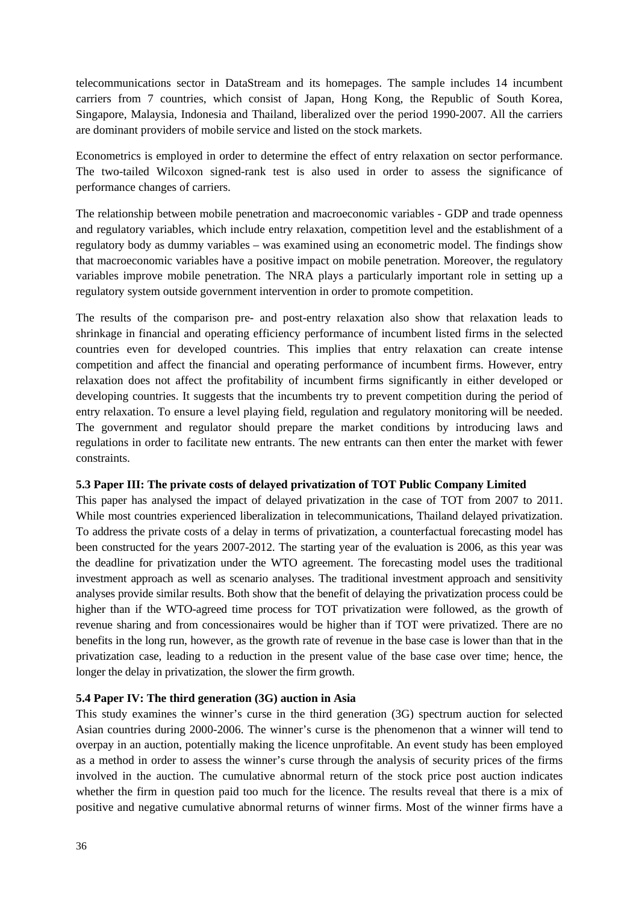telecommunications sector in DataStream and its homepages. The sample includes 14 incumbent carriers from 7 countries, which consist of Japan, Hong Kong, the Republic of South Korea, Singapore, Malaysia, Indonesia and Thailand, liberalized over the period 1990-2007. All the carriers are dominant providers of mobile service and listed on the stock markets.

Econometrics is employed in order to determine the effect of entry relaxation on sector performance. The two-tailed Wilcoxon signed-rank test is also used in order to assess the significance of performance changes of carriers.

The relationship between mobile penetration and macroeconomic variables - GDP and trade openness and regulatory variables, which include entry relaxation, competition level and the establishment of a regulatory body as dummy variables – was examined using an econometric model. The findings show that macroeconomic variables have a positive impact on mobile penetration. Moreover, the regulatory variables improve mobile penetration. The NRA plays a particularly important role in setting up a regulatory system outside government intervention in order to promote competition.

The results of the comparison pre- and post-entry relaxation also show that relaxation leads to shrinkage in financial and operating efficiency performance of incumbent listed firms in the selected countries even for developed countries. This implies that entry relaxation can create intense competition and affect the financial and operating performance of incumbent firms. However, entry relaxation does not affect the profitability of incumbent firms significantly in either developed or developing countries. It suggests that the incumbents try to prevent competition during the period of entry relaxation. To ensure a level playing field, regulation and regulatory monitoring will be needed. The government and regulator should prepare the market conditions by introducing laws and regulations in order to facilitate new entrants. The new entrants can then enter the market with fewer constraints.

#### **5.3 Paper III: The private costs of delayed privatization of TOT Public Company Limited**

This paper has analysed the impact of delayed privatization in the case of TOT from 2007 to 2011. While most countries experienced liberalization in telecommunications, Thailand delayed privatization. To address the private costs of a delay in terms of privatization, a counterfactual forecasting model has been constructed for the years 2007-2012. The starting year of the evaluation is 2006, as this year was the deadline for privatization under the WTO agreement. The forecasting model uses the traditional investment approach as well as scenario analyses. The traditional investment approach and sensitivity analyses provide similar results. Both show that the benefit of delaying the privatization process could be higher than if the WTO-agreed time process for TOT privatization were followed, as the growth of revenue sharing and from concessionaires would be higher than if TOT were privatized. There are no benefits in the long run, however, as the growth rate of revenue in the base case is lower than that in the privatization case, leading to a reduction in the present value of the base case over time; hence, the longer the delay in privatization, the slower the firm growth.

# **5.4 Paper IV: The third generation (3G) auction in Asia**

This study examines the winner's curse in the third generation (3G) spectrum auction for selected Asian countries during 2000-2006. The winner's curse is the phenomenon that a winner will tend to overpay in an auction, potentially making the licence unprofitable. An event study has been employed as a method in order to assess the winner's curse through the analysis of security prices of the firms involved in the auction. The cumulative abnormal return of the stock price post auction indicates whether the firm in question paid too much for the licence. The results reveal that there is a mix of positive and negative cumulative abnormal returns of winner firms. Most of the winner firms have a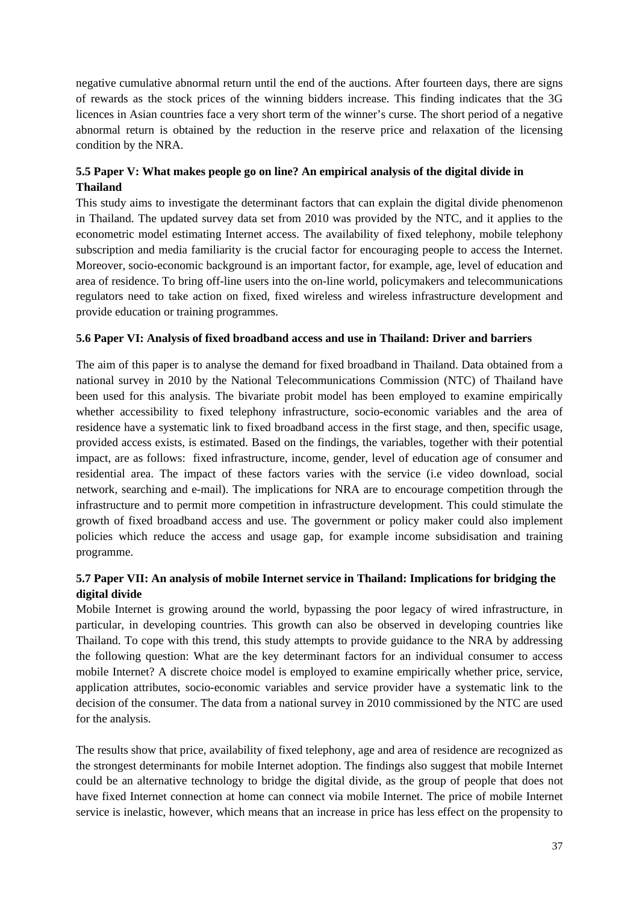negative cumulative abnormal return until the end of the auctions. After fourteen days, there are signs of rewards as the stock prices of the winning bidders increase. This finding indicates that the 3G licences in Asian countries face a very short term of the winner's curse. The short period of a negative abnormal return is obtained by the reduction in the reserve price and relaxation of the licensing condition by the NRA.

# **5.5 Paper V: What makes people go on line? An empirical analysis of the digital divide in Thailand**

This study aims to investigate the determinant factors that can explain the digital divide phenomenon in Thailand. The updated survey data set from 2010 was provided by the NTC, and it applies to the econometric model estimating Internet access. The availability of fixed telephony, mobile telephony subscription and media familiarity is the crucial factor for encouraging people to access the Internet. Moreover, socio-economic background is an important factor, for example, age, level of education and area of residence. To bring off-line users into the on-line world, policymakers and telecommunications regulators need to take action on fixed, fixed wireless and wireless infrastructure development and provide education or training programmes.

# **5.6 Paper VI: Analysis of fixed broadband access and use in Thailand: Driver and barriers**

The aim of this paper is to analyse the demand for fixed broadband in Thailand. Data obtained from a national survey in 2010 by the National Telecommunications Commission (NTC) of Thailand have been used for this analysis. The bivariate probit model has been employed to examine empirically whether accessibility to fixed telephony infrastructure, socio-economic variables and the area of residence have a systematic link to fixed broadband access in the first stage, and then, specific usage, provided access exists, is estimated. Based on the findings, the variables, together with their potential impact, are as follows: fixed infrastructure, income, gender, level of education age of consumer and residential area. The impact of these factors varies with the service (i.e video download, social network, searching and e-mail). The implications for NRA are to encourage competition through the infrastructure and to permit more competition in infrastructure development. This could stimulate the growth of fixed broadband access and use. The government or policy maker could also implement policies which reduce the access and usage gap, for example income subsidisation and training programme.

# **5.7 Paper VII: An analysis of mobile Internet service in Thailand: Implications for bridging the digital divide**

Mobile Internet is growing around the world, bypassing the poor legacy of wired infrastructure, in particular, in developing countries. This growth can also be observed in developing countries like Thailand. To cope with this trend, this study attempts to provide guidance to the NRA by addressing the following question: What are the key determinant factors for an individual consumer to access mobile Internet? A discrete choice model is employed to examine empirically whether price, service, application attributes, socio-economic variables and service provider have a systematic link to the decision of the consumer. The data from a national survey in 2010 commissioned by the NTC are used for the analysis.

The results show that price, availability of fixed telephony, age and area of residence are recognized as the strongest determinants for mobile Internet adoption. The findings also suggest that mobile Internet could be an alternative technology to bridge the digital divide, as the group of people that does not have fixed Internet connection at home can connect via mobile Internet. The price of mobile Internet service is inelastic, however, which means that an increase in price has less effect on the propensity to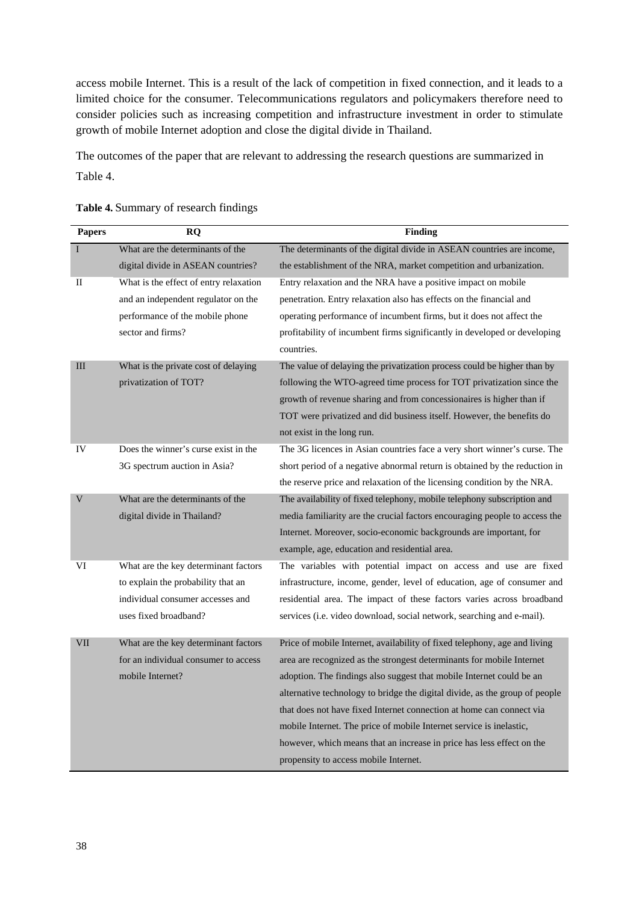access mobile Internet. This is a result of the lack of competition in fixed connection, and it leads to a limited choice for the consumer. Telecommunications regulators and policymakers therefore need to consider policies such as increasing competition and infrastructure investment in order to stimulate growth of mobile Internet adoption and close the digital divide in Thailand.

The outcomes of the paper that are relevant to addressing the research questions are summarized in Table 4.

| <b>Papers</b> | <b>RO</b>                              | <b>Finding</b>                                                                                                                                      |
|---------------|----------------------------------------|-----------------------------------------------------------------------------------------------------------------------------------------------------|
| I             | What are the determinants of the       | The determinants of the digital divide in ASEAN countries are income,                                                                               |
|               | digital divide in ASEAN countries?     | the establishment of the NRA, market competition and urbanization.                                                                                  |
| $\mathbf{I}$  | What is the effect of entry relaxation | Entry relaxation and the NRA have a positive impact on mobile                                                                                       |
|               | and an independent regulator on the    | penetration. Entry relaxation also has effects on the financial and                                                                                 |
|               | performance of the mobile phone        | operating performance of incumbent firms, but it does not affect the                                                                                |
|               | sector and firms?                      | profitability of incumbent firms significantly in developed or developing                                                                           |
|               |                                        | countries.                                                                                                                                          |
| III           | What is the private cost of delaying   | The value of delaying the privatization process could be higher than by                                                                             |
|               | privatization of TOT?                  | following the WTO-agreed time process for TOT privatization since the                                                                               |
|               |                                        | growth of revenue sharing and from concessionaires is higher than if                                                                                |
|               |                                        | TOT were privatized and did business itself. However, the benefits do                                                                               |
|               |                                        | not exist in the long run.                                                                                                                          |
| IV            | Does the winner's curse exist in the   | The 3G licences in Asian countries face a very short winner's curse. The                                                                            |
|               | 3G spectrum auction in Asia?           | short period of a negative abnormal return is obtained by the reduction in                                                                          |
|               |                                        | the reserve price and relaxation of the licensing condition by the NRA.                                                                             |
| V             | What are the determinants of the       | The availability of fixed telephony, mobile telephony subscription and                                                                              |
|               | digital divide in Thailand?            | media familiarity are the crucial factors encouraging people to access the                                                                          |
|               |                                        | Internet. Moreover, socio-economic backgrounds are important, for                                                                                   |
|               |                                        | example, age, education and residential area.                                                                                                       |
| VI            | What are the key determinant factors   | The variables with potential impact on access and use are fixed                                                                                     |
|               | to explain the probability that an     | infrastructure, income, gender, level of education, age of consumer and                                                                             |
|               | individual consumer accesses and       | residential area. The impact of these factors varies across broadband                                                                               |
|               | uses fixed broadband?                  | services (i.e. video download, social network, searching and e-mail).                                                                               |
| VII           | What are the key determinant factors   | Price of mobile Internet, availability of fixed telephony, age and living                                                                           |
|               | for an individual consumer to access   | area are recognized as the strongest determinants for mobile Internet                                                                               |
|               | mobile Internet?                       |                                                                                                                                                     |
|               |                                        | adoption. The findings also suggest that mobile Internet could be an                                                                                |
|               |                                        | alternative technology to bridge the digital divide, as the group of people<br>that does not have fixed Internet connection at home can connect via |
|               |                                        |                                                                                                                                                     |
|               |                                        | mobile Internet. The price of mobile Internet service is inelastic,                                                                                 |
|               |                                        | however, which means that an increase in price has less effect on the                                                                               |
|               |                                        | propensity to access mobile Internet.                                                                                                               |

#### **Table 4.** Summary of research findings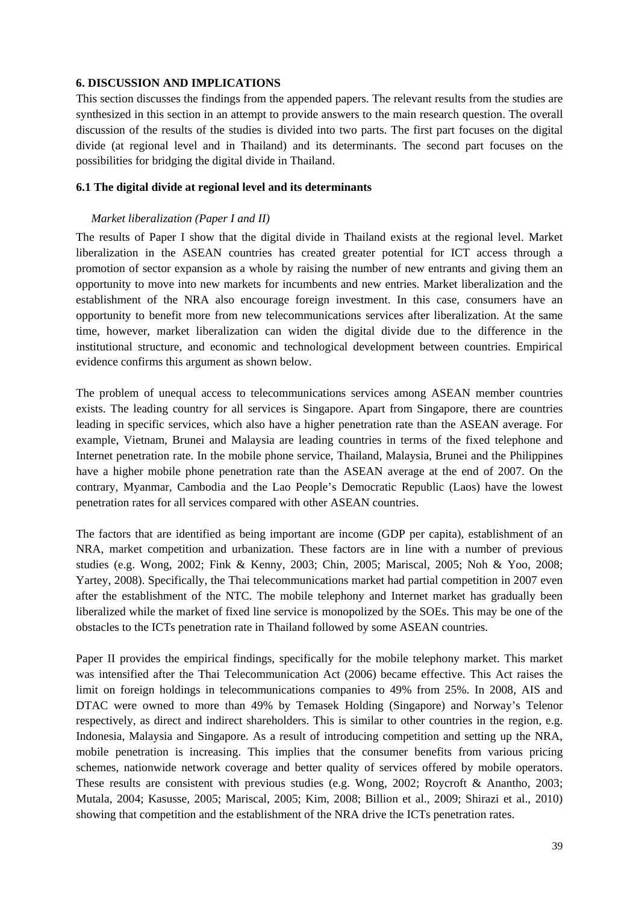#### **6. DISCUSSION AND IMPLICATIONS**

This section discusses the findings from the appended papers. The relevant results from the studies are synthesized in this section in an attempt to provide answers to the main research question. The overall discussion of the results of the studies is divided into two parts. The first part focuses on the digital divide (at regional level and in Thailand) and its determinants. The second part focuses on the possibilities for bridging the digital divide in Thailand.

### **6.1 The digital divide at regional level and its determinants**

### *Market liberalization (Paper I and II)*

The results of Paper I show that the digital divide in Thailand exists at the regional level. Market liberalization in the ASEAN countries has created greater potential for ICT access through a promotion of sector expansion as a whole by raising the number of new entrants and giving them an opportunity to move into new markets for incumbents and new entries. Market liberalization and the establishment of the NRA also encourage foreign investment. In this case, consumers have an opportunity to benefit more from new telecommunications services after liberalization. At the same time, however, market liberalization can widen the digital divide due to the difference in the institutional structure, and economic and technological development between countries. Empirical evidence confirms this argument as shown below.

The problem of unequal access to telecommunications services among ASEAN member countries exists. The leading country for all services is Singapore. Apart from Singapore, there are countries leading in specific services, which also have a higher penetration rate than the ASEAN average. For example, Vietnam, Brunei and Malaysia are leading countries in terms of the fixed telephone and Internet penetration rate. In the mobile phone service, Thailand, Malaysia, Brunei and the Philippines have a higher mobile phone penetration rate than the ASEAN average at the end of 2007. On the contrary, Myanmar, Cambodia and the Lao People's Democratic Republic (Laos) have the lowest penetration rates for all services compared with other ASEAN countries.

The factors that are identified as being important are income (GDP per capita), establishment of an NRA, market competition and urbanization. These factors are in line with a number of previous studies (e.g. Wong, 2002; Fink & Kenny, 2003; Chin, 2005; Mariscal, 2005; Noh & Yoo, 2008; Yartey, 2008). Specifically, the Thai telecommunications market had partial competition in 2007 even after the establishment of the NTC. The mobile telephony and Internet market has gradually been liberalized while the market of fixed line service is monopolized by the SOEs. This may be one of the obstacles to the ICTs penetration rate in Thailand followed by some ASEAN countries.

Paper II provides the empirical findings, specifically for the mobile telephony market. This market was intensified after the [Thai Telecommunication Act \(2006\)](http://en.wikipedia.org/w/index.php?title=Thai_Telecommunication_Act_(2006)&action=edit&redlink=1) became effective. This Act raises the limit on foreign holdings in telecommunications companies to 49% from 25%. In 2008, AIS and DTAC were owned to more than 49% by Temasek Holding (Singapore) and Norway's Telenor respectively, as direct and indirect shareholders. This is similar to other countries in the region, e.g. Indonesia, Malaysia and Singapore. As a result of introducing competition and setting up the NRA, mobile penetration is increasing. This implies that the consumer benefits from various pricing schemes, nationwide network coverage and better quality of services offered by mobile operators. These results are consistent with previous studies (e.g. Wong, 2002; Roycroft & Anantho, 2003; Mutala, 2004; Kasusse, 2005; Mariscal, 2005; Kim, 2008; Billion et al., 2009; Shirazi et al., 2010) showing that competition and the establishment of the NRA drive the ICTs penetration rates.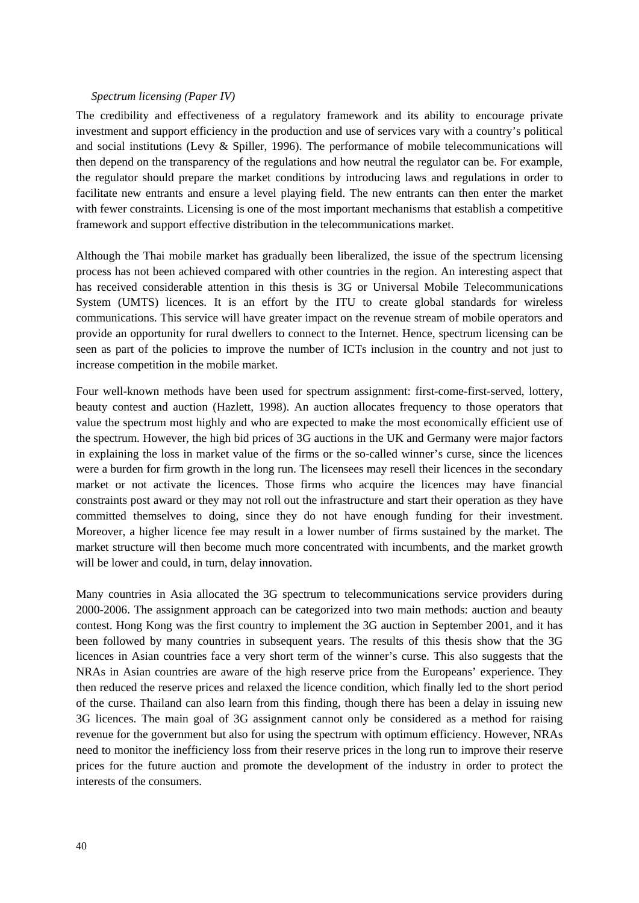#### *Spectrum licensing (Paper IV)*

The credibility and effectiveness of a regulatory framework and its ability to encourage private investment and support efficiency in the production and use of services vary with a country's political and social institutions (Levy & Spiller, 1996). The performance of mobile telecommunications will then depend on the transparency of the regulations and how neutral the regulator can be. For example, the regulator should prepare the market conditions by introducing laws and regulations in order to facilitate new entrants and ensure a level playing field. The new entrants can then enter the market with fewer constraints. Licensing is one of the most important mechanisms that establish a competitive framework and support effective distribution in the telecommunications market.

Although the Thai mobile market has gradually been liberalized, the issue of the spectrum licensing process has not been achieved compared with other countries in the region. An interesting aspect that has received considerable attention in this thesis is 3G or Universal Mobile Telecommunications System (UMTS) licences. It is an effort by the ITU to create global standards for wireless communications. This service will have greater impact on the revenue stream of mobile operators and provide an opportunity for rural dwellers to connect to the Internet. Hence, spectrum licensing can be seen as part of the policies to improve the number of ICTs inclusion in the country and not just to increase competition in the mobile market.

Four well-known methods have been used for spectrum assignment: first-come-first-served, lottery, beauty contest and auction (Hazlett, 1998). An auction allocates frequency to those operators that value the spectrum most highly and who are expected to make the most economically efficient use of the spectrum. However, the high bid prices of 3G auctions in the UK and Germany were major factors in explaining the loss in market value of the firms or the so-called winner's curse, since the licences were a burden for firm growth in the long run. The licensees may resell their licences in the secondary market or not activate the licences. Those firms who acquire the licences may have financial constraints post award or they may not roll out the infrastructure and start their operation as they have committed themselves to doing, since they do not have enough funding for their investment. Moreover, a higher licence fee may result in a lower number of firms sustained by the market. The market structure will then become much more concentrated with incumbents, and the market growth will be lower and could, in turn, delay innovation.

Many countries in Asia allocated the 3G spectrum to telecommunications service providers during 2000-2006. The assignment approach can be categorized into two main methods: auction and beauty contest. Hong Kong was the first country to implement the 3G auction in September 2001, and it has been followed by many countries in subsequent years. The results of this thesis show that the 3G licences in Asian countries face a very short term of the winner's curse. This also suggests that the NRAs in Asian countries are aware of the high reserve price from the Europeans' experience. They then reduced the reserve prices and relaxed the licence condition, which finally led to the short period of the curse. Thailand can also learn from this finding, though there has been a delay in issuing new 3G licences. The main goal of 3G assignment cannot only be considered as a method for raising revenue for the government but also for using the spectrum with optimum efficiency. However, NRAs need to monitor the inefficiency loss from their reserve prices in the long run to improve their reserve prices for the future auction and promote the development of the industry in order to protect the interests of the consumers.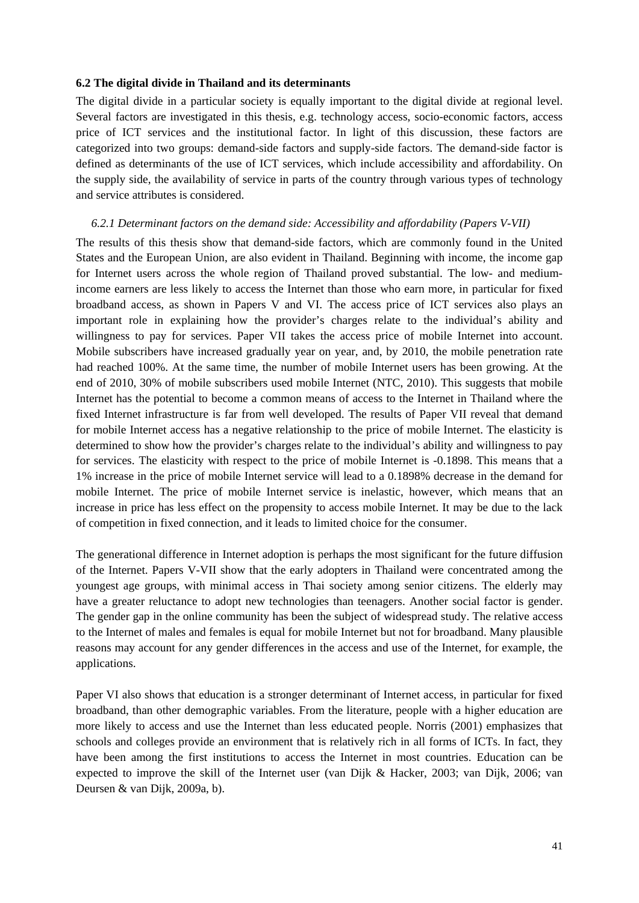#### **6.2 The digital divide in Thailand and its determinants**

The digital divide in a particular society is equally important to the digital divide at regional level. Several factors are investigated in this thesis, e.g. technology access, socio-economic factors, access price of ICT services and the institutional factor. In light of this discussion, these factors are categorized into two groups: demand-side factors and supply-side factors. The demand-side factor is defined as determinants of the use of ICT services, which include accessibility and affordability. On the supply side, the availability of service in parts of the country through various types of technology and service attributes is considered.

#### *6.2.1 Determinant factors on the demand side: Accessibility and affordability (Papers V-VII)*

The results of this thesis show that demand-side factors, which are commonly found in the United States and the European Union, are also evident in Thailand. Beginning with income, the income gap for Internet users across the whole region of Thailand proved substantial. The low- and mediumincome earners are less likely to access the Internet than those who earn more, in particular for fixed broadband access, as shown in Papers V and VI. The access price of ICT services also plays an important role in explaining how the provider's charges relate to the individual's ability and willingness to pay for services. Paper VII takes the access price of mobile Internet into account. Mobile subscribers have increased gradually year on year, and, by 2010, the mobile penetration rate had reached 100%. At the same time, the number of mobile Internet users has been growing. At the end of 2010, 30% of mobile subscribers used mobile Internet (NTC, 2010). This suggests that mobile Internet has the potential to become a common means of access to the Internet in Thailand where the fixed Internet infrastructure is far from well developed. The results of Paper VII reveal that demand for mobile Internet access has a negative relationship to the price of mobile Internet. The elasticity is determined to show how the provider's charges relate to the individual's ability and willingness to pay for services. The elasticity with respect to the price of mobile Internet is -0.1898. This means that a 1% increase in the price of mobile Internet service will lead to a 0.1898% decrease in the demand for mobile Internet. The price of mobile Internet service is inelastic, however, which means that an increase in price has less effect on the propensity to access mobile Internet. It may be due to the lack of competition in fixed connection, and it leads to limited choice for the consumer.

The generational difference in Internet adoption is perhaps the most significant for the future diffusion of the Internet. Papers V-VII show that the early adopters in Thailand were concentrated among the youngest age groups, with minimal access in Thai society among senior citizens. The elderly may have a greater reluctance to adopt new technologies than teenagers. Another social factor is gender. The gender gap in the online community has been the subject of widespread study. The relative access to the Internet of males and females is equal for mobile Internet but not for broadband. Many plausible reasons may account for any gender differences in the access and use of the Internet, for example, the applications.

Paper VI also shows that education is a stronger determinant of Internet access, in particular for fixed broadband, than other demographic variables. From the literature, people with a higher education are more likely to access and use the Internet than less educated people. Norris (2001) emphasizes that schools and colleges provide an environment that is relatively rich in all forms of ICTs. In fact, they have been among the first institutions to access the Internet in most countries. Education can be expected to improve the skill of the Internet user (van Dijk & Hacker, 2003; van Dijk, 2006; van Deursen & van Dijk, 2009a, b).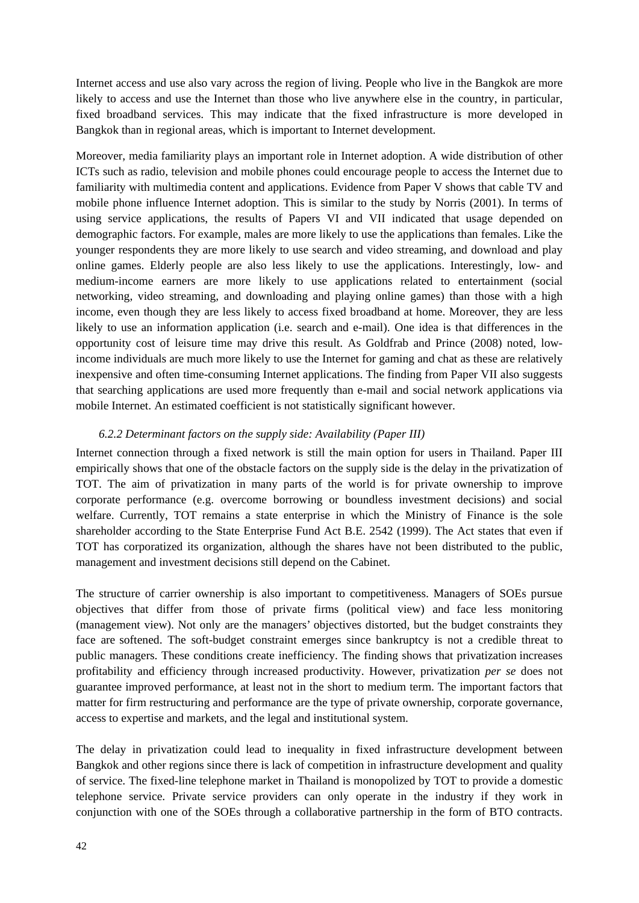Internet access and use also vary across the region of living. People who live in the Bangkok are more likely to access and use the Internet than those who live anywhere else in the country, in particular, fixed broadband services. This may indicate that the fixed infrastructure is more developed in Bangkok than in regional areas, which is important to Internet development.

Moreover, media familiarity plays an important role in Internet adoption. A wide distribution of other ICTs such as radio, television and mobile phones could encourage people to access the Internet due to familiarity with multimedia content and applications. Evidence from Paper V shows that cable TV and mobile phone influence Internet adoption. This is similar to the study by Norris (2001). In terms of using service applications, the results of Papers VI and VII indicated that usage depended on demographic factors. For example, males are more likely to use the applications than females. Like the younger respondents they are more likely to use search and video streaming, and download and play online games. Elderly people are also less likely to use the applications. Interestingly, low- and medium-income earners are more likely to use applications related to entertainment (social networking, video streaming, and downloading and playing online games) than those with a high income, even though they are less likely to access fixed broadband at home. Moreover, they are less likely to use an information application (i.e. search and e-mail). One idea is that differences in the opportunity cost of leisure time may drive this result. As Goldfrab and Prince (2008) noted, lowincome individuals are much more likely to use the Internet for gaming and chat as these are relatively inexpensive and often time-consuming Internet applications. The finding from Paper VII also suggests that searching applications are used more frequently than e-mail and social network applications via mobile Internet. An estimated coefficient is not statistically significant however.

### *6.2.2 Determinant factors on the supply side: Availability (Paper III)*

Internet connection through a fixed network is still the main option for users in Thailand. Paper III empirically shows that one of the obstacle factors on the supply side is the delay in the privatization of TOT. The aim of privatization in many parts of the world is for private ownership to improve corporate performance (e.g. overcome borrowing or boundless investment decisions) and social welfare. Currently, TOT remains a state enterprise in which the Ministry of Finance is the sole shareholder according to the State Enterprise Fund Act B.E. 2542 (1999). The Act states that even if TOT has corporatized its organization, although the shares have not been distributed to the public, management and investment decisions still depend on the Cabinet.

The structure of carrier ownership is also important to competitiveness. Managers of SOEs pursue objectives that differ from those of private firms (political view) and face less monitoring (management view). Not only are the managers' objectives distorted, but the budget constraints they face are softened. The soft-budget constraint emerges since bankruptcy is not a credible threat to public managers. These conditions create inefficiency. The finding shows that privatization increases profitability and efficiency through increased productivity. However, privatization *per se* does not guarantee improved performance, at least not in the short to medium term. The important factors that matter for firm restructuring and performance are the type of private ownership, corporate governance, access to expertise and markets, and the legal and institutional system.

The delay in privatization could lead to inequality in fixed infrastructure development between Bangkok and other regions since there is lack of competition in infrastructure development and quality of service. The fixed-line telephone market in Thailand is monopolized by TOT to provide a domestic telephone service. Private service providers can only operate in the industry if they work in conjunction with one of the SOEs through a collaborative partnership in the form of BTO contracts.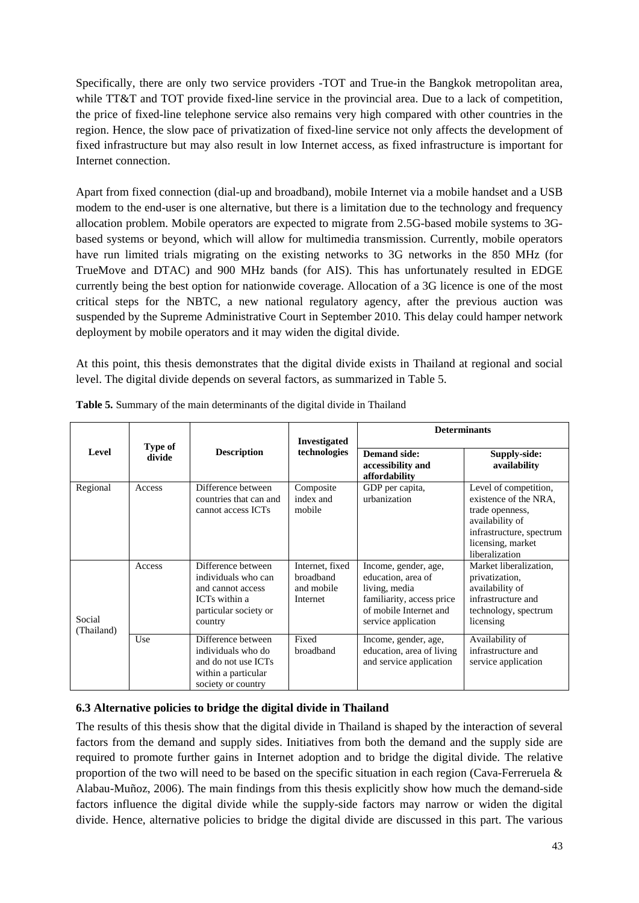Specifically, there are only two service providers -TOT and True-in the Bangkok metropolitan area, while TT&T and TOT provide fixed-line service in the provincial area. Due to a lack of competition, the price of fixed-line telephone service also remains very high compared with other countries in the region. Hence, the slow pace of privatization of fixed-line service not only affects the development of fixed infrastructure but may also result in low Internet access, as fixed infrastructure is important for Internet connection.

Apart from fixed connection (dial-up and broadband), mobile Internet via a mobile handset and a USB modem to the end-user is one alternative, but there is a limitation due to the technology and frequency allocation problem. Mobile operators are expected to migrate from 2.5G-based mobile systems to 3Gbased systems or beyond, which will allow for multimedia transmission. Currently, mobile operators have run limited trials migrating on the existing networks to 3G networks in the 850 MHz (for TrueMove and DTAC) and 900 MHz bands (for AIS). This has unfortunately resulted in EDGE currently being the best option for nationwide coverage. Allocation of a 3G licence is one of the most critical steps for the NBTC, a new national regulatory agency, after the previous auction was suspended by the Supreme Administrative Court in September 2010. This delay could hamper network deployment by mobile operators and it may widen the digital divide.

At this point, this thesis demonstrates that the digital divide exists in Thailand at regional and social level. The digital divide depends on several factors, as summarized in Table 5.

|                      | Type of<br>divide | <b>Description</b>                                                                                                  | <b>Investigated</b>                                    | <b>Determinants</b>                                                                                                                       |                                                                                                                                                         |  |
|----------------------|-------------------|---------------------------------------------------------------------------------------------------------------------|--------------------------------------------------------|-------------------------------------------------------------------------------------------------------------------------------------------|---------------------------------------------------------------------------------------------------------------------------------------------------------|--|
| Level                |                   |                                                                                                                     | technologies                                           | <b>Demand side:</b><br>accessibility and<br>affordability                                                                                 | Supply-side:<br>availability                                                                                                                            |  |
| Regional             | Access            | Difference between<br>countries that can and<br>cannot access ICTs                                                  | Composite<br>index and<br>mobile                       | GDP per capita,<br>urbanization                                                                                                           | Level of competition,<br>existence of the NRA.<br>trade openness,<br>availability of<br>infrastructure, spectrum<br>licensing, market<br>liberalization |  |
| Social<br>(Thailand) | Access            | Difference between<br>individuals who can<br>and cannot access<br>ICTs within a<br>particular society or<br>country | Internet, fixed<br>broadband<br>and mobile<br>Internet | Income, gender, age,<br>education, area of<br>living, media<br>familiarity, access price<br>of mobile Internet and<br>service application | Market liberalization,<br>privatization,<br>availability of<br>infrastructure and<br>technology, spectrum<br>licensing                                  |  |
|                      | Use               | Difference between<br>individuals who do<br>and do not use ICTs<br>within a particular<br>society or country        | Fixed<br>broadband                                     | Income, gender, age,<br>education, area of living<br>and service application                                                              | Availability of<br>infrastructure and<br>service application                                                                                            |  |

# **6.3 Alternative policies to bridge the digital divide in Thailand**

The results of this thesis show that the digital divide in Thailand is shaped by the interaction of several factors from the demand and supply sides. Initiatives from both the demand and the supply side are required to promote further gains in Internet adoption and to bridge the digital divide. The relative proportion of the two will need to be based on the specific situation in each region (Cava-Ferreruela & Alabau-Muñoz, 2006). The main findings from this thesis explicitly show how much the demand-side factors influence the digital divide while the supply-side factors may narrow or widen the digital divide. Hence, alternative policies to bridge the digital divide are discussed in this part. The various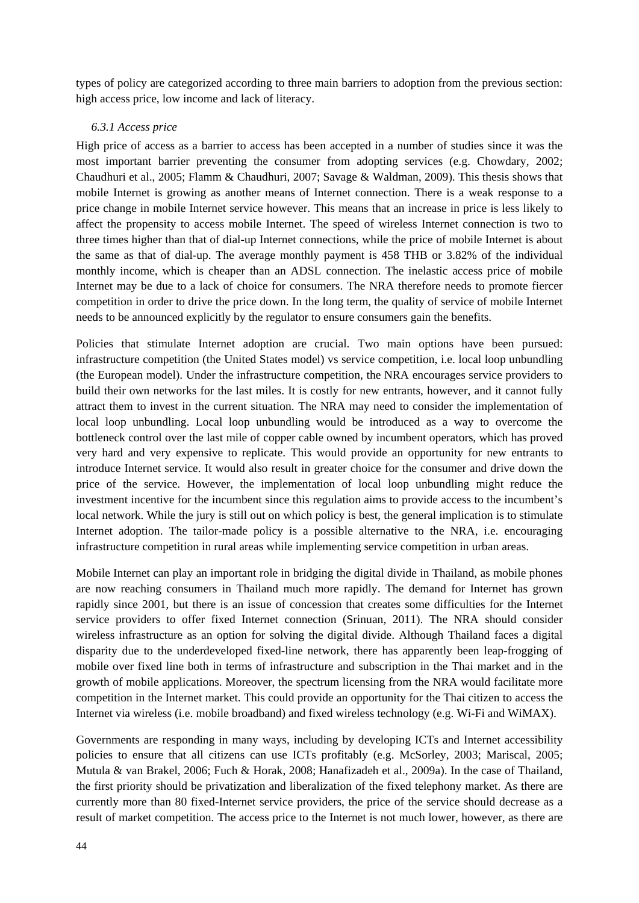types of policy are categorized according to three main barriers to adoption from the previous section: high access price, low income and lack of literacy.

#### *6.3.1 Access price*

High price of access as a barrier to access has been accepted in a number of studies since it was the most important barrier preventing the consumer from adopting services (e.g. Chowdary, 2002; Chaudhuri et al., 2005; Flamm & Chaudhuri, 2007; Savage & Waldman, 2009). This thesis shows that mobile Internet is growing as another means of Internet connection. There is a weak response to a price change in mobile Internet service however. This means that an increase in price is less likely to affect the propensity to access mobile Internet. The speed of wireless Internet connection is two to three times higher than that of dial-up Internet connections, while the price of mobile Internet is about the same as that of dial-up. The average monthly payment is 458 THB or 3.82% of the individual monthly income, which is cheaper than an ADSL connection. The inelastic access price of mobile Internet may be due to a lack of choice for consumers. The NRA therefore needs to promote fiercer competition in order to drive the price down. In the long term, the quality of service of mobile Internet needs to be announced explicitly by the regulator to ensure consumers gain the benefits.

Policies that stimulate Internet adoption are crucial. Two main options have been pursued: infrastructure competition (the United States model) vs service competition, i.e. local loop unbundling (the European model). Under the infrastructure competition, the NRA encourages service providers to build their own networks for the last miles. It is costly for new entrants, however, and it cannot fully attract them to invest in the current situation. The NRA may need to consider the implementation of local loop unbundling. Local loop unbundling would be introduced as a way to overcome the bottleneck control over the last mile of copper cable owned by incumbent operators, which has proved very hard and very expensive to replicate. This would provide an opportunity for new entrants to introduce Internet service. It would also result in greater choice for the consumer and drive down the price of the service. However, the implementation of local loop unbundling might reduce the investment incentive for the incumbent since this regulation aims to provide access to the incumbent's local network. While the jury is still out on which policy is best, the general implication is to stimulate Internet adoption. The tailor-made policy is a possible alternative to the NRA, i.e. encouraging infrastructure competition in rural areas while implementing service competition in urban areas.

Mobile Internet can play an important role in bridging the digital divide in Thailand, as mobile phones are now reaching consumers in Thailand much more rapidly. The demand for Internet has grown rapidly since 2001, but there is an issue of concession that creates some difficulties for the Internet service providers to offer fixed Internet connection (Srinuan, 2011). The NRA should consider wireless infrastructure as an option for solving the digital divide. Although Thailand faces a digital disparity due to the underdeveloped fixed-line network, there has apparently been leap-frogging of mobile over fixed line both in terms of infrastructure and subscription in the Thai market and in the growth of mobile applications. Moreover, the spectrum licensing from the NRA would facilitate more competition in the Internet market. This could provide an opportunity for the Thai citizen to access the Internet via wireless (i.e. mobile broadband) and fixed wireless technology (e.g. Wi-Fi and WiMAX).

Governments are responding in many ways, including by developing ICTs and Internet accessibility policies to ensure that all citizens can use ICTs profitably (e.g. McSorley, 2003; Mariscal, 2005; Mutula & van Brakel, 2006; Fuch & Horak, 2008; Hanafizadeh et al., 2009a). In the case of Thailand, the first priority should be privatization and liberalization of the fixed telephony market. As there are currently more than 80 fixed-Internet service providers, the price of the service should decrease as a result of market competition. The access price to the Internet is not much lower, however, as there are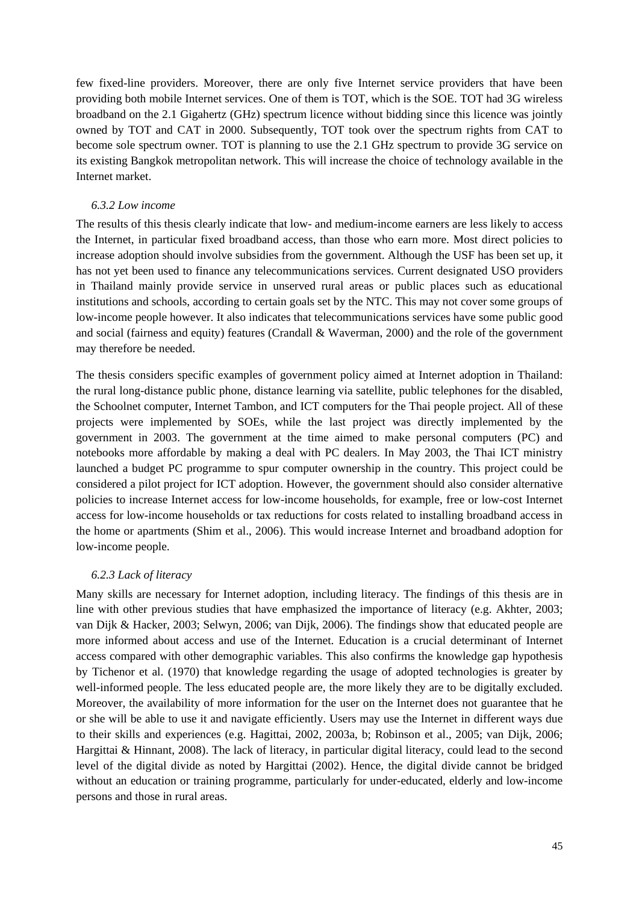few fixed-line providers. Moreover, there are only five Internet service providers that have been providing both mobile Internet services. One of them is TOT, which is the SOE. TOT had 3G wireless broadband on the 2.1 Gigahertz (GHz) spectrum licence without bidding since this licence was jointly owned by TOT and CAT in 2000. Subsequently, TOT took over the spectrum rights from CAT to become sole spectrum owner. TOT is planning to use the 2.1 GHz spectrum to provide 3G service on its existing Bangkok metropolitan network. This will increase the choice of technology available in the Internet market.

### *6.3.2 Low income*

The results of this thesis clearly indicate that low- and medium-income earners are less likely to access the Internet, in particular fixed broadband access, than those who earn more. Most direct policies to increase adoption should involve subsidies from the government. Although the USF has been set up, it has not yet been used to finance any telecommunications services. Current designated USO providers in Thailand mainly provide service in unserved rural areas or public places such as educational institutions and schools, according to certain goals set by the NTC. This may not cover some groups of low-income people however. It also indicates that telecommunications services have some public good and social (fairness and equity) features (Crandall & Waverman, 2000) and the role of the government may therefore be needed.

The thesis considers specific examples of government policy aimed at Internet adoption in Thailand: the rural long-distance public phone, distance learning via satellite, public telephones for the disabled, the Schoolnet computer, Internet Tambon, and ICT computers for the Thai people project. All of these projects were implemented by SOEs, while the last project was directly implemented by the government in 2003. The government at the time aimed to make personal computers (PC) and notebooks more affordable by making a deal with PC dealers. In May 2003, the Thai ICT ministry launched a budget PC programme to spur computer ownership in the country. This project could be considered a pilot project for ICT adoption. However, the government should also consider alternative policies to increase Internet access for low-income households, for example, free or low-cost Internet access for low-income households or tax reductions for costs related to installing broadband access in the home or apartments (Shim et al., 2006). This would increase Internet and broadband adoption for low-income people.

#### *6.2.3 Lack of literacy*

Many skills are necessary for Internet adoption, including literacy. The findings of this thesis are in line with other previous studies that have emphasized the importance of literacy (e.g. Akhter, 2003; van Dijk & Hacker, 2003; Selwyn, 2006; van Dijk, 2006). The findings show that educated people are more informed about access and use of the Internet. Education is a crucial determinant of Internet access compared with other demographic variables. This also confirms the knowledge gap hypothesis by Tichenor et al. (1970) that knowledge regarding the usage of adopted technologies is greater by well-informed people. The less educated people are, the more likely they are to be digitally excluded. Moreover, the availability of more information for the user on the Internet does not guarantee that he or she will be able to use it and navigate efficiently. Users may use the Internet in different ways due to their skills and experiences (e.g. Hagittai, 2002, 2003a, b; Robinson et al., 2005; van Dijk, 2006; Hargittai & Hinnant, 2008). The lack of literacy, in particular digital literacy, could lead to the second level of the digital divide as noted by Hargittai (2002). Hence, the digital divide cannot be bridged without an education or training programme, particularly for under-educated, elderly and low-income persons and those in rural areas.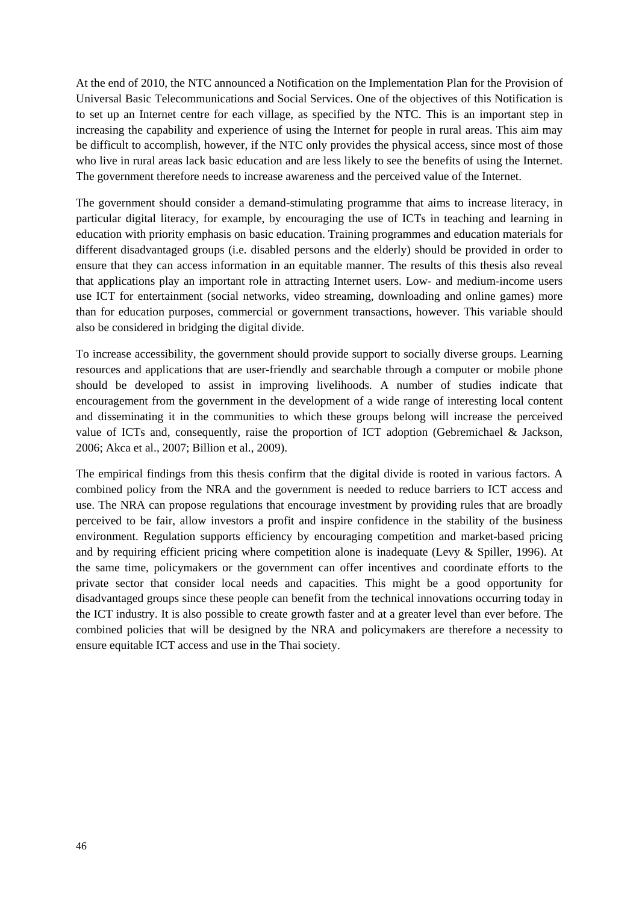At the end of 2010, the NTC announced a Notification on the Implementation Plan for the Provision of Universal Basic Telecommunications and Social Services. One of the objectives of this Notification is to set up an Internet centre for each village, as specified by the NTC. This is an important step in increasing the capability and experience of using the Internet for people in rural areas. This aim may be difficult to accomplish, however, if the NTC only provides the physical access, since most of those who live in rural areas lack basic education and are less likely to see the benefits of using the Internet. The government therefore needs to increase awareness and the perceived value of the Internet.

The government should consider a demand-stimulating programme that aims to increase literacy, in particular digital literacy, for example, by encouraging the use of ICTs in teaching and learning in education with priority emphasis on basic education. Training programmes and education materials for different disadvantaged groups (i.e. disabled persons and the elderly) should be provided in order to ensure that they can access information in an equitable manner. The results of this thesis also reveal that applications play an important role in attracting Internet users. Low- and medium-income users use ICT for entertainment (social networks, video streaming, downloading and online games) more than for education purposes, commercial or government transactions, however. This variable should also be considered in bridging the digital divide.

To increase accessibility, the government should provide support to socially diverse groups. Learning resources and applications that are user-friendly and searchable through a computer or mobile phone should be developed to assist in improving livelihoods. A number of studies indicate that encouragement from the government in the development of a wide range of interesting local content and disseminating it in the communities to which these groups belong will increase the perceived value of ICTs and, consequently, raise the proportion of ICT adoption (Gebremichael & Jackson, 2006; Akca et al., 2007; Billion et al., 2009).

The empirical findings from this thesis confirm that the digital divide is rooted in various factors. A combined policy from the NRA and the government is needed to reduce barriers to ICT access and use. The NRA can propose regulations that encourage investment by providing rules that are broadly perceived to be fair, allow investors a profit and inspire confidence in the stability of the business environment. Regulation supports efficiency by encouraging competition and market-based pricing and by requiring efficient pricing where competition alone is inadequate (Levy & Spiller, 1996). At the same time, policymakers or the government can offer incentives and coordinate efforts to the private sector that consider local needs and capacities. This might be a good opportunity for disadvantaged groups since these people can benefit from the technical innovations occurring today in the ICT industry. It is also possible to create growth faster and at a greater level than ever before. The combined policies that will be designed by the NRA and policymakers are therefore a necessity to ensure equitable ICT access and use in the Thai society.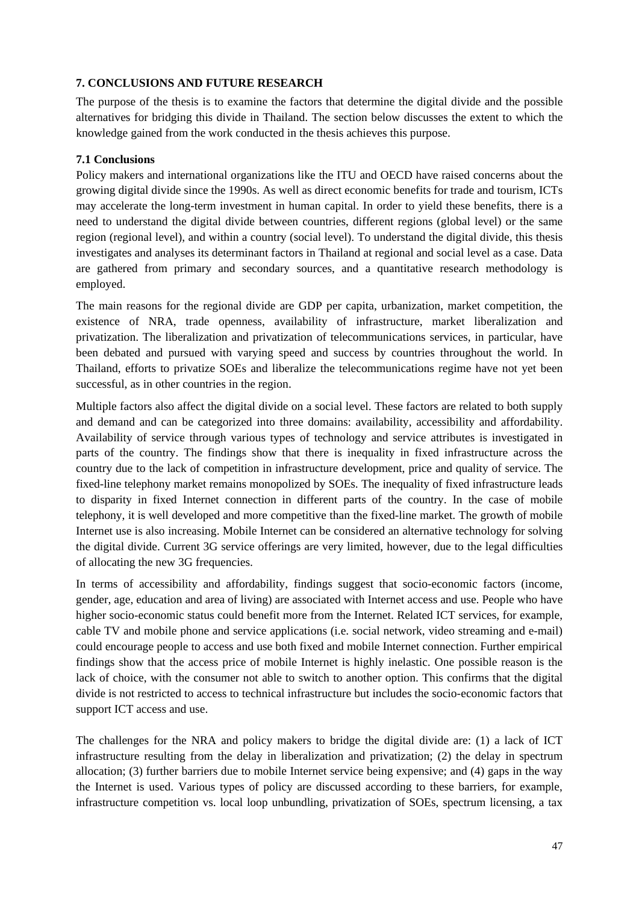# **7. CONCLUSIONS AND FUTURE RESEARCH**

The purpose of the thesis is to examine the factors that determine the digital divide and the possible alternatives for bridging this divide in Thailand. The section below discusses the extent to which the knowledge gained from the work conducted in the thesis achieves this purpose.

# **7.1 Conclusions**

Policy makers and international organizations like the ITU and OECD have raised concerns about the growing digital divide since the 1990s. As well as direct economic benefits for trade and tourism, ICTs may accelerate the long-term investment in human capital. In order to yield these benefits, there is a need to understand the digital divide between countries, different regions (global level) or the same region (regional level), and within a country (social level). To understand the digital divide, this thesis investigates and analyses its determinant factors in Thailand at regional and social level as a case. Data are gathered from primary and secondary sources, and a quantitative research methodology is employed.

The main reasons for the regional divide are GDP per capita, urbanization, market competition, the existence of NRA, trade openness, availability of infrastructure, market liberalization and privatization. The liberalization and privatization of telecommunications services, in particular, have been debated and pursued with varying speed and success by countries throughout the world. In Thailand, efforts to privatize SOEs and liberalize the telecommunications regime have not yet been successful, as in other countries in the region.

Multiple factors also affect the digital divide on a social level. These factors are related to both supply and demand and can be categorized into three domains: availability, accessibility and affordability. Availability of service through various types of technology and service attributes is investigated in parts of the country. The findings show that there is inequality in fixed infrastructure across the country due to the lack of competition in infrastructure development, price and quality of service. The fixed-line telephony market remains monopolized by SOEs. The inequality of fixed infrastructure leads to disparity in fixed Internet connection in different parts of the country. In the case of mobile telephony, it is well developed and more competitive than the fixed-line market. The growth of mobile Internet use is also increasing. Mobile Internet can be considered an alternative technology for solving the digital divide. Current 3G service offerings are very limited, however, due to the legal difficulties of allocating the new 3G frequencies.

In terms of accessibility and affordability, findings suggest that socio-economic factors (income, gender, age, education and area of living) are associated with Internet access and use. People who have higher socio-economic status could benefit more from the Internet. Related ICT services, for example, cable TV and mobile phone and service applications (i.e. social network, video streaming and e-mail) could encourage people to access and use both fixed and mobile Internet connection. Further empirical findings show that the access price of mobile Internet is highly inelastic. One possible reason is the lack of choice, with the consumer not able to switch to another option. This confirms that the digital divide is not restricted to access to technical infrastructure but includes the socio-economic factors that support ICT access and use.

The challenges for the NRA and policy makers to bridge the digital divide are: (1) a lack of ICT infrastructure resulting from the delay in liberalization and privatization; (2) the delay in spectrum allocation; (3) further barriers due to mobile Internet service being expensive; and (4) gaps in the way the Internet is used. Various types of policy are discussed according to these barriers, for example, infrastructure competition vs. local loop unbundling, privatization of SOEs, spectrum licensing, a tax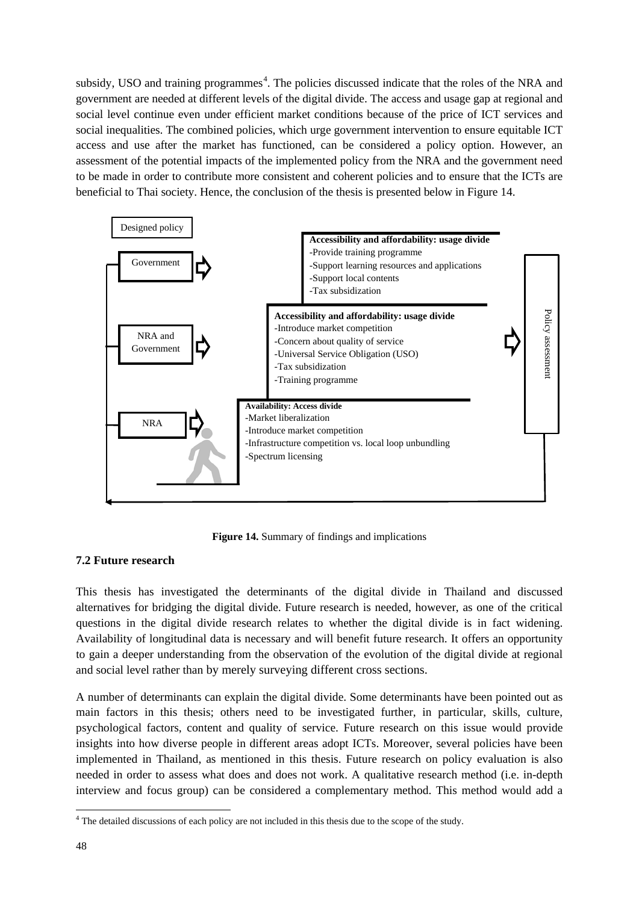subsidy, USO and training programmes<sup>[4](#page-61-0)</sup>. The policies discussed indicate that the roles of the NRA and government are needed at different levels of the digital divide. The access and usage gap at regional and social level continue even under efficient market conditions because of the price of ICT services and social inequalities. The combined policies, which urge government intervention to ensure equitable ICT access and use after the market has functioned, can be considered a policy option. However, an assessment of the potential impacts of the implemented policy from the NRA and the government need to be made in order to contribute more consistent and coherent policies and to ensure that the ICTs are beneficial to Thai society. Hence, the conclusion of the thesis is presented below in Figure 14.



**Figure 14.** Summary of findings and implications

# **7.2 Future research**

This thesis has investigated the determinants of the digital divide in Thailand and discussed alternatives for bridging the digital divide. Future research is needed, however, as one of the critical questions in the digital divide research relates to whether the digital divide is in fact widening. Availability of longitudinal data is necessary and will benefit future research. It offers an opportunity to gain a deeper understanding from the observation of the evolution of the digital divide at regional and social level rather than by merely surveying different cross sections.

A number of determinants can explain the digital divide. Some determinants have been pointed out as main factors in this thesis; others need to be investigated further, in particular, skills, culture, psychological factors, content and quality of service. Future research on this issue would provide insights into how diverse people in different areas adopt ICTs. Moreover, several policies have been implemented in Thailand, as mentioned in this thesis. Future research on policy evaluation is also needed in order to assess what does and does not work. A qualitative research method (i.e. in-depth interview and focus group) can be considered a complementary method. This method would add a

<span id="page-61-0"></span><sup>&</sup>lt;sup>4</sup> The detailed discussions of each policy are not included in this thesis due to the scope of the study.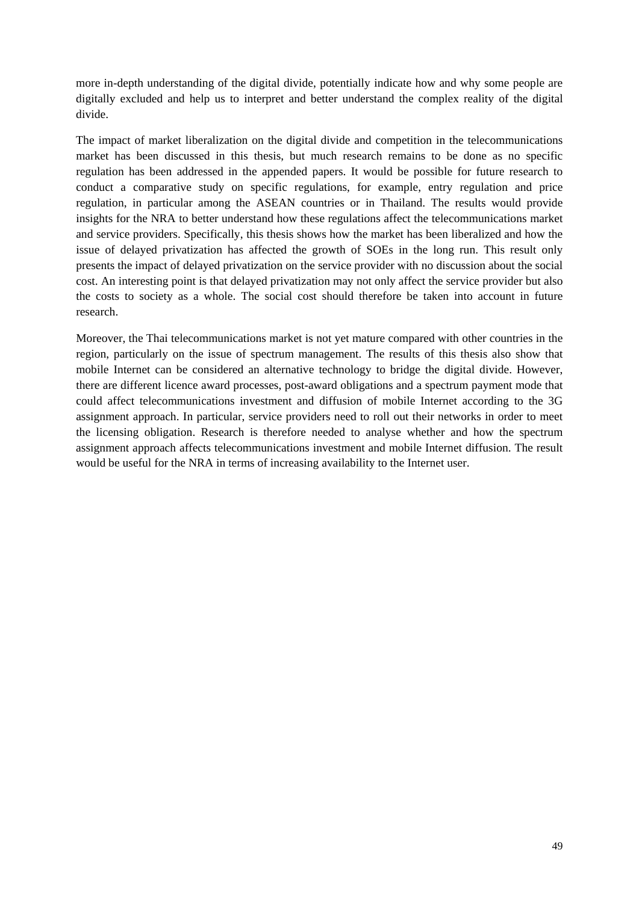more in-depth understanding of the digital divide, potentially indicate how and why some people are digitally excluded and help us to interpret and better understand the complex reality of the digital divide.

The impact of market liberalization on the digital divide and competition in the telecommunications market has been discussed in this thesis, but much research remains to be done as no specific regulation has been addressed in the appended papers. It would be possible for future research to conduct a comparative study on specific regulations, for example, entry regulation and price regulation, in particular among the ASEAN countries or in Thailand. The results would provide insights for the NRA to better understand how these regulations affect the telecommunications market and service providers. Specifically, this thesis shows how the market has been liberalized and how the issue of delayed privatization has affected the growth of SOEs in the long run. This result only presents the impact of delayed privatization on the service provider with no discussion about the social cost. An interesting point is that delayed privatization may not only affect the service provider but also the costs to society as a whole. The social cost should therefore be taken into account in future research.

Moreover, the Thai telecommunications market is not yet mature compared with other countries in the region, particularly on the issue of spectrum management. The results of this thesis also show that mobile Internet can be considered an alternative technology to bridge the digital divide. However, there are different licence award processes, post-award obligations and a spectrum payment mode that could affect telecommunications investment and diffusion of mobile Internet according to the 3G assignment approach. In particular, service providers need to roll out their networks in order to meet the licensing obligation. Research is therefore needed to analyse whether and how the spectrum assignment approach affects telecommunications investment and mobile Internet diffusion. The result would be useful for the NRA in terms of increasing availability to the Internet user.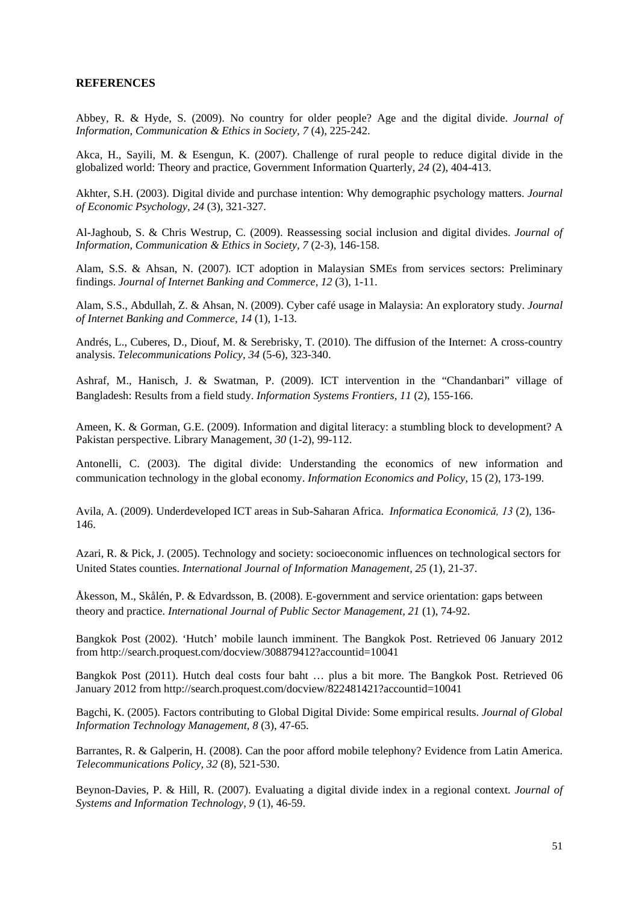#### **REFERENCES**

Abbey, R. & Hyde, S. (2009). No country for older people? Age and the digital divide. *Journal of Information, Communication & Ethics in Society, 7* (4), 225-242.

Akca, H., Sayili, M. & Esengun, K. (2007). Challenge of rural people to reduce digital divide in the globalized world: Theory and practice, Government Information Quarterly, *24* (2), 404-413.

Akhter, S.H. (2003). Digital divide and purchase intention: Why demographic psychology matters. *Journal of Economic Psychology, 24* (3), 321-327.

Al-Jaghoub, S. & Chris Westrup, C. (2009). Reassessing social inclusion and digital divides. *Journal of Information, Communication & Ethics in Society, 7* (2-3), 146-158.

Alam, S.S. & Ahsan, N. (2007). ICT adoption in Malaysian SMEs from services sectors: Preliminary findings. *Journal of Internet Banking and Commerce, 12* (3), 1-11.

Alam, S.S., Abdullah, Z. & Ahsan, N. (2009). Cyber café usage in Malaysia: An exploratory study. *Journal of Internet Banking and Commerce, 14* (1), 1-13.

Andrés, L., Cuberes, D., Diouf, M. & Serebrisky, T. (2010). The diffusion of the Internet: A cross-country analysis. *Telecommunications Policy, 34* (5-6), 323-340.

Ashraf, M., Hanisch, J. & Swatman, P. (2009). ICT intervention in the "Chandanbari" village of Bangladesh: Results from a field study. *Information Systems Frontiers, 11* (2), 155-166.

Ameen, K. & Gorman, G.E. (2009). Information and digital literacy: a stumbling block to development? A Pakistan perspective. Library Management, *30* (1-2), 99-112.

Antonelli, C. (2003). The digital divide: Understanding the economics of new information and communication technology in the global economy. *Information Economics and Policy*, 15 (2), 173-199.

Avila, A. (2009). Underdeveloped ICT areas in Sub-Saharan Africa. *Informatica Economică, 13* (2), 136- 146.

Azari, R. & Pick, J. (2005). Technology and society: socioeconomic influences on technological sectors for United States counties. *International Journal of Information Management, 25* (1), 21-37.

Åkesson, M., Skålén, P. & Edvardsson, B. (2008). E-government and service orientation: gaps between theory and practice. *International Journal of Public Sector Management, 21* (1), 74-92.

Bangkok Post (2002). 'Hutch' mobile launch imminent. The Bangkok Post. Retrieved 06 January 2012 from<http://search.proquest.com/docview/308879412?accountid=10041>

Bangkok Post (2011). Hutch deal costs four baht … plus a bit more. The Bangkok Post. Retrieved 06 January 2012 from<http://search.proquest.com/docview/822481421?accountid=10041>

Bagchi, K. (2005). Factors contributing to Global Digital Divide: Some empirical results. *Journal of Global Information Technology Management, 8* (3), 47-65.

Barrantes, R. & Galperin, H. (2008). Can the poor afford mobile telephony? Evidence from Latin America. *Telecommunications Policy, 32* (8), 521-530.

Beynon-Davies, P. & Hill, R. (2007). Evaluating a digital divide index in a regional context. *Journal of Systems and Information Technology, 9* (1), 46-59.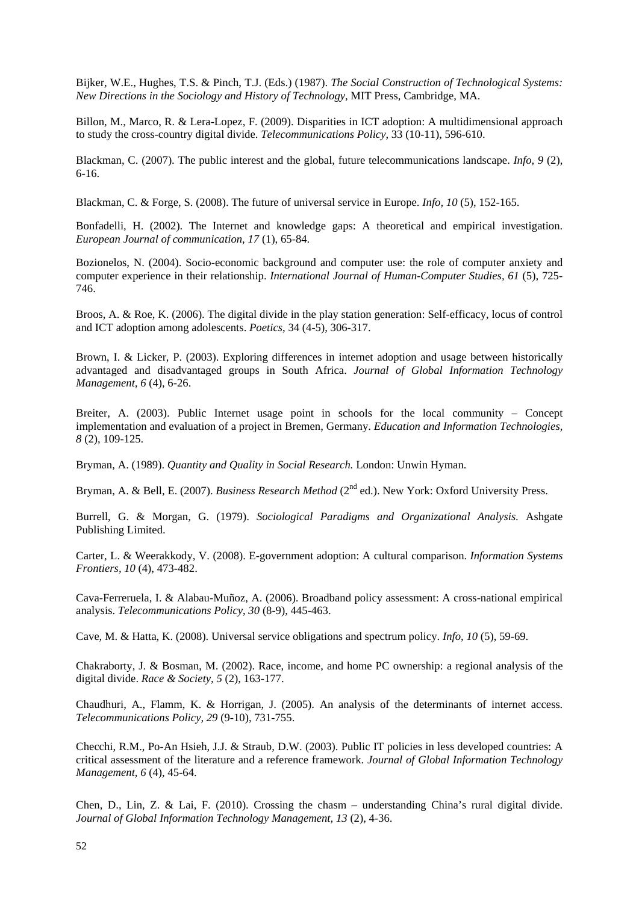Bijker, W.E., Hughes, T.S. & Pinch, T.J. (Eds.) (1987). *The Social Construction of Technological Systems: New Directions in the Sociology and History of Technology*, MIT Press, Cambridge, MA.

Billon, M., Marco, R. & Lera-Lopez, F. (2009). Disparities in ICT adoption: A multidimensional approach to study the cross-country digital divide. *Telecommunications Policy*, 33 (10-11), 596-610.

Blackman, C. (2007). The public interest and the global, future telecommunications landscape. *Info, 9* (2), 6-16.

Blackman, C. & Forge, S. (2008). The future of universal service in Europe. *Info, 10* (5), 152-165.

Bonfadelli, H. (2002). The Internet and knowledge gaps: A theoretical and empirical investigation. *European Journal of communication*, *17* (1), 65-84.

Bozionelos, N. (2004). Socio-economic background and computer use: the role of computer anxiety and computer experience in their relationship. *International Journal of Human-Computer Studies, 61* (5), 725- 746.

Broos, A. & Roe, K. (2006). The digital divide in the play station generation: Self-efficacy, locus of control and ICT adoption among adolescents. *Poetics*, 34 (4-5), 306-317.

Brown, I. & Licker, P. (2003). Exploring differences in internet adoption and usage between historically advantaged and disadvantaged groups in South Africa. *Journal of Global Information Technology Management, 6* (4), 6-26.

Breiter, A. (2003). Public Internet usage point in schools for the local community – Concept implementation and evaluation of a project in Bremen, Germany. *Education and Information Technologies, 8* (2), 109-125.

Bryman, A. (1989). *Quantity and Quality in Social Research.* London: Unwin Hyman.

Bryman, A. & Bell, E. (2007). *Business Research Method* (2<sup>nd</sup> ed.). New York: Oxford University Press.

Burrell, G. & Morgan, G. (1979). *Sociological Paradigms and Organizational Analysis*. Ashgate Publishing Limited.

Carter, L. & Weerakkody, V. (2008). E-government adoption: A cultural comparison. *Information Systems Frontiers, 10* (4), 473-482.

Cava-Ferreruela, I. & Alabau-Muñoz, A. (2006). Broadband policy assessment: A cross-national empirical analysis. *Telecommunications Policy*, *30* (8-9), 445-463.

Cave, M. & Hatta, K. (2008). Universal service obligations and spectrum policy. *Info, 10* (5), 59-69.

Chakraborty, J. & Bosman, M. (2002). Race, income, and home PC ownership: a regional analysis of the digital divide. *Race & Society, 5* (2), 163-177.

Chaudhuri, A., Flamm, K. & Horrigan, J. (2005). An analysis of the determinants of internet access. *Telecommunications Policy, 29* (9-10), 731-755.

Checchi, R.M., Po-An Hsieh, J.J. & Straub, D.W. (2003). Public IT policies in less developed countries: A critical assessment of the literature and a reference framework. *Journal of Global Information Technology Management, 6* (4), 45-64.

Chen, D., Lin, Z. & Lai, F. (2010). Crossing the chasm – understanding China's rural digital divide. *Journal of Global Information Technology Management, 13* (2), 4-36.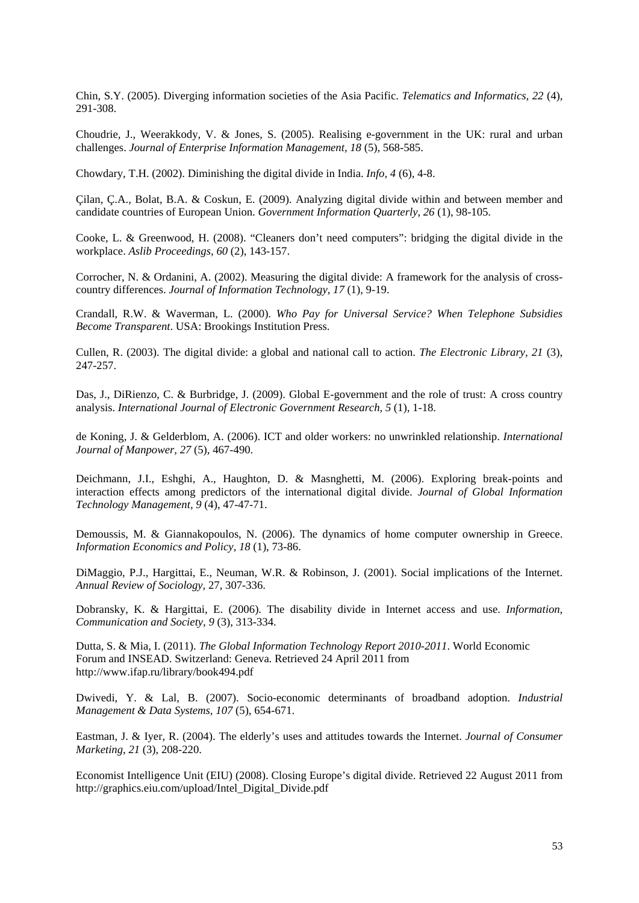Chin, S.Y. (2005). Diverging information societies of the Asia Pacific. *Telematics and Informatics, 22* (4), 291-308.

Choudrie, J., Weerakkody, V. & Jones, S. (2005). Realising e-government in the UK: rural and urban challenges. *Journal of Enterprise Information Management, 18* (5), 568-585.

Chowdary, T.H. (2002). Diminishing the digital divide in India. *Info, 4* (6), 4-8.

Çilan, Ç.A., Bolat, B.A. & Coskun, E. (2009). Analyzing digital divide within and between member and candidate countries of European Union. *Government Information Quarterly*, *26* (1), 98-105.

Cooke, L. & Greenwood, H. (2008). "Cleaners don't need computers": bridging the digital divide in the workplace. *Aslib Proceedings, 60* (2), 143-157.

Corrocher, N. & Ordanini, A. (2002). Measuring the digital divide: A framework for the analysis of crosscountry differences. *Journal of Information Technology, 17* (1), 9-19.

Crandall, R.W. & Waverman, L. (2000). *Who Pay for Universal Service? When Telephone Subsidies Become Transparent*. USA: Brookings Institution Press.

Cullen, R. (2003). The digital divide: a global and national call to action. *The Electronic Library*, *21* (3), 247-257.

Das, J., DiRienzo, C. & Burbridge, J. (2009). Global E-government and the role of trust: A cross country analysis. *International Journal of Electronic Government Research, 5* (1), 1-18.

de Koning, J. & Gelderblom, A. (2006). ICT and older workers: no unwrinkled relationship. *International Journal of Manpower, 27* (5), 467-490.

Deichmann, J.I., Eshghi, A., Haughton, D. & Masnghetti, M. (2006). Exploring break-points and interaction effects among predictors of the international digital divide. *Journal of Global Information Technology Management, 9* (4), 47-47-71.

Demoussis, M. & Giannakopoulos, N. (2006). The dynamics of home computer ownership in Greece. *Information Economics and Policy, 18* (1), 73-86.

DiMaggio, P.J., Hargittai, E., Neuman, W.R. & Robinson, J. (2001). Social implications of the Internet. *Annual Review of Sociology,* 27, 307-336.

Dobransky, K. & Hargittai, E. (2006). The disability divide in Internet access and use. *Information, Communication and Society, 9* (3), 313-334.

Dutta, S. & Mia, I. (2011). *The Global Information Technology Report 2010-2011*. World Economic Forum and INSEAD. Switzerland: Geneva. Retrieved 24 April 2011 from http://www.ifap.ru/library/book494.pdf

Dwivedi, Y. & Lal, B. (2007). Socio-economic determinants of broadband adoption. *Industrial Management & Data Systems, 107* (5), 654-671.

Eastman, J. & Iyer, R. (2004). The elderly's uses and attitudes towards the Internet. *Journal of Consumer Marketing*, *21* (3), 208-220.

Economist Intelligence Unit (EIU) (2008). Closing Europe's digital divide. Retrieved 22 August 2011 from [http://graphics.eiu.com/upload/Intel\\_Digital\\_Divide.pdf](http://graphics.eiu.com/upload/Intel_Digital_Divide.pdf)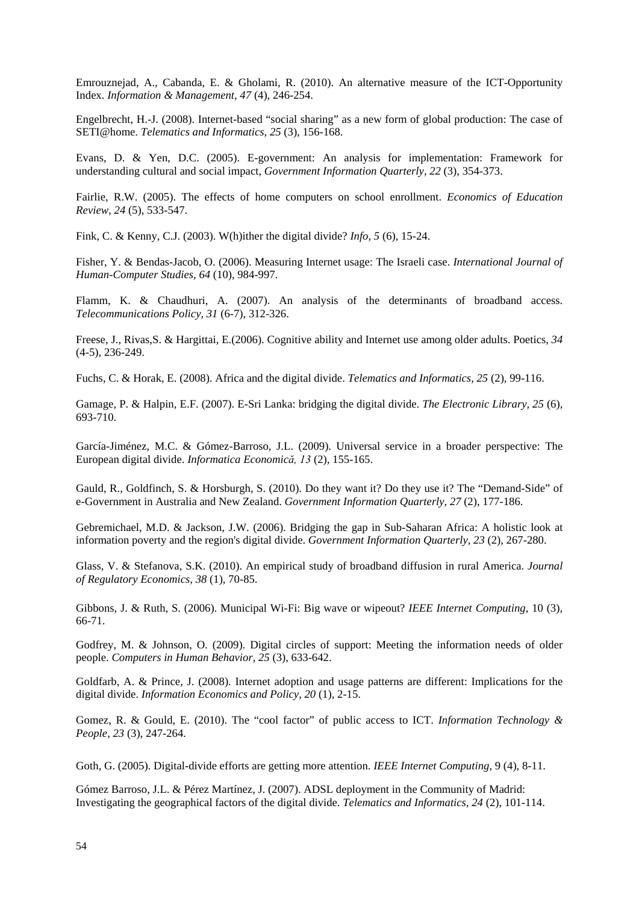Emrouznejad, A., Cabanda, E. & Gholami, R. (2010). An alternative measure of the ICT-Opportunity Index. *Information & Management, 47* (4), 246-254.

Engelbrecht, H.-J. (2008). Internet-based "social sharing" as a new form of global production: The case of SETI@home. *Telematics and Informatics, 25* (3), 156-168.

Evans, D. & Yen, D.C. (2005). E-government: An analysis for implementation: Framework for understanding cultural and social impact, *Government Information Quarterly, 22* (3), 354-373.

Fairlie, R.W. (2005). The effects of home computers on school enrollment. *Economics of Education Review, 24* (5), 533-547.

Fink, C. & Kenny, C.J. (2003). W(h)ither the digital divide? *Info, 5* (6), 15-24.

Fisher, Y. & Bendas-Jacob, O. (2006). Measuring Internet usage: The Israeli case. *International Journal of Human-Computer Studies, 64* (10), 984-997.

Flamm, K. & Chaudhuri, A. (2007). An analysis of the determinants of broadband access. *Telecommunications Policy, 31* (6-7), 312-326.

Freese, J., Rivas,S. & Hargittai, E.(2006). Cognitive ability and Internet use among older adults. Poetics, *34* (4-5), 236-249.

Fuchs, C. & Horak, E. (2008). Africa and the digital divide. *Telematics and Informatics, 25* (2), 99-116.

Gamage, P. & Halpin, E.F. (2007). E-Sri Lanka: bridging the digital divide. *The Electronic Library, 25* (6), 693-710.

García-Jiménez, M.C. & Gómez-Barroso, J.L. (2009). Universal service in a broader perspective: The European digital divide. *Informatica Economică, 13* (2), 155-165.

Gauld, R., Goldfinch, S. & Horsburgh, S. (2010). Do they want it? Do they use it? The "Demand-Side" of e-Government in Australia and New Zealand. *Government Information Quarterly, 27* (2), 177-186.

Gebremichael, M.D. & Jackson, J.W. (2006). Bridging the gap in Sub-Saharan Africa: A holistic look at information poverty and the region's digital divide. *Government Information Quarterly, 23* (2), 267-280.

Glass, V. & Stefanova, S.K. (2010). An empirical study of broadband diffusion in rural America. *Journal of Regulatory Economics, 38* (1), 70-85.

Gibbons, J. & Ruth, S. (2006). Municipal Wi-Fi: Big wave or wipeout? *IEEE Internet Computing*, 10 (3), 66-71.

Godfrey, M. & Johnson, O. (2009). Digital circles of support: Meeting the information needs of older people. *Computers in Human Behavior*, *25* (3), 633-642.

Goldfarb, A. & Prince, J. (2008). Internet adoption and usage patterns are different: Implications for the digital divide. *Information Economics and Policy, 20* (1), 2-15.

Gomez, R. & Gould, E. (2010). The "cool factor" of public access to ICT. *Information Technology & People, 23* (3), 247-264.

Goth, G. (2005). Digital-divide efforts are getting more attention. *IEEE Internet Computing*, 9 (4), 8-11.

Gómez Barroso, J.L. & Pérez Martínez, J. (2007). ADSL deployment in the Community of Madrid: Investigating the geographical factors of the digital divide. *Telematics and Informatics, 24* (2), 101-114.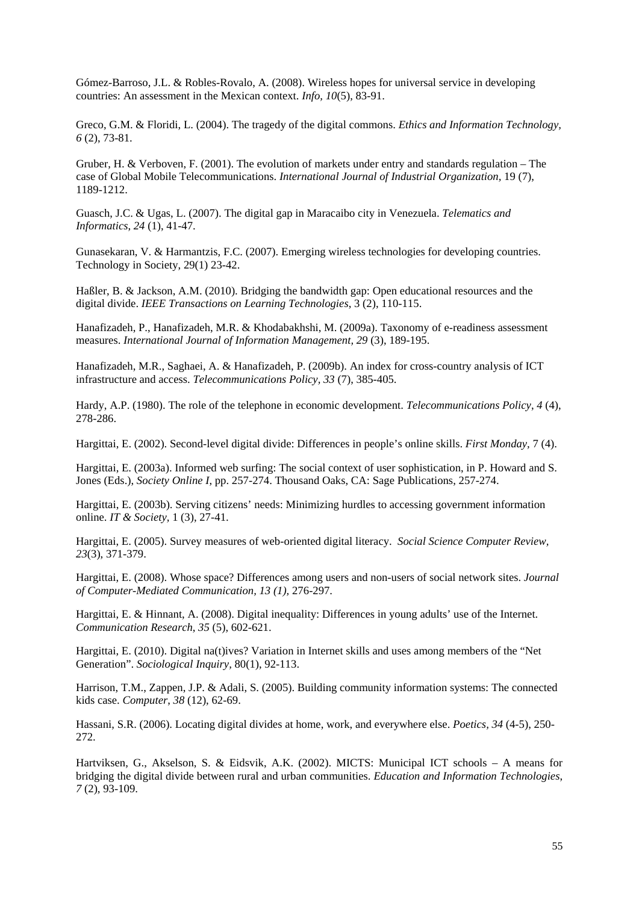Gómez-Barroso, J.L. & Robles-Rovalo, A. (2008). Wireless hopes for universal service in developing countries: An assessment in the Mexican context. *Info, 10*(5), 83-91.

Greco, G.M. & Floridi, L. (2004). The tragedy of the digital commons. *Ethics and Information Technology, 6* (2), 73-81.

Gruber, H. & Verboven, F. (2001). The evolution of markets under entry and standards regulation – The case of Global Mobile Telecommunications. *International Journal of Industrial Organization,* 19 (7), 1189-1212.

Guasch, J.C. & Ugas, L. (2007). The digital gap in Maracaibo city in Venezuela. *Telematics and Informatics*, *24* (1), 41-47.

Gunasekaran, V. & Harmantzis, F.C. (2007). Emerging wireless technologies for developing countries. Technology in Society, 29(1) 23-42.

Haßler, B. & Jackson, A.M. (2010). Bridging the bandwidth gap: Open educational resources and the digital divide. *IEEE Transactions on Learning Technologies*, 3 (2), 110-115.

Hanafizadeh, P., Hanafizadeh, M.R. & Khodabakhshi, M. (2009a). Taxonomy of e-readiness assessment measures. *International Journal of Information Management, 29* (3), 189-195.

Hanafizadeh, M.R., Saghaei, A. & Hanafizadeh, P. (2009b). An index for cross-country analysis of ICT infrastructure and access. *Telecommunications Policy, 33* (7), 385-405.

Hardy, A.P. (1980). The role of the telephone in economic development. *Telecommunications Policy*, *4* (4), 278-286.

Hargittai, E. (2002). [Second-level digital divide: Differences in people's online skills.](http://webuse.org/p/a08) *First Monday,* 7 (4).

Hargittai, E. (2003a). [Informed web surfing: The social context of user sophistication,](http://webuse.org/p/c02) in P. Howard and S. Jones (Eds.), *Society Online I*, pp. 257-274. Thousand Oaks, CA: Sage Publications, 257-274.

Hargittai, E. (2003b). Serving citizens' [needs: Minimizing hurdles to accessing government information](http://www.webuse.org/serving-citizens-needs-minimizing-hurdles-to-accessing-government-information-online/index.html)  [online.](http://www.webuse.org/serving-citizens-needs-minimizing-hurdles-to-accessing-government-information-online/index.html) *IT & Society,* 1 (3), 27-41.

Hargittai, E. (2005). Survey measures of web-oriented digital literacy. *Social Science Computer Review, 23*(3), 371-379.

Hargittai, E. (2008). Whose space? Differences among users and non-users of social network sites. *Journal of Computer-Mediated Communication, 13 (1),* 276-297.

Hargittai, E. & Hinnant, A. (2008). Digital inequality: Differences in young adults' use of the Internet. *Communication Research*, *35* (5), 602-621.

Hargittai, E. (2010). Digital na(t)ives? Variation in Internet skills and uses among members of the "Net Generation". *Sociological Inquiry,* 80(1), 92-113.

Harrison, T.M., Zappen, J.P. & Adali, S. (2005). Building community information systems: The connected kids case. *Computer*, *38* (12), 62-69.

Hassani, S.R. (2006). Locating digital divides at home, work, and everywhere else. *Poetics, 34* (4-5), 250- 272.

Hartviksen, G., Akselson, S. & Eidsvik, A.K. (2002). MICTS: Municipal ICT schools – A means for bridging the digital divide between rural and urban communities. *Education and Information Technologies*, *7* (2), 93-109.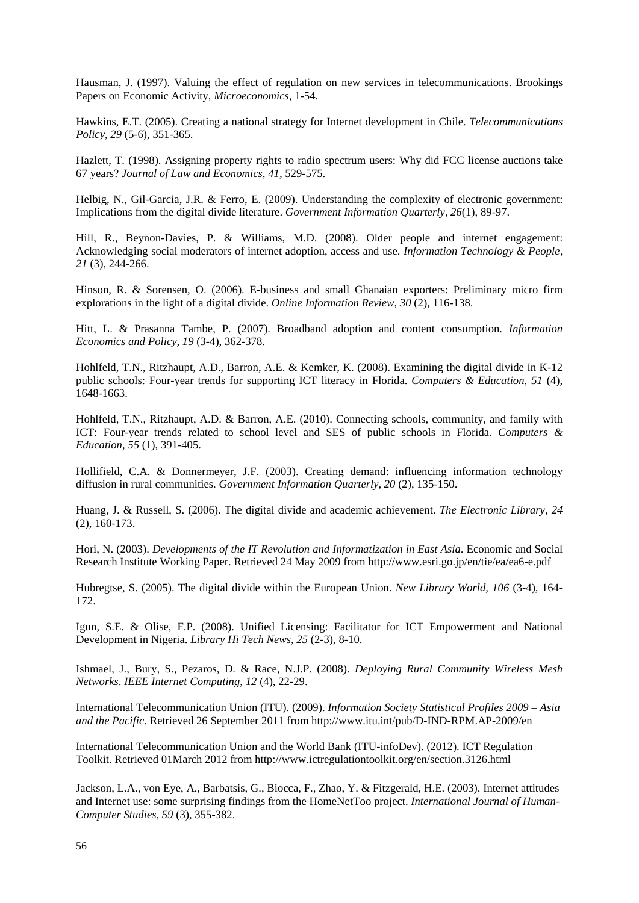Hausman, J. (1997). Valuing the effect of regulation on new services in telecommunications. Brookings Papers on Economic Activity, *Microeconomics*, 1-54.

Hawkins, E.T. (2005). Creating a national strategy for Internet development in Chile. *Telecommunications Policy, 29* (5-6), 351-365.

Hazlett, T. (1998). Assigning property rights to radio spectrum users: Why did FCC license auctions take 67 years? *Journal of Law and Economics, 41,* 529-575.

Helbig, N., Gil-Garcia, J.R. & Ferro, E. (2009). Understanding the complexity of electronic government: Implications from the digital divide literature. *Government Information Quarterly, 26*(1), 89-97.

Hill, R., Beynon-Davies, P. & Williams, M.D. (2008). Older people and internet engagement: Acknowledging social moderators of internet adoption, access and use. *Information Technology & People, 21* (3), 244-266.

Hinson, R. & Sorensen, O. (2006). E-business and small Ghanaian exporters: Preliminary micro firm explorations in the light of a digital divide. *Online Information Review, 30* (2), 116-138.

Hitt, L. & Prasanna Tambe, P. (2007). Broadband adoption and content consumption. *Information Economics and Policy, 19* (3-4), 362-378.

Hohlfeld, T.N., Ritzhaupt, A.D., Barron, A.E. & Kemker, K. (2008). Examining the digital divide in K-12 public schools: Four-year trends for supporting ICT literacy in Florida. *Computers & Education, 51* (4), 1648-1663.

Hohlfeld, T.N., Ritzhaupt, A.D. & Barron, A.E. (2010). Connecting schools, community, and family with ICT: Four-year trends related to school level and SES of public schools in Florida. *Computers & Education, 55* (1), 391-405.

Hollifield, C.A. & Donnermeyer, J.F. (2003). Creating demand: influencing information technology diffusion in rural communities. *Government Information Quarterly, 20* (2), 135-150.

Huang, J. & Russell, S. (2006). The digital divide and academic achievement. *The Electronic Library, 24*  (2), 160-173.

Hori, N. (2003). *Developments of the IT Revolution and Informatization in East Asia*. Economic and Social Research Institute Working Paper. Retrieved 24 May 2009 from http://www.esri.go.jp/en/tie/ea/ea6-e.pdf

Hubregtse, S. (2005). The digital divide within the European Union. *New Library World, 106* (3-4), 164- 172.

Igun, S.E. & Olise, F.P. (2008). Unified Licensing: Facilitator for ICT Empowerment and National Development in Nigeria. *Library Hi Tech News, 25* (2-3), 8-10.

Ishmael, J., Bury, S., [Pezaros, D.](http://eprints.gla.ac.uk/view/author/5079.html) & Race, N.J.P. (2008). *Deploying Rural Community Wireless Mesh Networks*. *[IEEE Internet Computing](http://eprints.gla.ac.uk/view/journal_volume/IEEE_Internet_Computing.html)*, *12* (4), 22-29.

International Telecommunication Union (ITU). (2009). *Information Society Statistical Profiles 2009 – Asia and the Pacific*. Retrieved 26 September 2011 from <http://www.itu.int/pub/D-IND-RPM.AP-2009/en>

International Telecommunication Union and the World Bank (ITU-infoDev). (2012). ICT Regulation Toolkit. Retrieved 01March 2012 fro[m http://www.ictregulationtoolkit.org/en/section.3126.html](http://www.ictregulationtoolkit.org/en/section.3126.html)

Jackson, L.A., von Eye, A., Barbatsis, G., Biocca, F., Zhao, Y. & Fitzgerald, H.E. (2003). Internet attitudes and Internet use: some surprising findings from the HomeNetToo project. *International Journal of Human-Computer Studies, 59* (3), 355-382.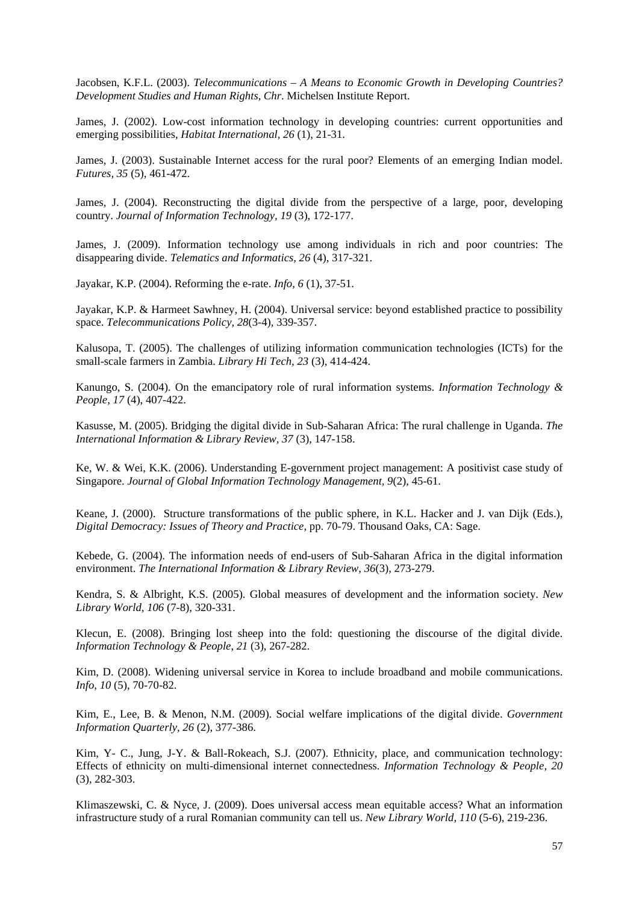Jacobsen, K.F.L. (2003). *Telecommunications – A Means to Economic Growth in Developing Countries? Development Studies and Human Rights, Chr*. Michelsen Institute Report.

James, J. (2002). Low-cost information technology in developing countries: current opportunities and emerging possibilities, *Habitat International, 26* (1), 21-31.

James, J. (2003). Sustainable Internet access for the rural poor? Elements of an emerging Indian model. *Futures, 35* (5), 461-472.

James, J. (2004). Reconstructing the digital divide from the perspective of a large, poor, developing country. *Journal of Information Technology, 19* (3), 172-177.

James, J. (2009). Information technology use among individuals in rich and poor countries: The disappearing divide. *Telematics and Informatics, 26* (4), 317-321.

Jayakar, K.P. (2004). Reforming the e-rate. *Info, 6* (1), 37-51.

Jayakar, K.P. & Harmeet Sawhney, H. (2004). Universal service: beyond established practice to possibility space. *Telecommunications Policy, 28*(3-4), 339-357.

Kalusopa, T. (2005). The challenges of utilizing information communication technologies (ICTs) for the small-scale farmers in Zambia. *Library Hi Tech, 23* (3), 414-424.

Kanungo, S. (2004). On the emancipatory role of rural information systems. *Information Technology & People, 17* (4), 407-422.

Kasusse, M. (2005). Bridging the digital divide in Sub-Saharan Africa: The rural challenge in Uganda. *The International Information & Library Review, 37* (3), 147-158.

Ke, W. & Wei, K.K. (2006). Understanding E-government project management: A positivist case study of Singapore. *Journal of Global Information Technology Management, 9*(2), 45-61.

Keane, J. (2000). Structure transformations of the public sphere, in K.L. Hacker and J. van Dijk (Eds.), *Digital Democracy: Issues of Theory and Practice*, pp. 70-79. Thousand Oaks, CA: Sage.

Kebede, G. (2004). The information needs of end-users of Sub-Saharan Africa in the digital information environment. *The International Information & Library Review, 36*(3), 273-279.

Kendra, S. & Albright, K.S. (2005). Global measures of development and the information society. *New Library World, 106* (7-8), 320-331.

Klecun, E. (2008). Bringing lost sheep into the fold: questioning the discourse of the digital divide. *Information Technology & People*, *21* (3), 267-282.

Kim, D. (2008). Widening universal service in Korea to include broadband and mobile communications. *Info, 10* (5), 70-70-82.

Kim, E., Lee, B. & Menon, N.M. (2009). Social welfare implications of the digital divide. *Government Information Quarterly*, *26* (2), 377-386.

Kim, Y- C., Jung, J-Y. & Ball-Rokeach, S.J. (2007). Ethnicity, place, and communication technology: Effects of ethnicity on multi-dimensional internet connectedness. *Information Technology & People, 20*  (3), 282-303.

Klimaszewski, C. & Nyce, J. (2009). Does universal access mean equitable access? What an information infrastructure study of a rural Romanian community can tell us. *New Library World, 110* (5-6), 219-236.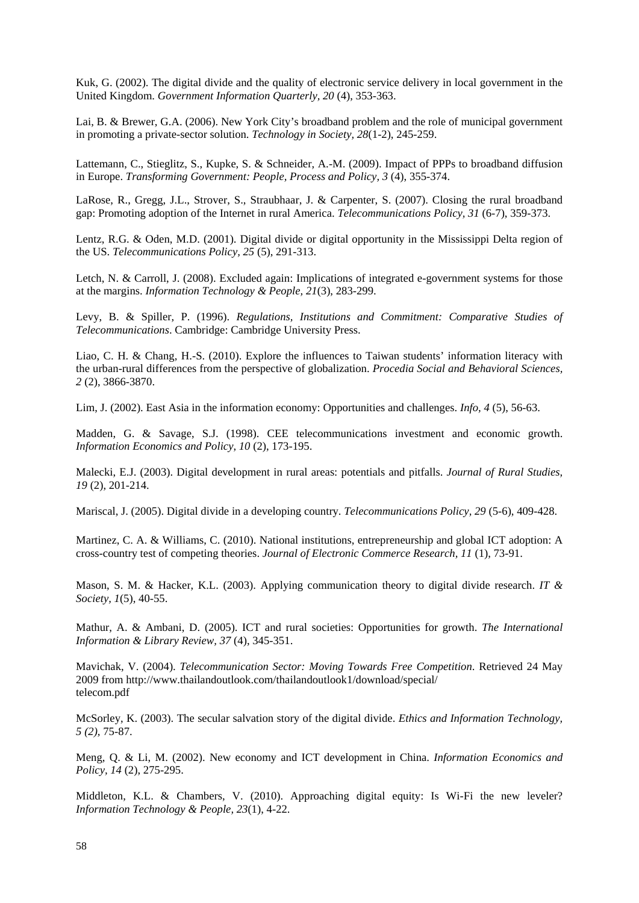Kuk, G. (2002). The digital divide and the quality of electronic service delivery in local government in the United Kingdom. *Government Information Quarterly, 20* (4), 353-363.

Lai, B. & Brewer, G.A. (2006). New York City's broadband problem and the role of municipal government in promoting a private-sector solution. *Technology in Society, 28*(1-2), 245-259.

Lattemann, C., Stieglitz, S., Kupke, S. & Schneider, A.-M. (2009). Impact of PPPs to broadband diffusion in Europe. *Transforming Government: People, Process and Policy, 3* (4), 355-374.

LaRose, R., Gregg, J.L., Strover, S., Straubhaar, J. & Carpenter, S. (2007). Closing the rural broadband gap: Promoting adoption of the Internet in rural America. *Telecommunications Policy, 31* (6-7), 359-373.

Lentz, R.G. & Oden, M.D. (2001). Digital divide or digital opportunity in the Mississippi Delta region of the US. *Telecommunications Policy, 25* (5), 291-313.

Letch, N. & Carroll, J. (2008). Excluded again: Implications of integrated e-government systems for those at the margins. *Information Technology & People, 21*(3), 283-299.

Levy, B. & Spiller, P. (1996). *Regulations, Institutions and Commitment: Comparative Studies of Telecommunications*. Cambridge: Cambridge University Press.

Liao, C. H. & Chang, H.-S. (2010). Explore the influences to Taiwan students' information literacy with the urban-rural differences from the perspective of globalization. *Procedia Social and Behavioral Sciences, 2* (2), 3866-3870.

Lim, J. (2002). East Asia in the information economy: Opportunities and challenges. *Info, 4* (5), 56-63.

Madden, G. & Savage, S.J. (1998). CEE telecommunications investment and economic growth. *Information Economics and Policy*, *10* (2), 173-195.

Malecki, E.J. (2003). Digital development in rural areas: potentials and pitfalls. *Journal of Rural Studies, 19* (2), 201-214.

Mariscal, J. (2005). Digital divide in a developing country. *Telecommunications Policy, 29* (5-6), 409-428.

Martinez, C. A. & Williams, C. (2010). National institutions, entrepreneurship and global ICT adoption: A cross-country test of competing theories. *Journal of Electronic Commerce Research, 11* (1), 73-91.

Mason, S. M. & Hacker, K.L. (2003). Applying communication theory to digital divide research. *IT & Society, 1*(5), 40-55.

Mathur, A. & Ambani, D. (2005). ICT and rural societies: Opportunities for growth. *The International Information & Library Review, 37* (4), 345-351.

Mavichak, V. (2004). *Telecommunication Sector: Moving Towards Free Competition*. Retrieved 24 May 2009 from <http://www.thailandoutlook.com/thailandoutlook1/download/special/> telecom.pdf

McSorley, K. (2003). The secular salvation story of the digital divide. *Ethics and Information Technology, 5 (2),* 75-87.

Meng, Q. & Li, M. (2002). New economy and ICT development in China. *Information Economics and Policy, 14* (2), 275-295.

Middleton, K.L. & Chambers, V. (2010). Approaching digital equity: Is Wi-Fi the new leveler? *Information Technology & People, 23*(1), 4-22.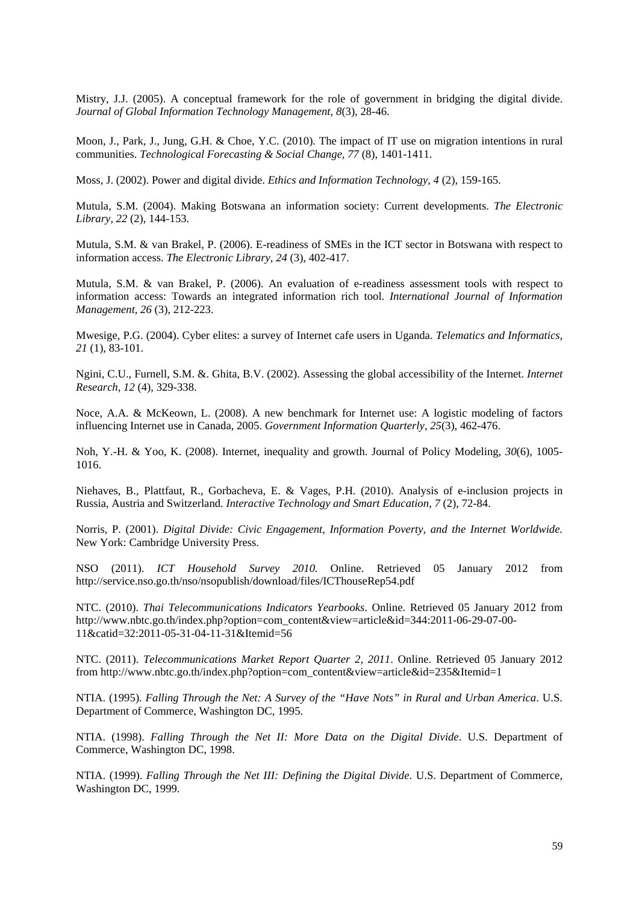Mistry, J.J. (2005). A conceptual framework for the role of government in bridging the digital divide. *Journal of Global Information Technology Management, 8*(3), 28-46.

Moon, J., Park, J., Jung, G.H. & Choe, Y.C. (2010). The impact of IT use on migration intentions in rural communities. *Technological Forecasting & Social Change, 77* (8), 1401-1411.

Moss, J. (2002). Power and digital divide. *Ethics and Information Technology, 4* (2)*,* 159-165.

Mutula, S.M. (2004). Making Botswana an information society: Current developments. *The Electronic Library, 22* (2), 144-153.

Mutula, S.M. & van Brakel, P. (2006). E-readiness of SMEs in the ICT sector in Botswana with respect to information access. *The Electronic Library, 24* (3), 402-417.

Mutula, S.M. & van Brakel, P. (2006). An evaluation of e-readiness assessment tools with respect to information access: Towards an integrated information rich tool. *International Journal of Information Management, 26* (3), 212-223.

Mwesige, P.G. (2004). Cyber elites: a survey of Internet cafe users in Uganda. *Telematics and Informatics, 21* (1), 83-101.

Ngini, C.U., Furnell, S.M. &. Ghita, B.V. (2002). Assessing the global accessibility of the Internet. *Internet Research, 12* (4), 329-338.

Noce, A.A. & McKeown, L. (2008). A new benchmark for Internet use: A logistic modeling of factors influencing Internet use in Canada, 2005. *Government Information Quarterly, 25*(3), 462-476.

Noh, Y.-H. & Yoo, K. (2008). Internet, inequality and growth. Journal of Policy Modeling, *30*(6), 1005- 1016.

Niehaves, B., Plattfaut, R., Gorbacheva, E. & Vages, P.H. (2010). Analysis of e-inclusion projects in Russia, Austria and Switzerland. *Interactive Technology and Smart Education*, *7* (2), 72-84.

Norris, P. (2001). *Digital Divide: Civic Engagement, Information Poverty, and the Internet Worldwide.* New York: Cambridge University Press.

NSO (2011). *ICT Household Survey 2010.* Online. Retrieved 05 January 2012 from http://service.nso.go.th/nso/nsopublish/download/files/ICThouseRep54.pdf

NTC. (2010). *Thai Telecommunications Indicators Yearbooks*. Online. Retrieved 05 January 2012 from http://www.nbtc.go.th/index.php?option=com\_content&view=article&id=344:2011-06-29-07-00-11&catid=32:2011-05-31-04-11-31&Itemid=56

NTC. (2011). *Telecommunications Market Report Quarter 2, 2011*. Online. Retrieved 05 January 2012 from http://www.nbtc.go.th/index.php?option=com\_content&view=article&id=235&Itemid=1

NTIA. (1995). *Falling Through the Net: A Survey of the "Have Nots" in Rural and Urban America*. U.S. Department of Commerce, Washington DC, 1995.

NTIA. (1998). *Falling Through the Net II: More Data on the Digital Divide*. U.S. Department of Commerce, Washington DC, 1998.

NTIA. (1999). *Falling Through the Net III: Defining the Digital Divide*. U.S. Department of Commerce, Washington DC, 1999.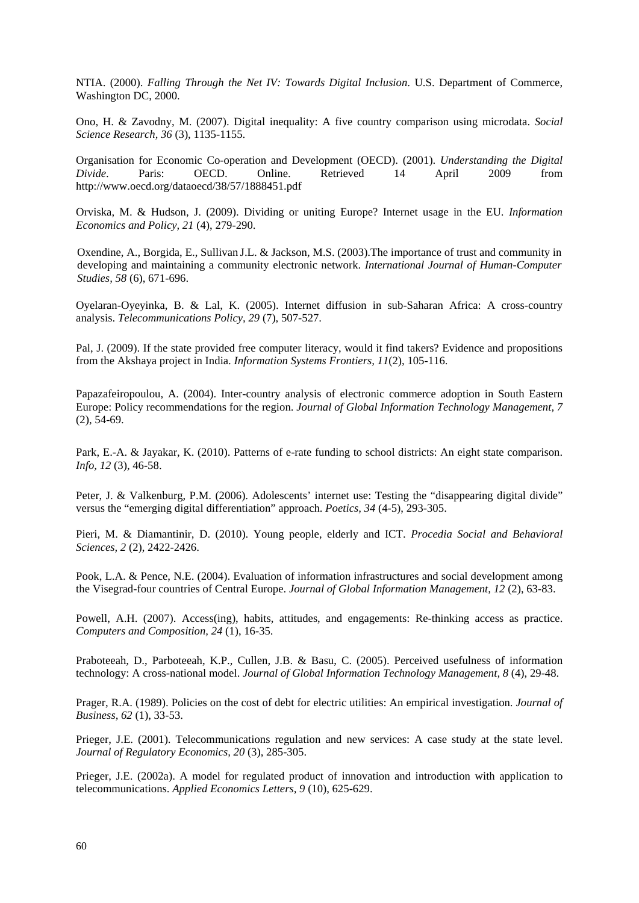NTIA. (2000). *Falling Through the Net IV: Towards Digital Inclusion*. U.S. Department of Commerce, Washington DC, 2000.

Ono, H. & Zavodny, M. (2007). Digital inequality: A five country comparison using microdata. *Social Science Research, 36* (3), 1135-1155.

Organisation for Economic Co-operation and Development (OECD). (2001). *Understanding the Digital Divide*. Paris: OECD. Online. Retrieved 14 April 2009 from http://www.oecd.org/dataoecd/38/57/1888451.pdf

Orviska, M. & Hudson, J. (2009). Dividing or uniting Europe? Internet usage in the EU. *Information Economics and Policy, 21* (4), 279-290.

Oxendine, A., Borgida, E., Sullivan J.L. & Jackson, M.S. (2003).The importance of trust and community in developing and maintaining a community electronic network. *International Journal of Human-Computer Studies, 58* (6), 671-696.

Oyelaran-Oyeyinka, B. & Lal, K. (2005). Internet diffusion in sub-Saharan Africa: A cross-country analysis. *Telecommunications Policy, 29* (7), 507-527.

Pal, J. (2009). If the state provided free computer literacy, would it find takers? Evidence and propositions from the Akshaya project in India. *Information Systems Frontiers, 11*(2), 105-116.

Papazafeiropoulou, A. (2004). Inter-country analysis of electronic commerce adoption in South Eastern Europe: Policy recommendations for the region. *Journal of Global Information Technology Management, 7* (2), 54-69.

Park, E.-A. & Jayakar, K. (2010). Patterns of e-rate funding to school districts: An eight state comparison. *Info, 12* (3), 46-58.

Peter, J. & Valkenburg, P.M. (2006). Adolescents' internet use: Testing the "disappearing digital divide" versus the "emerging digital differentiation" approach. *Poetics, 34* (4-5), 293-305.

Pieri, M. & Diamantinir, D. (2010). Young people, elderly and ICT. *Procedia Social and Behavioral Sciences, 2* (2), 2422-2426.

Pook, L.A. & Pence, N.E. (2004). Evaluation of information infrastructures and social development among the Visegrad-four countries of Central Europe. *Journal of Global Information Management, 12* (2), 63-83.

Powell, A.H. (2007). Access(ing), habits, attitudes, and engagements: Re-thinking access as practice. *Computers and Composition, 24* (1), 16-35.

Praboteeah, D., Parboteeah, K.P., Cullen, J.B. & Basu, C. (2005). Perceived usefulness of information technology: A cross-national model. *Journal of Global Information Technology Management, 8* (4), 29-48.

Prager, R.A. (1989). Policies on the cost of debt for electric utilities: An empirical investigation. *Journal of Business, 62* (1), 33-53.

Prieger, J.E. (2001). Telecommunications regulation and new services: A case study at the state level. *Journal of Regulatory Economics, 20* (3), 285-305.

Prieger, J.E. (2002a). A model for regulated product of innovation and introduction with application to telecommunications. *Applied Economics Letters, 9* (10), 625-629.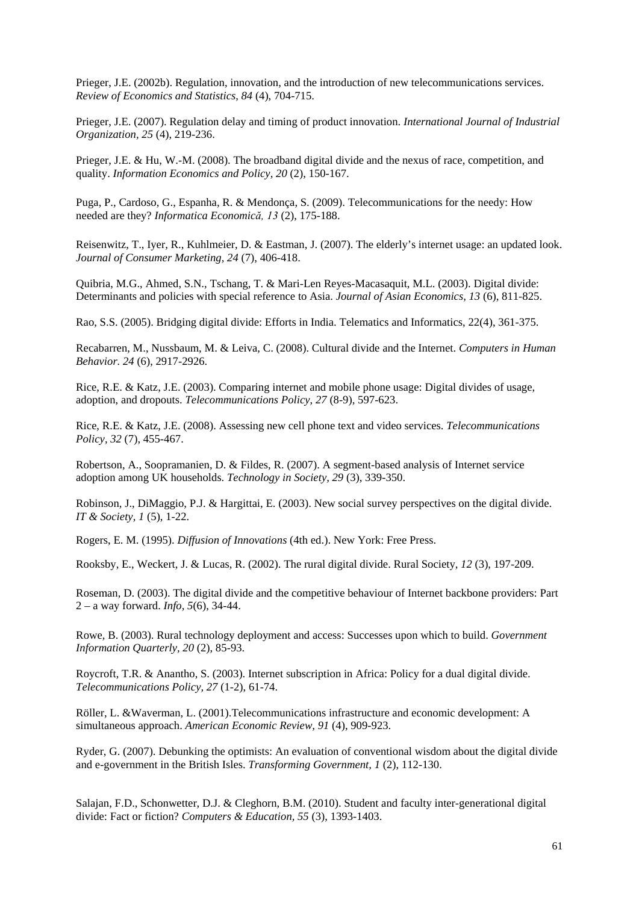Prieger, J.E. (2002b). Regulation, innovation, and the introduction of new telecommunications services. *Review of Economics and Statistics*, *84* (4), 704-715.

Prieger, J.E. (2007). Regulation delay and timing of product innovation. *International Journal of Industrial Organization, 25* (4), 219-236.

Prieger, J.E. & Hu, W.-M. (2008). The broadband digital divide and the nexus of race, competition, and quality. *Information Economics and Policy, 20* (2), 150-167.

Puga, P., Cardoso, G., Espanha, R. & Mendonça, S. (2009). Telecommunications for the needy: How needed are they? *Informatica Economică, 13* (2), 175-188.

Reisenwitz, T., Iyer, R., Kuhlmeier, D. & Eastman, J. (2007). The elderly's internet usage: an updated look. *Journal of Consumer Marketing, 24* (7), 406-418.

Quibria, M.G., Ahmed, S.N., Tschang, T. & Mari-Len Reyes-Macasaquit, M.L. (2003). Digital divide: Determinants and policies with special reference to Asia. *Journal of Asian Economics, 13* (6), 811-825.

Rao, S.S. (2005). Bridging digital divide: Efforts in India. Telematics and Informatics, 22(4), 361-375.

Recabarren, M., Nussbaum, M. & Leiva, C. (2008). Cultural divide and the Internet. *Computers in Human Behavior. 24* (6), 2917-2926.

Rice, R.E. & Katz, J.E. (2003). Comparing internet and mobile phone usage: Digital divides of usage, adoption, and dropouts. *Telecommunications Policy*, *27* (8-9), 597-623.

Rice, R.E. & Katz, J.E. (2008). Assessing new cell phone text and video services. *Telecommunications Policy, 32* (7), 455-467.

Robertson, A., Soopramanien, D. & Fildes, R. (2007). A segment-based analysis of Internet service adoption among UK households. *Technology in Society, 29* (3), 339-350.

Robinson, J., DiMaggio, P.J. & Hargittai, E. (2003). New social survey perspectives on the digital divide. *IT & Society, 1* (5), 1-22.

Rogers, E. M. (1995). *Diffusion of Innovations* (4th ed.). New York: Free Press.

Rooksby, E., Weckert, J. & Lucas, R. (2002). The rural digital divide. Rural Society, *12* (3), 197-209.

Roseman, D. (2003). The digital divide and the competitive behaviour of Internet backbone providers: Part 2 – a way forward. *Info, 5*(6), 34-44.

Rowe, B. (2003). Rural technology deployment and access: Successes upon which to build. *Government Information Quarterly, 20* (2), 85-93.

Roycroft, T.R. & Anantho, S. (2003). Internet subscription in Africa: Policy for a dual digital divide. *Telecommunications Policy, 27* (1-2), 61-74.

Röller, L. &Waverman, L. (2001).Telecommunications infrastructure and economic development: A simultaneous approach. *American Economic Review, 91* (4), 909-923.

Ryder, G. (2007). Debunking the optimists: An evaluation of conventional wisdom about the digital divide and e-government in the British Isles. *Transforming Government, 1* (2), 112-130.

Salajan, F.D., Schonwetter, D.J. & Cleghorn, B.M. (2010). Student and faculty inter-generational digital divide: Fact or fiction? *Computers & Education, 55* (3), 1393-1403.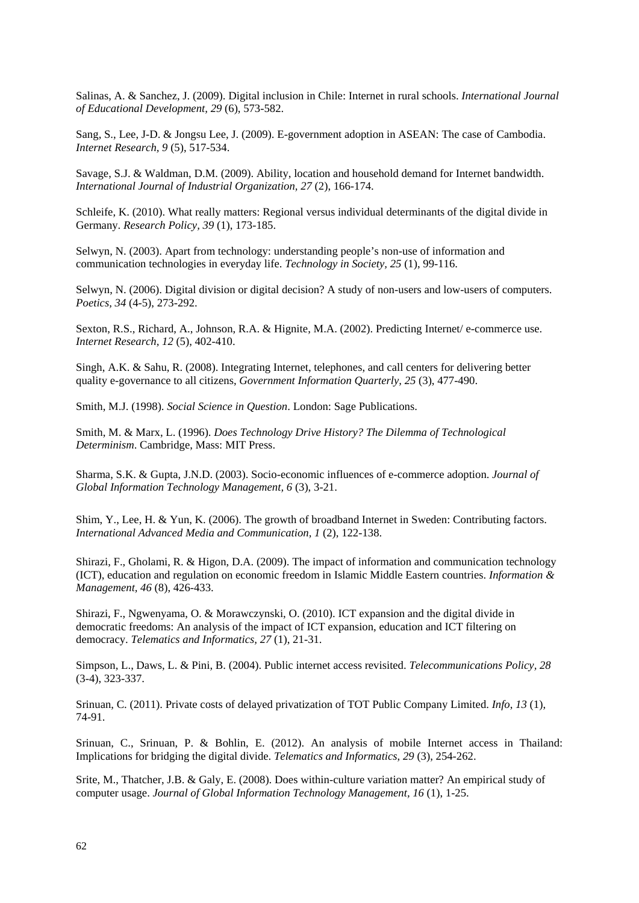Salinas, A. & Sanchez, J. (2009). Digital inclusion in Chile: Internet in rural schools. *International Journal of Educational Development, 29* (6), 573-582.

Sang, S., Lee, J-D. & Jongsu Lee, J. (2009). E-government adoption in ASEAN: The case of Cambodia. *Internet Research, 9* (5), 517-534.

Savage, S.J. & Waldman, D.M. (2009). Ability, location and household demand for Internet bandwidth. *International Journal of Industrial Organization, 27* (2), 166-174.

Schleife, K. (2010). What really matters: Regional versus individual determinants of the digital divide in Germany. *Research Policy, 39* (1), 173-185.

Selwyn, N. (2003). Apart from technology: understanding people's non-use of information and communication technologies in everyday life. *Technology in Society, 25* (1), 99-116.

Selwyn, N. (2006). Digital division or digital decision? A study of non-users and low-users of computers. *Poetics, 34* (4-5), 273-292.

Sexton, R.S., Richard, A., Johnson, R.A. & Hignite, M.A. (2002). Predicting Internet/ e-commerce use. *Internet Research, 12* (5), 402-410.

Singh, A.K. & Sahu, R. (2008). Integrating Internet, telephones, and call centers for delivering better quality e-governance to all citizens, *Government Information Quarterly, 25* (3), 477-490.

Smith, M.J. (1998). *Social Science in Question*. London: Sage Publications.

Smith, M. & Marx, L. (1996). *Does Technology Drive History? The Dilemma of Technological Determinism*. Cambridge, Mass: MIT Press.

Sharma, S.K. & Gupta, J.N.D. (2003). Socio-economic influences of e-commerce adoption. *Journal of Global Information Technology Management, 6* (3), 3-21.

Shim, Y., Lee, H. & Yun, K. (2006). The growth of broadband Internet in Sweden: Contributing factors. *International Advanced Media and Communication, 1* (2), 122-138.

Shirazi, F., Gholami, R. & Higon, D.A. (2009). The impact of information and communication technology (ICT), education and regulation on economic freedom in Islamic Middle Eastern countries. *Information & Management, 46* (8), 426-433.

Shirazi, F., Ngwenyama, O. & Morawczynski, O. (2010). ICT expansion and the digital divide in democratic freedoms: An analysis of the impact of ICT expansion, education and ICT filtering on democracy. *Telematics and Informatics, 27* (1), 21-31.

Simpson, L., Daws, L. & Pini, B. (2004). Public internet access revisited. *Telecommunications Policy, 28* (3-4), 323-337.

Srinuan, C. (2011). Private costs of delayed privatization of TOT Public Company Limited. *Info*, *13* (1), 74-91.

Srinuan, C., Srinuan, P. & Bohlin, E. (2012). An analysis of mobile Internet access in Thailand: Implications for bridging the digital divide. *Telematics and Informatics*, *29* (3), 254-262.

Srite, M., Thatcher, J.B. & Galy, E. (2008). Does within-culture variation matter? An empirical study of computer usage. *Journal of Global Information Technology Management, 16* (1), 1-25.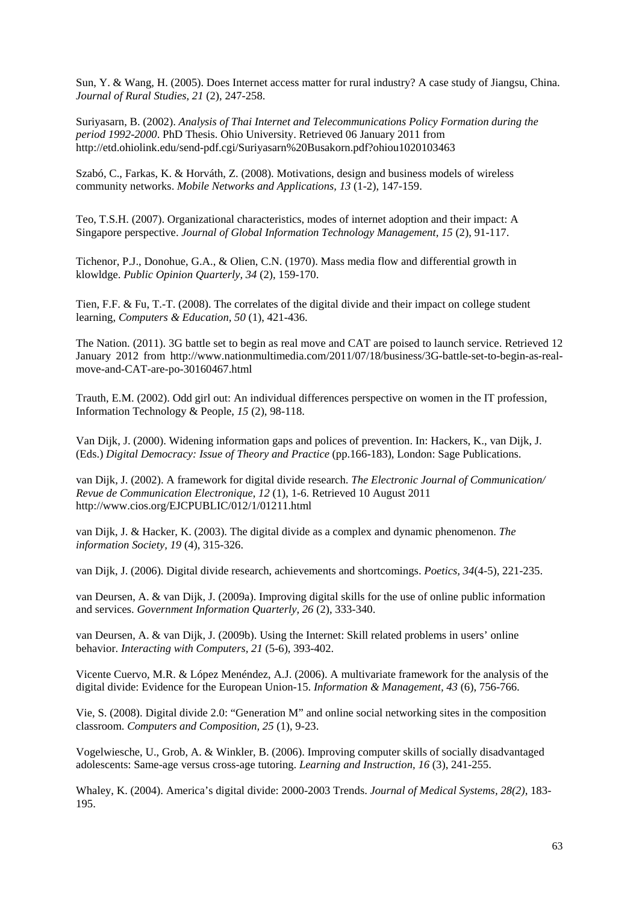Sun, Y. & Wang, H. (2005). Does Internet access matter for rural industry? A case study of Jiangsu, China. *Journal of Rural Studies, 21* (2), 247-258.

Suriyasarn, B. (2002). *Analysis of Thai Internet and Telecommunications Policy Formation during the period 1992-2000*. PhD Thesis. Ohio University. Retrieved 06 January 2011 from http://etd.ohiolink.edu/send-pdf.cgi/Suriyasarn%20Busakorn.pdf?ohiou1020103463

Szabó, C., Farkas, K. & Horváth, Z. (2008). Motivations, design and business models of wireless community networks. *Mobile Networks and Applications, 13* (1-2), 147-159.

Teo, T.S.H. (2007). Organizational characteristics, modes of internet adoption and their impact: A Singapore perspective. *Journal of Global Information Technology Management, 15* (2), 91-117.

Tichenor, P.J., Donohue, G.A., & Olien, C.N. (1970). Mass media flow and differential growth in klowldge. *Public Opinion Quarterly, 34* (2), 159-170.

Tien, F.F. & Fu, T.-T. (2008). The correlates of the digital divide and their impact on college student learning, *Computers & Education, 50* (1), 421-436.

The Nation. (2011). 3G battle set to begin as real move and CAT are poised to launch service. Retrieved 12 January 2012 from http://www.nationmultimedia.com/2011/07/18/business/3G-battle-set-to-begin-as-realmove-and-CAT-are-po-30160467.html

Trauth, E.M. (2002). Odd girl out: An individual differences perspective on women in the IT profession, Information Technology & People, *15* (2), 98-118.

Van Dijk, J. (2000). Widening information gaps and polices of prevention. In: Hackers, K., van Dijk, J. (Eds.) *Digital Democracy: Issue of Theory and Practice* (pp.166-183), London: Sage Publications.

[van Dijk, J. \(2002\). A](http://www.gw.utwente.nl/vandijk/Framework-Digital-Divide.htm) framework for digital divide research. *[The Electronic Journal of Communication/](http://www.gw.utwente.nl/vandijk/Framework-Digital-Divide.htm)  Revue de Communication Electronique*, *12* (1), 1-6. Retrieved 10 August 2011 http://www.cios.org/EJCPUBLIC/012/1/01211.html

van Dijk, J. & Hacker, K. (2003). The digital divide as a complex and dynamic phenomenon. *The information Society, 19* (4), 315-326.

van Dijk, J. (2006). Digital divide research, achievements and shortcomings. *Poetics, 34*(4-5), 221-235.

van Deursen, A. & van Dijk, J. (2009a). Improving digital skills for the use of online public information and services. *Government Information Quarterly, 26* (2), 333-340.

van Deursen, A. & van Dijk, J. (2009b). Using the Internet: Skill related problems in users' online behavior. *Interacting with Computers, 21* (5-6), 393-402.

Vicente Cuervo, M.R. & López Menéndez, A.J. (2006). A multivariate framework for the analysis of the digital divide: Evidence for the European Union-15. *Information & Management, 43* (6), 756-766.

Vie, S. (2008). Digital divide 2.0: "Generation M" and online social networking sites in the composition classroom. *Computers and Composition, 25* (1), 9-23.

Vogelwiesche, U., Grob, A. & Winkler, B. (2006). Improving computer skills of socially disadvantaged adolescents: Same-age versus cross-age tutoring. *Learning and Instruction, 16* (3), 241-255.

Whaley, K. (2004). America's digital divide: 2000-2003 Trends. *Journal of Medical Systems, 28(2)*, 183- 195.